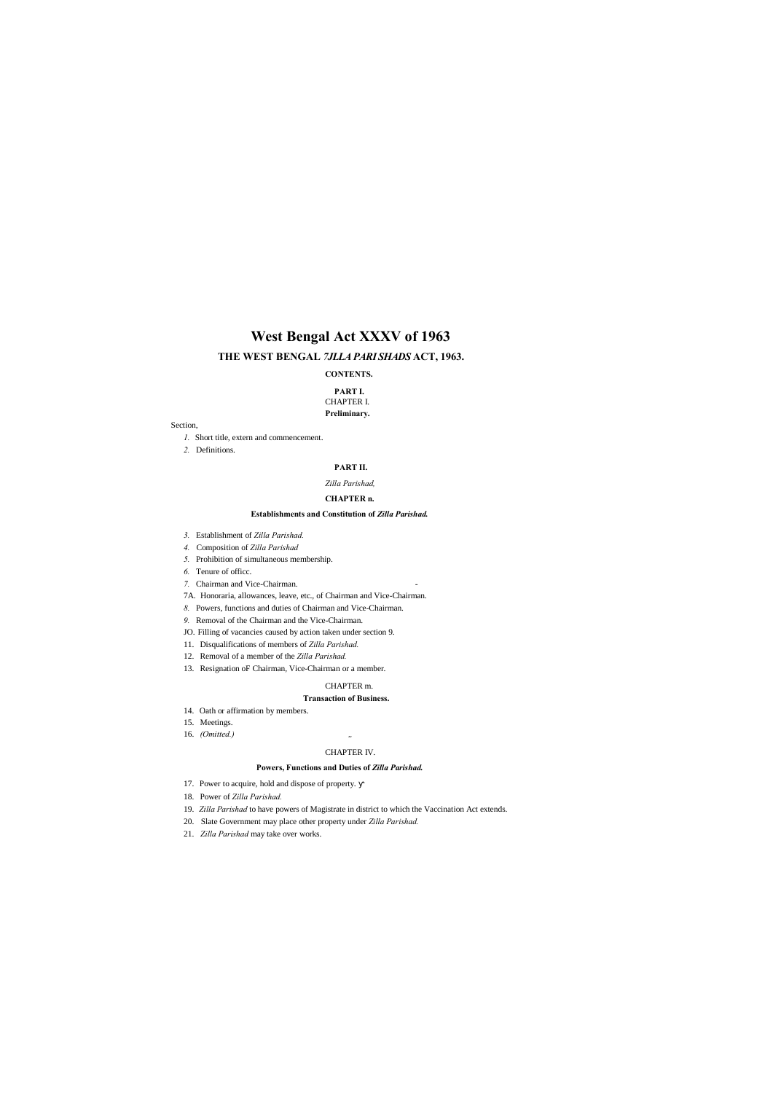# **West Bengal Act XXXV of 1963**

# **THE WEST BENGAL** *7JLLA PARI SHADS* **ACT, 1963.**

### **CONTENTS.**

# **PART I.** CHAPTER I. **Preliminary.**

#### Section,

*1.* Short title, extern and commencement.

*2.* Definitions.

# **PART II.**

# *Zilla Parishad,*

### **CHAPTER n.**

# **Establishments and Constitution of** *Zilla Parishad.*

- *3.* Establishment of *Zilla Parishad.*
- *4.* Composition of *Zilla Parishad*
- *5.* Prohibition of simultaneous membership.
- *6.* Tenure of officc.
- 7. Chairman and Vice-Chairman.
- 7A. Honoraria, allowances, leave, etc., of Chairman and Vice-Chairman.
- *8.* Powers, functions and duties of Chairman and Vice-Chairman.
- *9.* Removal of the Chairman and the Vice-Chairman.
- JO. Filling of vacancies caused by action taken under section 9.
- 11. Disqualifications of members of *Zilla Parishad.*
- 12. Removal of a member of the *Zilla Parishad.*
- 13. Resignation oF Chairman, Vice-Chairman or a member.

# CHAPTER m.

#### **Transaction of Business.**

- 14. Oath or affirmation by members.
- 15. Meetings.
- 16. *(Omitted.) "*

#### CHAPTER IV.

# **Powers, Functions and Duties of** *Zilla Parishad.*

- 17. Power to acquire, hold and dispose of property.
- 18. Power of *Zilla Parishad.*
- 19. *Zilla Parishad* to have powers of Magistrate in district to which the Vaccination Act extends.
- 20. Slate Government may place other property under *Zilla Parishad.*

21. *Zilla Parishad* may take over works.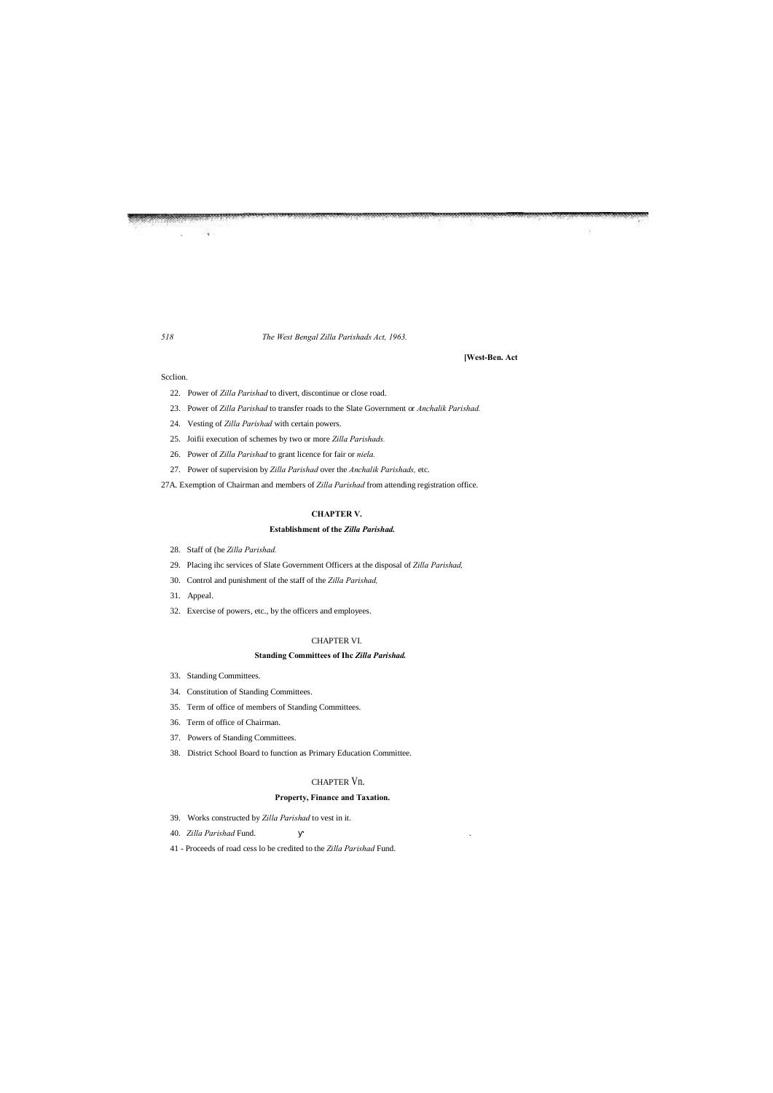# **[West-Ben. Act**

#### Scclion.

- 22. Power of *Zilla Parishad* to divert, discontinue or close road.
- 23. Power of *Zilla Parishad* to transfer roads to the Slate Government or *Anchalik Parishad.*
- 24. Vesting of *Zilla Parishad* with certain powers.
- 25. Joifii execution of schemes by two or more *Zilla Parishads.*
- 26. Power of *Zilla Parishad* to grant licence for fair or *niela.*
- 27. Power of supervision by *Zilla Parishad* over the *Anchalik Parishads,* etc.

27A. Exemption of Chairman and members of *Zilla Parishad* from attending registration office.

#### **CHAPTER V.**

# **Establishment of the** *Zilla Parishad.*

- 28. Staff of (he *Zilla Parishad.*
- 29. Placing ihc services of Slate Government Officers at the disposal of *Zilla Parishad,*
- 30. Control and punishment of the staff of the *Zilla Parishad,*
- 31. Appeal.
- 32. Exercise of powers, etc., by the officers and employees.

# CHAPTER VI.

# **Standing Committees of Ihc** *Zilla Parishad.*

- 33. Standing Committees.
- 34. Constitution of Standing Committees.
- 35. Term of office of members of Standing Committees.
- 36. Term of office of Chairman.
- 37. Powers of Standing Committees.
- 38. District School Board to function as Primary Education Committee.

# CHAPTER Vn.

# **Property, Finance and Taxation.**

39. Works constructed by *Zilla Parishad* to vest in it.

40. *Zilla Parishad* Fund. .

41 - Proceeds of road cess lo be credited to the *Zilla Parishad* Fund.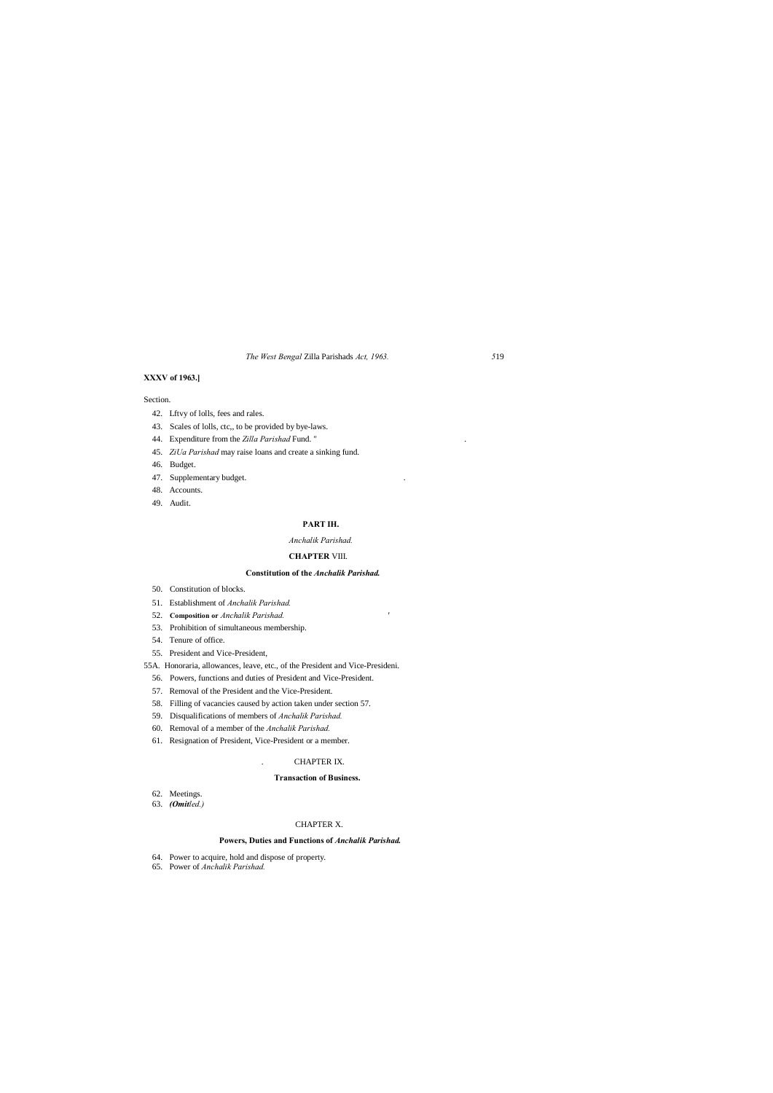# **XXXV of 1963.]**

#### Section.

- 42. Lftvy of lolls, fees and rales.
- 43. Scales of lolls, ctc,, to be provided by bye-laws.
- 44. Expenditure from the *Zilla Parishad* Fund. " .
- 45. *ZiUa Parishad* may raise loans and create a sinking fund.
- 46. Budget.
- 47. Supplementary budget. .
- 48. Accounts.
- 49. Audit.

# **PART IH.**

# *Anchalik Parishad.*

#### **CHAPTER** VIII.

# **Constitution of the** *Anchalik Parishad.*

- 50. Constitution of blocks.
- 51. Establishment of *Anchalik Parishad.*
- 52. **Composition or** *Anchalik Parishad. '*
- 53. Prohibition of simultaneous membership.
- 54. Tenure of office.
- 55. President and Vice-President,
- 55A. Honoraria, allowances, leave, etc., of the President and Vice-Presideni.
- 56. Powers, functions and duties of President and Vice-President.
- 57. Removal of the President and the Vice-President.
- 58. Filling of vacancies caused by action taken under section 57.
- 59. Disqualifications of members of *Anchalik Parishad.*
- 60. Removal of a member of the *Anchalik Parishad.*
- 61. Resignation of President, Vice-President or a member.

# . CHAPTER IX.

# **Transaction of Business.**

62. Meetings. 63. *(Omitled.)*

# CHAPTER X.

# **Powers, Duties and Functions of** *Anchalik Parishad.*

- 64. Power to acquire, hold and dispose of property.
- 65. Power of *Anchalik Parishad.*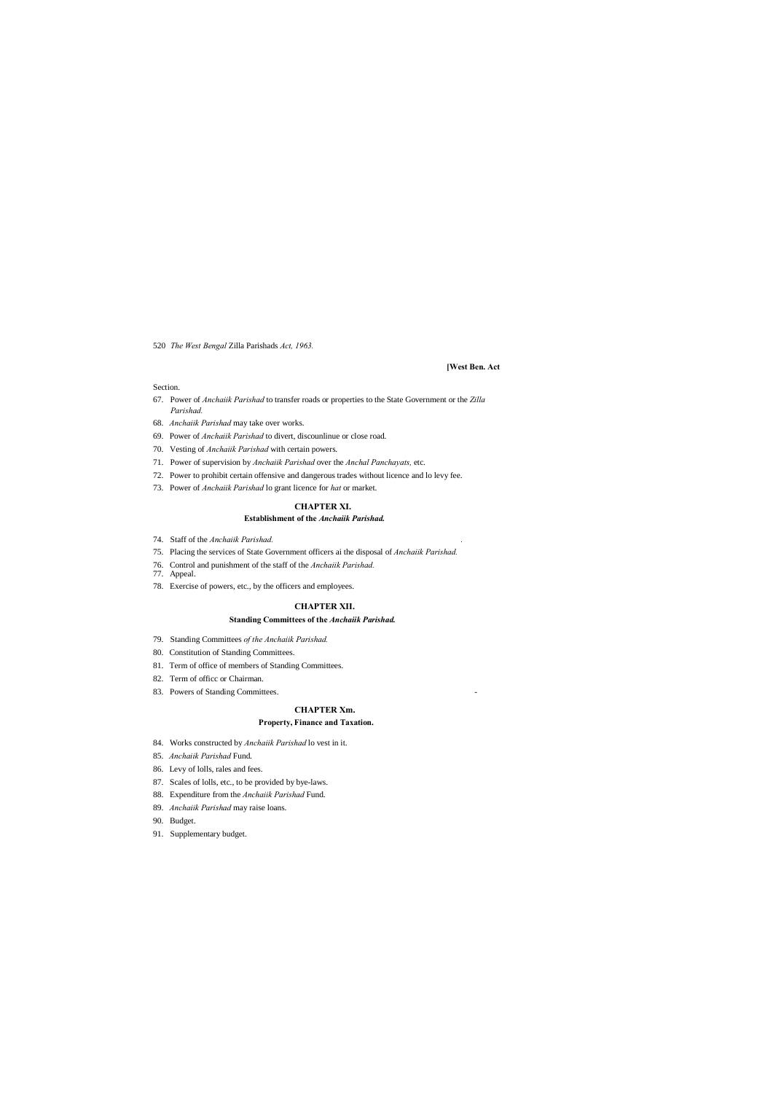# **[West Ben. Act**

#### Section.

- 67. Power of *Anchaiik Parishad* to transfer roads or properties to the State Government or the *Zilla Parishad.*
- 68. *Anchaiik Parishad* may take over works.
- 69. Power of *Anchaiik Parishad* to divert, discounlinue or close road.
- 70. Vesting of *Anchaiik Parishad* with certain powers.
- 71. Power of supervision by *Anchaiik Parishad* over the *Anchal Panchayats,* etc.
- 72. Power to prohibit certain offensive and dangerous trades without licence and lo levy fee.
- 73. Power of *Anchaiik Parishad* lo grant licence for *hat* or market.

- 79. Standing Committees *of the Anchaiik Parishad.*
- 80. Constitution of Standing Committees.
- 81. Term of office of members of Standing Committees.
- 82. Term of officc or Chairman.
- 83. Powers of Standing Committees.

# **CHAPTER XI.**

# **Establishment of the** *Anchaiik Parishad.*

- 74. Staff of the *Anchaiik Parishad. .*
- 75. Placing the services of State Government officers ai the disposal of *Anchaiik Parishad.*
- 76. Control and punishment of the staff of the *Anchaiik Parishad.*
- 77. Appeal.
- 78. Exercise of powers, etc., by the officers and employees.

# **CHAPTER XII.**

# **Standing Committees of the** *Anchaiik Parishad.*

# **CHAPTER Xm.**

# **Property, Finance and Taxation.**

- 84. Works constructed by *Anchaiik Parishad* lo vest in it.
- 85. *Anchaiik Parishad* Fund.
- 86. Levy of lolls, rales and fees.
- 87. Scales of lolls, etc., to be provided by bye-laws.
- 88. Expenditure from the *Anchaiik Parishad* Fund.
- 89. *Anchaiik Parishad* may raise loans.
- 90. Budget.

91. Supplementary budget.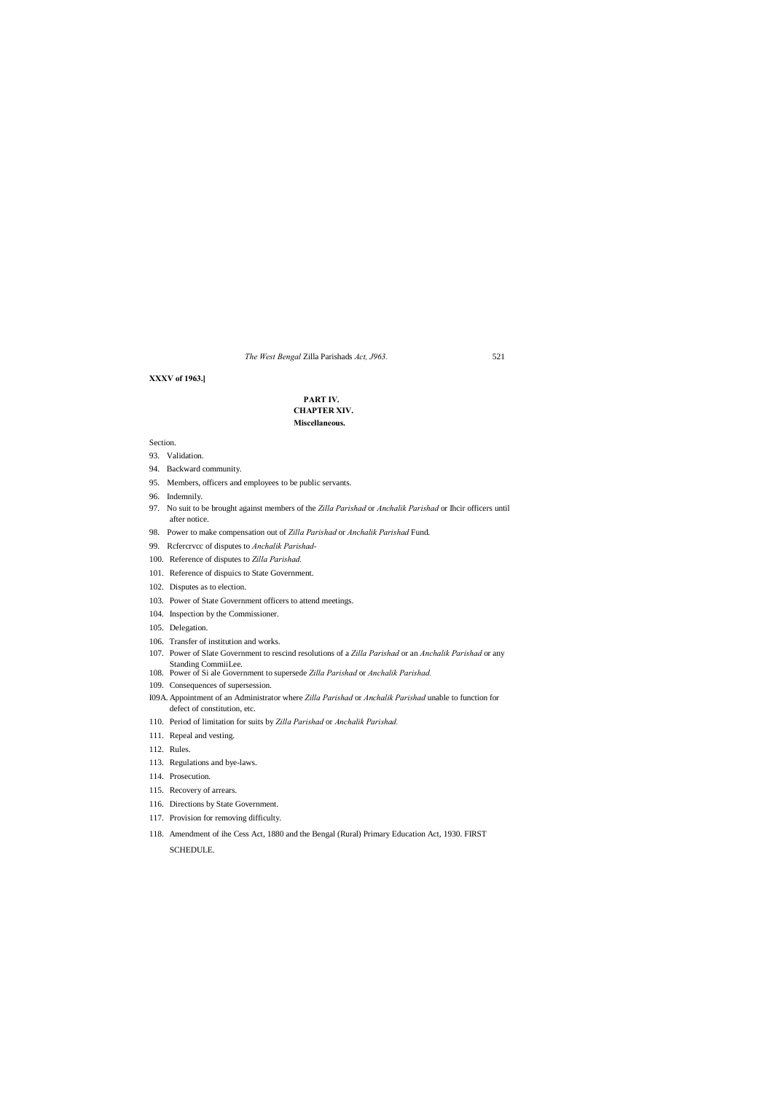**XXXV of 1963.]**

# **PART IV. CHAPTER XIV. Miscellaneous.**

Section.

- 93. Validation.
- 94. Backward community.
- 95. Members, officers and employees to be public servants.
- 96. Indemnily.
- 97. No suit to be brought against members of the *Zilla Parishad* or *Anchalik Parishad* or Ihcir officers until after notice.
- 98. Power to make compensation out of *Zilla Parishad* or *Anchalik Parishad* Fund.
- 99. Rcfercrvcc of disputes to *Anchalik Parishad-*
- 100. Reference of disputes to *Zilla Parishad.*
- 101. Reference of dispuics to State Government.
- 102. Disputes as to election.
- 103. Power of State Government officers to attend meetings.
- 104. Inspection by the Commissioner.
- 105. Delegation.
- 106. Transfer of institution and works.
- 107. Power of Slate Government to rescind resolutions of a *Zilla Parishad* or an *Anchalik Parishad* or any Standing CommiiLee.
- 108. Power of Si ale Government to supersede *Zilla Parishad* or *Anchalik Parishad.*
- 109. Consequences of supersession.
- I09A. Appointment of an Administrator where *Zilla Parishad* or *Anchalik Parishad* unable to function for defect of constitution, etc.
- 110. Period of limitation for suits by *Zilla Parishad* or *Anchalik Parishad.*
- 111. Repeal and vesting.
- 112. Rules.
- 113. Regulations and bye-laws.
- 114. Prosecution.
- 115. Recovery of arrears.
- 116. Directions by State Government.
- 117. Provision for removing difficulty.

118. Amendment of ihe Cess Act, 1880 and the Bengal (Rural) Primary Education Act, 1930. FIRST

SCHEDULE.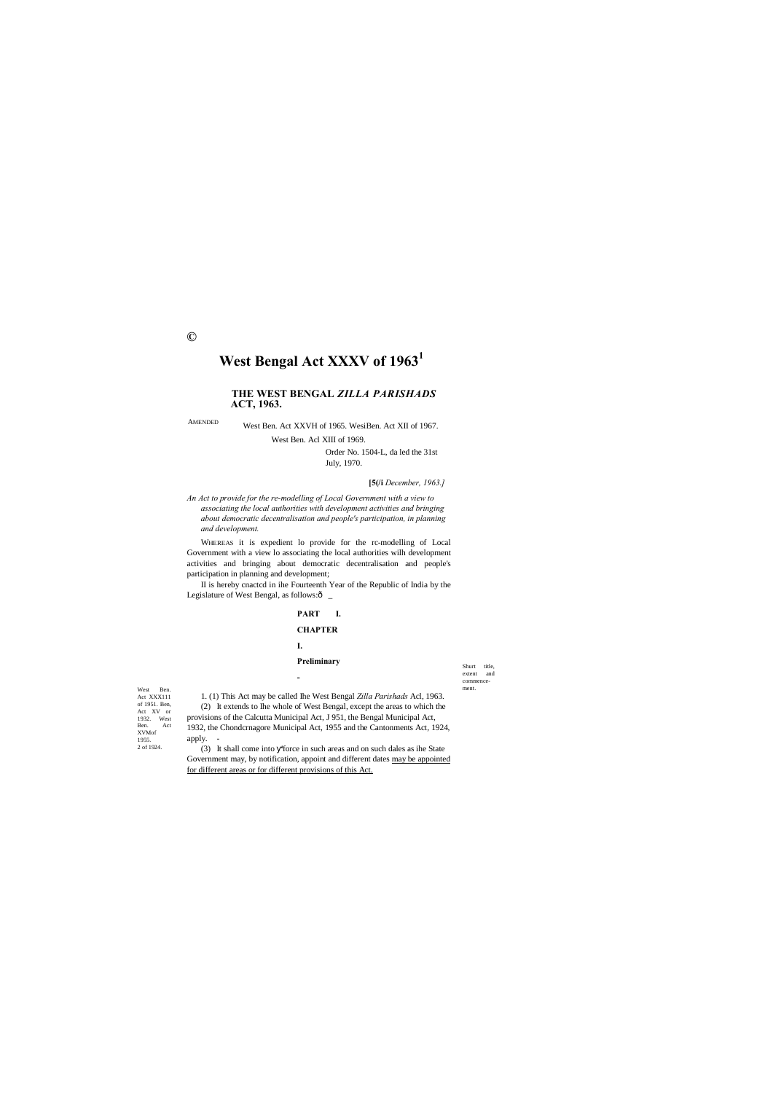AMENDED

West Ben.<br>Act XXX111 of 1951. Ben,<br>Act XV or 1932. West Ben. Act XVMof 1955. 2 of 1924.

**©**

# **West Bengal Act XXXV of 1963<sup>1</sup>**

# **THE WEST BENGAL** *ZILLA PARISHADS* **ACT, 1963.**

West Ben. Act XXVH of 1965. WesiBen. Act XII of 1967.

West Ben. Acl XIII of 1969.

Order No. 1504-L, da led the 31st July, 1970.

# **[5(/i** *December, 1963.]*

Shurt title, extent and commence-<br>ment.

II is hereby cnactcd in ihe Fourteenth Year of the Republic of India by the Legislature of West Bengal, as follows: $\hat{o}$ 

*An Act to provide for the re-modelling of Local Government with a view to associating the local authorities with development activities and bringing about democratic decentralisation and people's participation, in planning and development.*

West Ben. ment. 1. (1) This Act may be called Ihe West Bengal *Zilla Parishads* Acl, 1963. (2) It extends to Ihe whole of West Bengal, except the areas to which the provisions of the Calcutta Municipal Act, J 951, the Bengal Municipal Act,

WHEREAS it is expedient lo provide for the rc-modelling of Local Government with a view lo associating the local authorities wilh development activities and bringing about democratic decentralisation and people's participation in planning and development;

#### **PART I.**

#### **CHAPTER**

# **I.**

# **Preliminary**

**-**

1932, the Chondcrnagore Municipal Act, 1955 and the Cantonments Act, 1924, apply. -

(3) It shall come into 'force in such areas and on such dales as ihe State Government may, by notification, appoint and different dates may be appointed for different areas or for different provisions of this Act.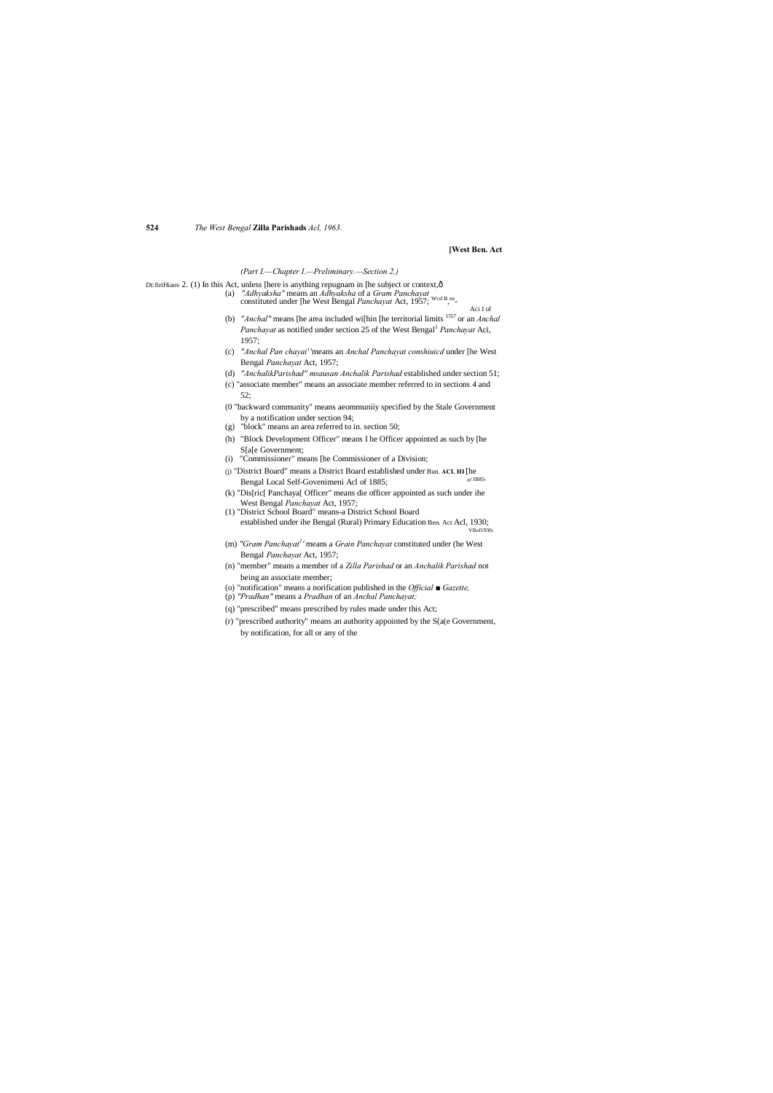#### **[West Ben. Act**

#### *(Part I.—Chapter I.—Preliminary.—Section 2.)*

Dt:firiHianv 2. (1) In this Act, unless [here is anything repugnam in [he subject or context, $\hat{o}$ 

(a) *"Adhyaksha"* means an *Adhyaksha* of a *Gram Panchayat* constituted under [he West Bengal *Panchayat* Act, 1957; Wcsl B, en-

Aci I of

- (b) *"Anchal"* means [he area included wi[hin [he territorial limits 1557 or an *Anchal Panchayat* as notified under section 25 of the West Bengal<sup>1</sup> *Panchayat* Aci, 1957;
- (c) *"Anchal Pan chayai'* 'means an *Anchal Panchayat conshiuicd* under [he West Bengal *Panchayat* Act, 1957;
- (d) *"AnchalikParishad" msausan Anchalik Parishad* established under section 51;
- (c) "associate member" means an associate member referred to in sections 4 and 52;
- (0 "backward community" means aeommuniiy specified by the Stale Government by a notification under section 94;
- (g) "block" means an area referred to in. section 50;
- (h) "Block Development Officer" means I he Officer appointed as such by [he S[a[e Government;
- (i) "Commissioner" means [he Commissioner of a Division;
- (j) "District Board" means a District Board established under Bun. **ACL HI** [he Bengal Local Self-Govenimeni Acl of 1885; or  $IB85$
- (k) "Dis[ric[ Panchaya[ Officer" means die officer appointed as such under ihe West Bengal *Panchayat* Act, 1957;
- (1) "District School Board" means-a District School Board established under ihe Bengal (Rural) Primary Education Ben. Act Acl, 1930; VIIof1930'
- (m) *"Gram Panchayat<sup>1</sup> '* means a *Grain Panchayat* constituted under (he West Bengal *Panchayat* Act, 1957;
- (n) "member" means a member of a *Zilla Parishad* or an *Anchalik Parishad* not being an associate member;
- (o) "notification" means a norification published in the *Official ■ Gazette,*
- (p) *"Pradhan"* means a *Pradhan* of an *Anchal Panchayat;*
- (q) "prescribed" means prescribed by rules made under this Act;
- (r) "prescribed authority" means an authority appointed by the S(a(e Government, by notification, for all or any of the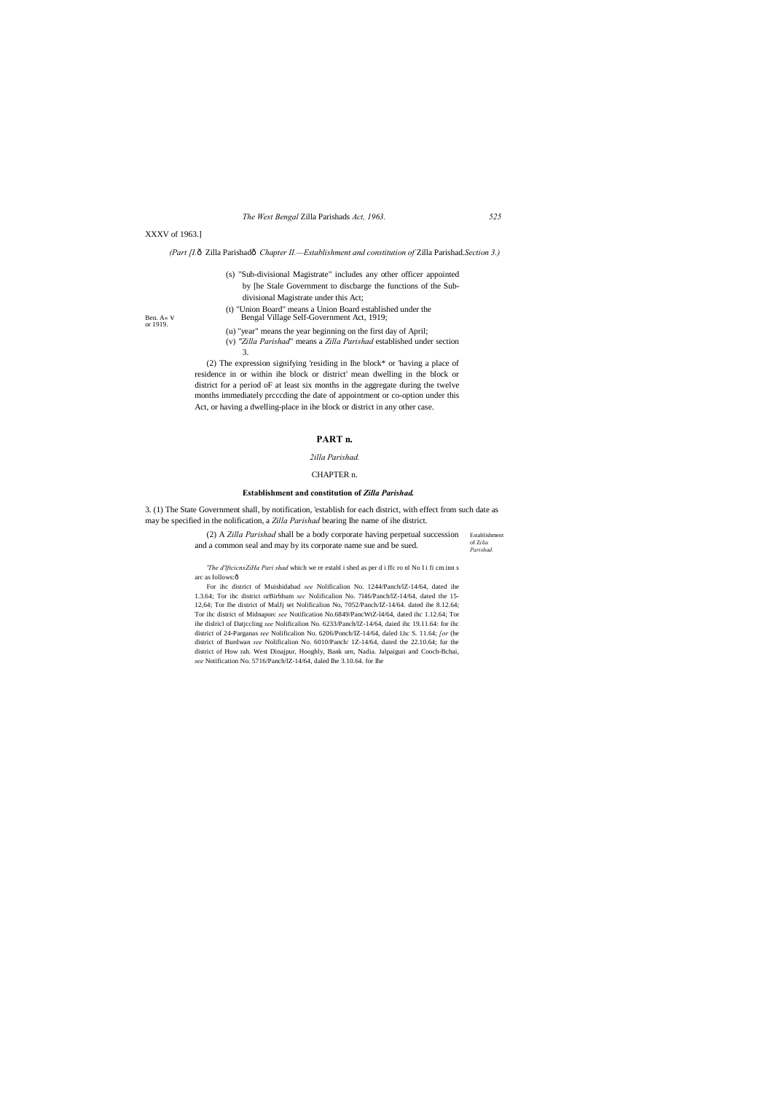Establishment *Parishad.*

#### *The West Bengal* Zilla Parishads *Act, 1963. 525*

# XXXV of 1963.]

#### *(Part [I.*—Zilla Parishad—*Chapter II.—Establishment and constitution of* Zilla Parishad.*Section 3.)*

- (s) "Sub-divisional Magistrate" includes any other officer appointed by [he Stale Government to discbarge the functions of the Subdivisional Magistrate under this Act;
	-
- (t) "Union Board" means a Union Board established under the Ben. A« v Bengal Village Self-Government Act, 1919;
	-
	- (u) "year" means the year beginning on the first day of April; (v) *"Zilla Parishad*" means a *Zilla Parishad* established under section
		- 3.

or 1919.

*'The d'lftcicnxZiHa Pari shad* which we re establ i shed as per d i ffc ro nl No I i fi cm inn s arc as follows: $\hat{o}$ 

of Z*ilia*  (2) A *Zilla Parishad* shall be a body corporate having perpetual succession and a common seal and may by its corporate name sue and be sued.

(2) The expression signifying 'residing in Ihe block\* or 'having a place of residence in or within ihe block or district' mean dwelling in the block or district for a period oF at least six months in the aggregate during the twelve months immediately prcccding the date of appointment or co-option under this Act, or having a dwelling-place in ihe block or district in any other case.

# **PART n.**

#### *2illa Parishad.*

# CHAPTER n.

#### **Establishment and constitution of** *Zilla Parishad.*

3. (1) The State Government shall, by notification, 'establish for each district, with effect from such date as may be specified in the nolification, a *Zilla Parishad* bearing Ihe name of ihe district.

> For ihc district of Muishidabad *see* Nolificalion No. 1244/Panch/lZ-14/64, dated ihe 1.3.64; Tor ihc district orBirbhum *sec* Nolificalion No. 7l46/Panch/lZ-14/64, dated the 15- 12,64; Tor Ihe district of MalJj set Nolificalion No, 7052/Panch/IZ-14/64. dated ihe 8.12.64; Tor ihc district of Midnaporc *see* Notification No.6849/PancWtZ-l4/64, dated ihc 1.12.64; Tor ihe dislricl of Datjccling *see* Nolificalion No. 6233/Panch/lZ-14/64, daied ihc 19.11.64: for ihc district of 24-Parganas *see* Nolificalion No. 6206/Ponch/IZ-14/64, daled Lhc S. 11.64; *[or* (he district of Burdwan *see* Nolificalion No. 6010/Panch/ 1Z-14/64, dated the 22.10.64; fur the district of How rah. West Dinajpur, Hooghly, Bank urn, Nadia. Jalpaiguri and Cooch-Bchai, *see* Notification No. 5716/Panch/lZ-14/64, daled Ihe 3.10.64. for Ihe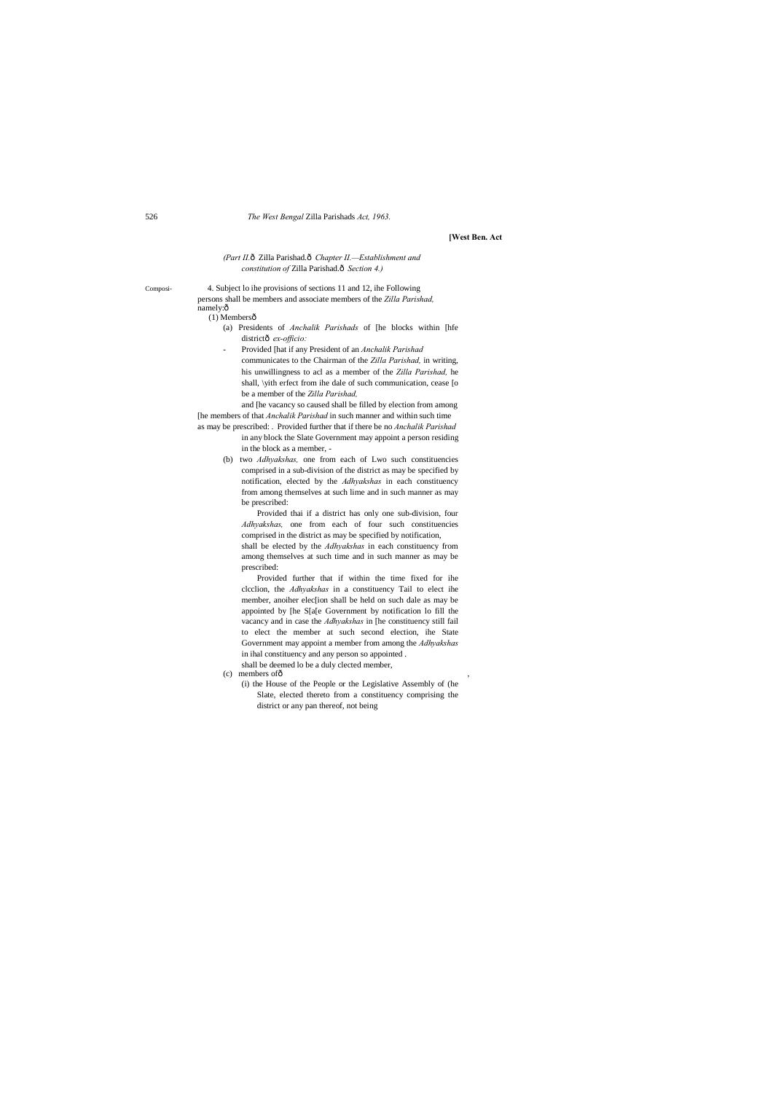#### **[West Ben. Act**

Composi- 4. Subject lo ihe provisions of sections 11 and 12, ihe Following persons shall be members and associate members of the *Zilla Parishad,* namely:ô

 $(1)$  Membersô

# *(Part II.*—Zilla Parishad.—*Chapter II.—Establishment and constitution of* Zilla Parishad.—*Section 4.)*

- (a) Presidents of *Anchalik Parishads* of [he blocks within [hfe districtô ex-officio:
- Provided [hat if any President of an *Anchalik Parishad* communicates to the Chairman of the *Zilla Parishad,* in writing, his unwillingness to acl as a member of the *Zilla Parishad,* he shall, \yith erfect from ihe dale of such communication, cease [o be a member of the *Zilla Parishad,*

and [he vacancy so caused shall be filled by election from among [he members of that *Anchalik Parishad* in such manner and within such time

as may be prescribed: . Provided further that if there be no *Anchalik Parishad* in any block the Slate Government may appoint a person residing

in the block as a member, - (b) two *Adhyakshas,* one from each of Lwo such constituencies comprised in a sub-division of the district as may be specified by notification, elected by the *Adhyakshas* in each constituency from among themselves at such lime and in such manner as may be prescribed:

Provided thai if a district has only one sub-division, four *Adhyakshas,* one from each of four such constituencies comprised in the district as may be specified by notification,

shall be elected by the *Adhyakshas* in each constituency from among themselves at such time and in such manner as may be prescribed:

Provided further that if within the time fixed for ihe clcclion, the *Adhyakshas* in a constituency Tail to elect ihe member, anoiher elec[ion shall be held on such dale as may be appointed by [he S[a[e Government by notification lo fill the vacancy and in case the *Adhyakshas* in [he constituency still fail to elect the member at such second election, ihe State Government may appoint a member from among the *Adhyakshas* in ihal constituency and any person so appointed . shall be deemed lo be a duly clected member,

(c) members of  $\hat{0}$ 

(i) the House of the People or the Legislative Assembly of (he Slate, elected thereto from a constituency comprising the district or any pan thereof, not being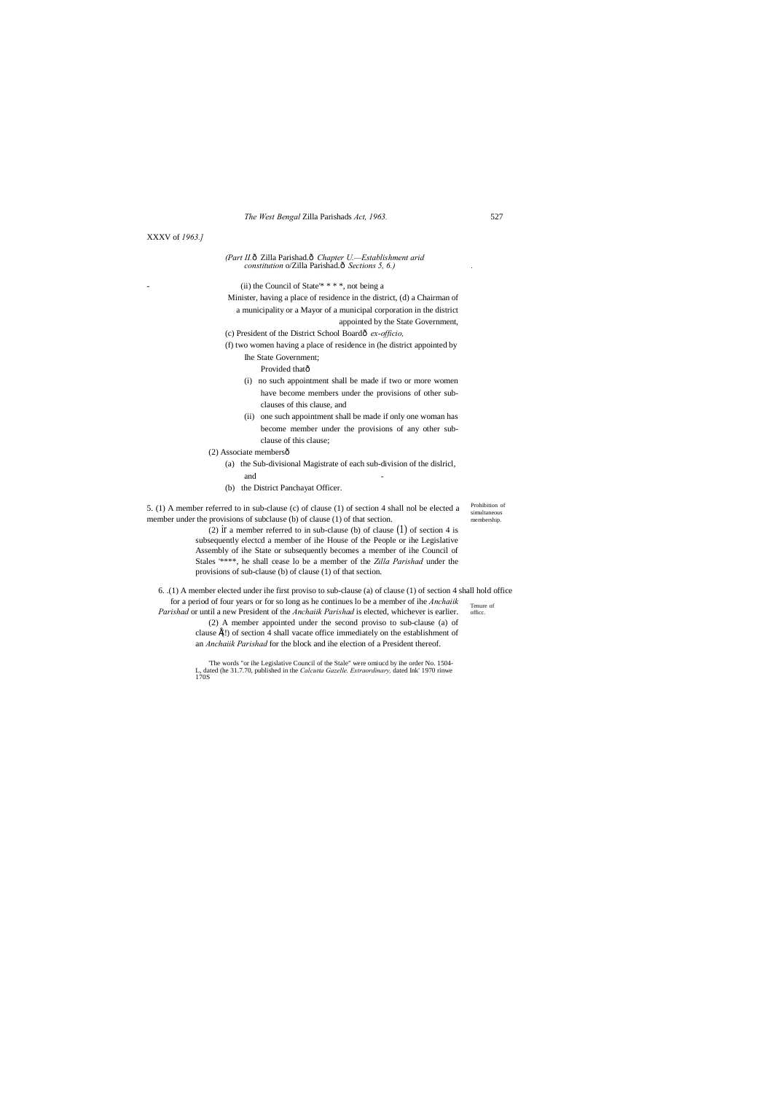Prohibition of simultaneous membership.

| The West Bengal Zilla Parishads Act, 1963. |  |
|--------------------------------------------|--|
|--------------------------------------------|--|

XXXV of *1963.]*

*(Part II.*—Zilla Parishad.—*Chapter U.—Establishment arid constitution* o/Zilla Parishad.—*Sections 5, 6.) .*

(ii) the Council of State'\*  $* * *$ , not being a

Ihe State Government; Provided thatô

Minister, having a place of residence in the district, (d) a Chairman of a municipality or a Mayor of a municipal corporation in the district

appointed by the State Government,

(c) President of the District School Board—*ex-officio,*

- and -
- (b) the District Panchayat Officer.

(f) two women having a place of residence in (he district appointed by

- 
- (i) no such appointment shall be made if two or more women have become members under the provisions of other subclauses of this clause, and
- (ii) one such appointment shall be made if only one woman has become member under the provisions of any other subclause of this clause;

(2) Associate membersô

(2) if a member referred to in sub-clause (b) of clause  $(1)$  of section 4 is subsequently electcd a member of ihe House of the People or ihe Legislative Assembly of ihe State or subsequently becomes a member of ihe Council of Stales '\*\*\*\*, he shall cease lo be a member of the *Zilla Parishad* under the provisions of sub-clause (b) of clause (1) of that section.

Tenure of officc. 6. .(1) A member elected under ihe first proviso to sub-clause (a) of clause (1) of section 4 shall hold office for a period of four years or for so long as he continues lo be a member of ihe *Anchaiik Parishad* or until a new President of the *Anchaiik Parishad* is elected, whichever is earlier.

(a) the Sub-divisional Magistrate of each sub-division of the dislricl,

5. (1) A member referred to in sub-clause (c) of clause (1) of section 4 shall nol be elected a member under the provisions of subclause (b) of clause (1) of that section.

> (2) A member appointed under the second proviso to sub-clause (a) of clause  $\tilde{H}$ !) of section 4 shall vacate office immediately on the establishment of an *Anchaiik Parishad* for the block and ihe election of a President thereof.

'The words "or ihe Legislative Council of the Stale" were omiucd by ihe order No. 1504- L, dated (he 31.7.70, published in the *Calcutta Gazelle. Extraordinary,* dated Ink' 1970 rinwe 170S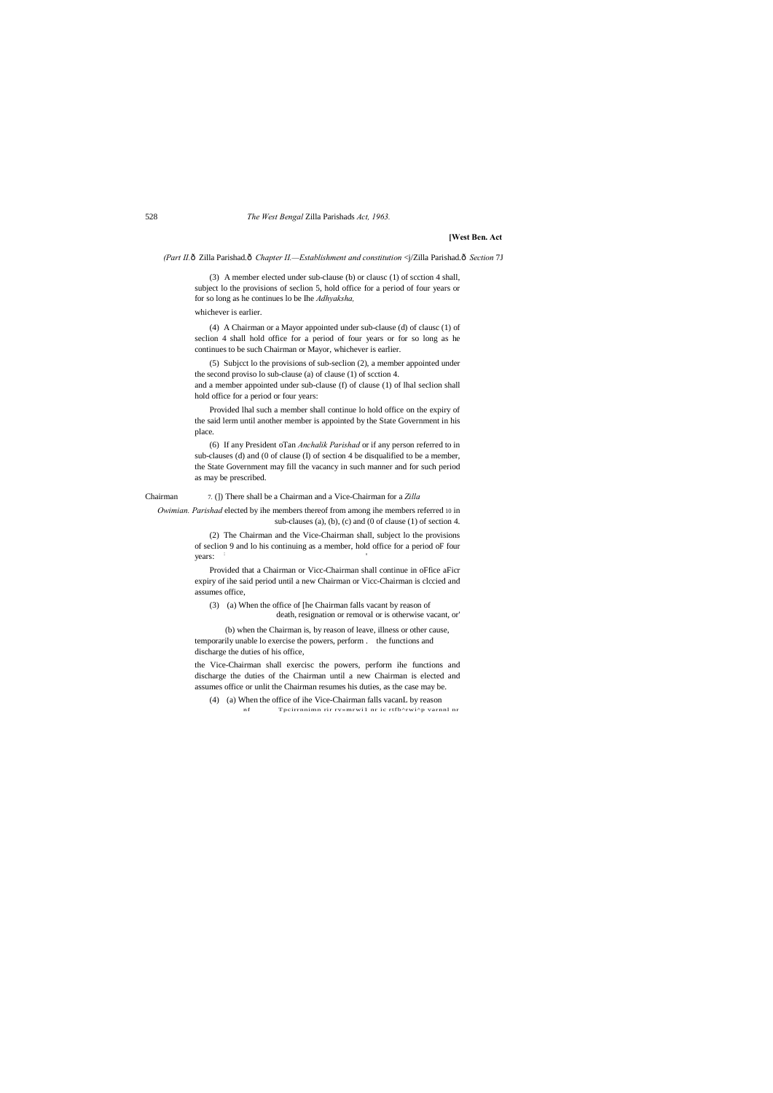#### **[West Ben. Act**

*(Part II.*—Zilla Parishad.—*Chapter II.—Establishment and constitution* <j/Zilla Parishad.—*Section* 7J

(3) A member elected under sub-clause (b) or clausc (1) of scction 4 shall, subject lo the provisions of seclion 5, hold office for a period of four years or for so long as he continues lo be Ihe *Adhyaksha,*

whichever is earlier.

(4) A Chairman or a Mayor appointed under sub-clause (d) of clausc (1) of seclion 4 shall hold office for a period of four years or for so long as he continues to be such Chairman or Mayor, whichever is earlier.

(5) Subjcct lo the provisions of sub-seclion (2), a member appointed under the second proviso lo sub-clause (a) of clause (1) of scction 4. and a member appointed under sub-clause (f) of clause (1) of lhal seclion shall hold office for a period or four years:

(2) The Chairman and the Vice-Chairman shall, subject lo the provisions of seclion 9 and lo his continuing as a member, hold office for a period oF four years:

Provided lhal such a member shall continue lo hold office on the expiry of the said lerm until another member is appointed by the State Government in his place.

(6) If any President oTan *Anchalik Parishad* or if any person referred to in sub-clauses (d) and (0 of clause (I) of section 4 be disqualified to be a member, the State Government may fill the vacancy in such manner and for such period as may be prescribed.

Chairman 7. (]) There shall be a Chairman and a Vice-Chairman for a *Zilla*

*Owimian. Parishad* elected by ihe members thereof from among ihe members referred 10 in sub-clauses (a), (b), (c) and (0 of clause (1) of section 4.

> Provided that a Chairman or Vicc-Chairman shall continue in oFfice aFicr expiry of ihe said period until a new Chairman or Vicc-Chairman is clccied and assumes office,

(3) (a) When the office of [he Chairman falls vacant by reason of death, resignation or removal or is otherwise vacant, or'

(b) when the Chairman is, by reason of leave, illness or other cause, temporarily unable lo exercise the powers, perform . the functions and discharge the duties of his office,

the Vice-Chairman shall exercisc the powers, perform ihe functions and discharge the duties of the Chairman until a new Chairman is elected and assumes office or unlit the Chairman resumes his duties, as the case may be.

(4) (a) When the office of ihe Vice-Chairman falls vacanL by reason nf Tpcirrnnimn rir rv»mr wi1 nr ic rtfb^rwi^p varnnl nr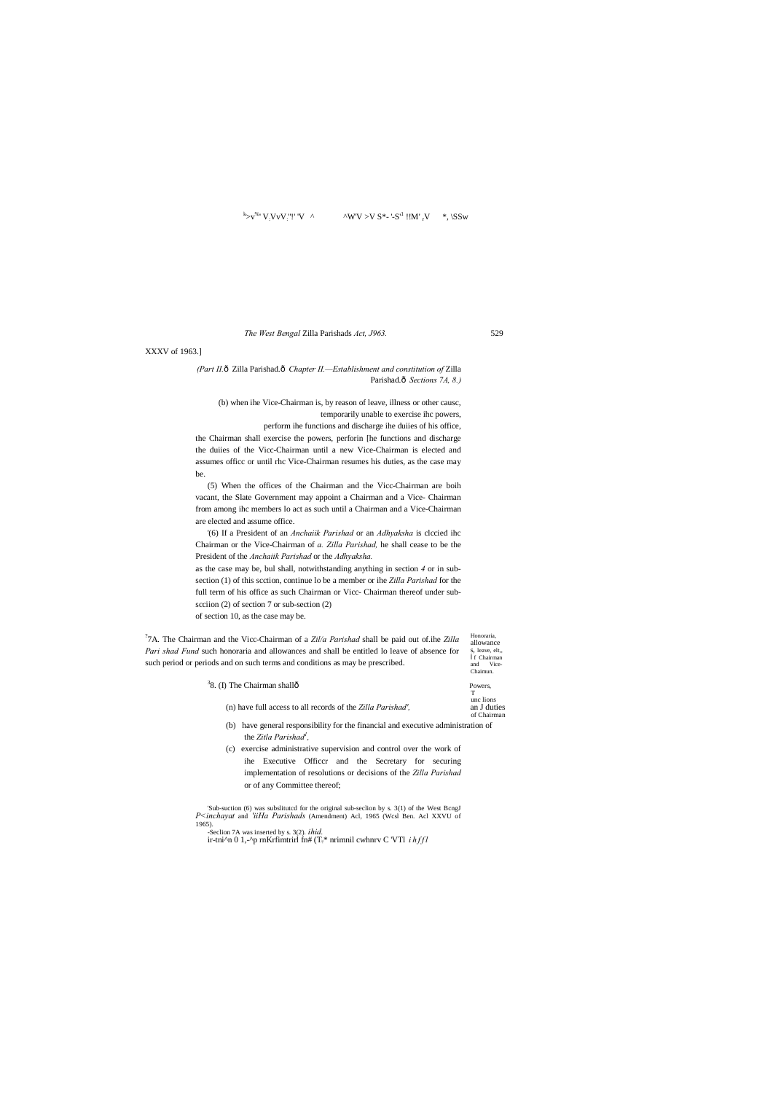*(Part II.*—Zilla Parishad.—*Chapter II.—Establishment and constitution of* Zilla Parishad. $\hat{o}$  Sections 7A, 8.)

#### $k_y$  v V V V V  $''$ ! 'V  $\Lambda$ ^W'V >V S\*- '-S'<sup>1</sup> !!M' <sub>r</sub>V \*, \SSw

# *The West Bengal* Zilla Parishads *Act, J963.* 529

XXXV of 1963.]

(b) when ihe Vice-Chairman is, by reason of leave, illness or other causc, temporarily unable to exercise ihc powers,

perform ihe functions and discharge ihe duiies of his office,

the Chairman shall exercise the powers, perforin [he functions and discharge the duiies of the Vicc-Chairman until a new Vice-Chairman is elected and assumes officc or until rhc Vice-Chairman resumes his duties, as the case may be.

(5) When the offices of the Chairman and the Vicc-Chairman are boih vacant, the Slate Government may appoint a Chairman and a Vice- Chairman from among ihc members lo act as such until a Chairman and a Vice-Chairman are elected and assume office.

Honoraria, allowance s, leave, elt, f Chairman ? 7A. The Chairman and the Vicc-Chairman of a *Zil/a Parishad* shall be paid out of.ihe *Zilla Pari shad Fund* such honoraria and allowances and shall be entitled lo leave of absence for such period or periods and on such terms and conditions as may be prescribed.

| rous and on such terms and conditions as may be prescribed.                                             | Vice-<br>and<br>Chaimun.                |
|---------------------------------------------------------------------------------------------------------|-----------------------------------------|
| $38.$ (I) The Chairman shallô                                                                           | Powers.                                 |
| (n) have full access to all records of the Zilla Parishad'.                                             | unc lions<br>an J duties<br>of Chairman |
| $\langle L \rangle$ , then consider the constitution for the fluorest of and consider administration of |                                         |

'(6) If a President of an *Anchaiik Parishad* or an *Adhyaksha* is clccied ihc Chairman or the Vice-Chairman of *a. Zilla Parishad,* he shall cease to be the President of the *Anchaiik Parishad* or the *Adhyaksha.*

'Sub-suction (6) was subslitutcd for the original sub-seclion by s. 3(1) of the West BcngJ *P<inchayat* and *'iiHa Parishads* (Amendment) Acl, 1965 (Wcsl Ben. Acl XXVU of 1965). -Seclion 7A was inserted by s. 3(2). *ihid.* ir-tni^n 0 1,-^p rnKrfimtrirl fn# (T<sub>i</sub>\* nrimnil cwhnrv C 'VTl *i h f f l* 

as the case may be, bul shall, notwithstanding anything in section *4* or in subsection (1) of this scction, continue lo be a member or ihe *Zilla Parishad* for the full term of his office as such Chairman or Vicc- Chairman thereof under subscciion (2) of section 7 or sub-section (2) of section 10, as the case may be.

- (b) have general responsibility for the financial and executive administration of the *Zitla Parishad<sup>1</sup>*,
- (c) exercise administrative supervision and control over the work of ihe Executive Officcr and the Secretary for securing implementation of resolutions or decisions of the *Zilla Parishad* or of any Committee thereof;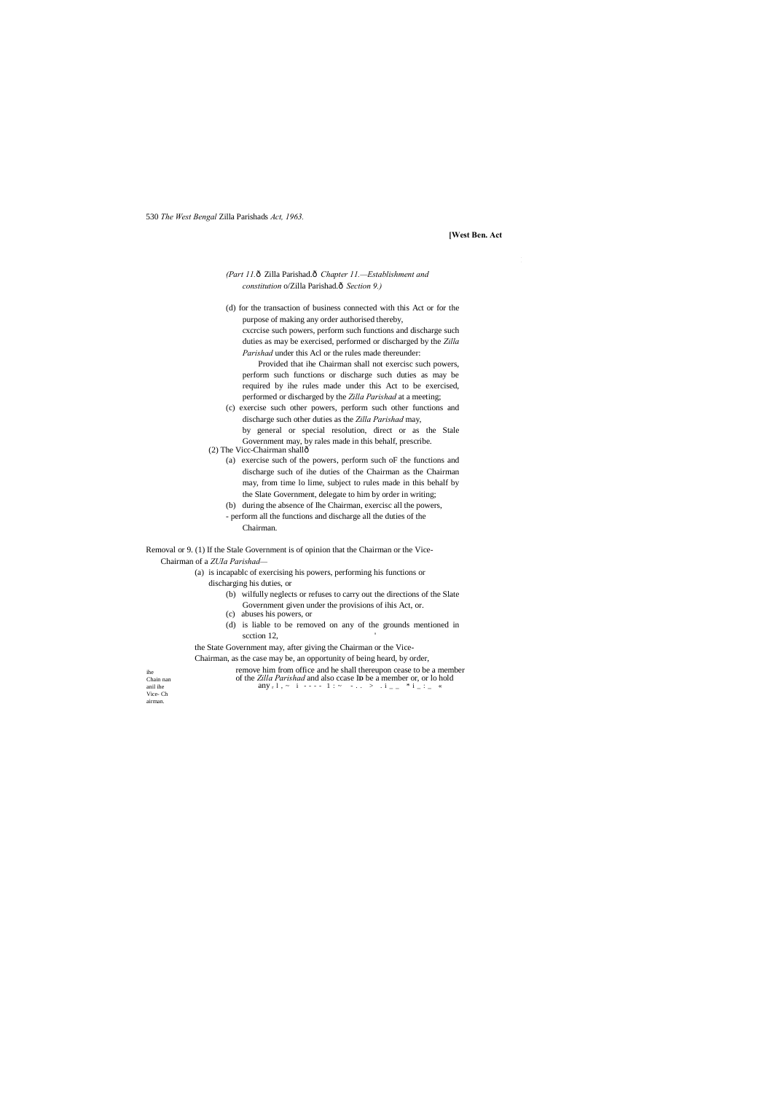ihe

Chain nan anil ihe Vice- Ch airman.

I

530 *The West Bengal* Zilla Parishads *Act, 1963.*

# **[West Ben. Act**

*(Part 11.*—Zilla Parishad.—*Chapter 11.—Establishment and constitution* o/Zilla Parishad.—*Section 9.)*

(d) for the transaction of business connected with this Act or for the purpose of making any order authorised thereby, cxcrcise such powers, perform such functions and discharge such

duties as may be exercised, performed or discharged by the *Zilla Parishad* under this Acl or the rules made thereunder:

Provided that ihe Chairman shall not exercisc such powers, perform such functions or discharge such duties as may be required by ihe rules made under this Act to be exercised, performed or discharged by the *Zilla Parishad* at a meeting;

- (a) is incapablc of exercising his powers, performing his functions or
	- discharging his duties, or
		- (b) wilfully neglects or refuses to carry out the directions of the Slate Government given under the provisions of ihis Act, or.
		- (c) abuses his powers, or
		- (d) is liable to be removed on any of the grounds mentioned in scction 12,

(c) exercise such other powers, perform such other functions and discharge such other duties as the *Zilla Parishad* may, by general or special resolution, direct or as the Stale Government may, by rales made in this behalf, prescribe.

 $(2)$  The Vicc-Chairman shall $\delta$ 

- (a) exercise such of the powers, perform such oF the functions and discharge such of ihe duties of the Chairman as the Chairman may, from time lo lime, subject to rules made in this behalf by the Slate Government, delegate to him by order in writing;
- (b) during the absence of Ihe Chairman, exercisc all the powers,
- perform all the functions and discharge all the duties of the Chairman.

Removal or 9. (1) If the Stale Government is of opinion that the Chairman or the Vice-Chairman of a *ZUIa Parishad—*

> the State Government may, after giving the Chairman or the Vice-Chairman, as the case may be, an opportunity of being heard, by order,

remove him from office and he shall thereupon cease to be a member of the *Zilla Parishad* and also ccase I**D** be a member or, or lo hold

 $\text{any }_{r} 1 \text{, } \sim \text{ i } - - - 1 \text{ : } \sim - \text{.} \implies \text{.} i \text{ }_{-} = \text{ * } i \text{ }_{-} : \text{ } \cong \text{ }$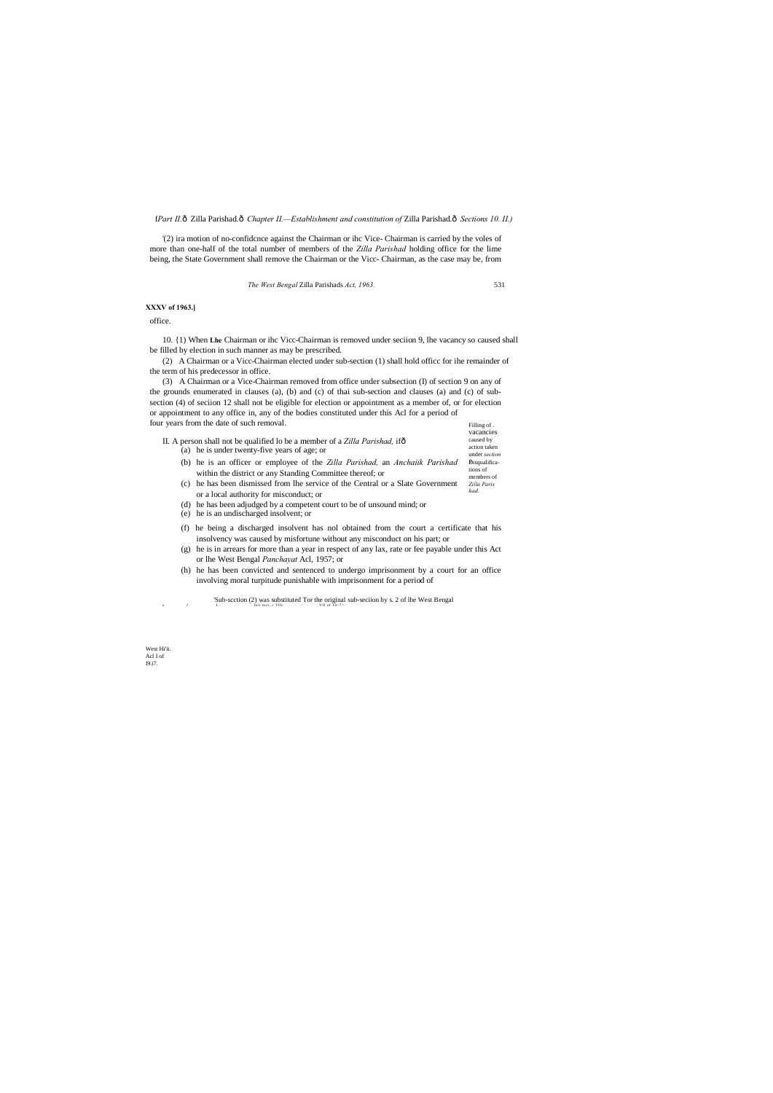West Hi'ii. Acl I of I9.i7.

*The West Bengal* Zilla Parishads *Act, 1963.* 531

# **XXXV of 1963.]**

#### f*Part II.*—Zilla Parishad.—*Chapter II.—Establishment and constitution of* Zilla Parishad.—*Sections 10. II.)*

'(2) ira motion of no-confidcnce against the Chairman or ihc Vice- Chairman is carried by the voles of more than one-half of the total number of members of the *Zilla Parishad* holding office for the lime being, the State Government shall remove the Chairman or the Vicc- Chairman, as the case may be, from

#### office.

10. {1) When **Lhe** Chairman or ihc Vicc-Chairman is removed under seciion 9, lhe vacancy so caused shall be filled by election in such manner as may be prescribed.

(2) A Chairman or a Vicc-Chairman elected under sub-section (1) shall hold officc for ihe remainder of the term of his predecessor in office.

| $\alpha$ years from the date of such removal.                                                                                                                               | Filling of.<br>vacancies                   |
|-----------------------------------------------------------------------------------------------------------------------------------------------------------------------------|--------------------------------------------|
| II. A person shall not be qualified lo be a member of a <i>Zilla Parishad</i> , ifô<br>(a) he is under twenty-five years of age; or                                         | caused by<br>action taken<br>under section |
| (b) he is an officer or employee of the Zilla Parishad, an Anchailk Parishad<br>within the district or any Standing Committee thereof; or                                   | Disqualifica-<br>tions of<br>members of    |
| (c) he has been dismissed from the service of the Central or a Slate Government<br>or a local authority for misconduct; or                                                  | Zilla Paris<br>had.                        |
| (d) he has been adjudged by a competent court to be of unsound mind; or<br>(e) he is an undischarged insolvent; or                                                          |                                            |
| he being a discharged insolvent has not obtained from the court a certificate that his<br>(f)<br>insolvency was caused by misfortune without any misconduct on his part; or |                                            |
|                                                                                                                                                                             |                                            |

(3) A Chairman or a Vice-Chairman removed from office under subsection (I) of section 9 on any of the grounds enumerated in clauses (a), (b) and (c) of thai sub-section and clauses (a) and (c) of subsection (4) of seciion 12 shall not be eligible for election or appointment as a member of, or for election or appointment to any office in, any of the bodies constituted under this Acl for a period of four years from the date of such removal.

(g) he is in arrears for more than a year in respect of any lax, rate or fee payable under this Act or lhe West Bengal *Panchayat* Acl, 1957; or

(h) he has been convicted and sentenced to undergo imprisonment by a court for an office involving moral turpitude punishable with imprisonment for a period of

 $\sum_{\substack{\text{In }i \text{ in } \mathbb{F} \subset \mathbb{F} \\ \text{In }i \text{ in } \mathbb{F} \subset \mathbb{F} \\ \text{In }i \text{ in } \mathbb{F} \subset \mathbb{F} \times \mathbb{F} \\ \text{In }i \text{ in } \mathbb{F} \times \mathbb{F} \times \mathbb{F} \times \mathbb{F} \times \mathbb{F} \times \mathbb{F} \times \mathbb{F} \times \mathbb{F} \times \mathbb{F} \times \mathbb{F} \times \mathbb{F} \times \mathbb{F} \times \mathbb{F} \times \mathbb{F} \times \mathbb{F$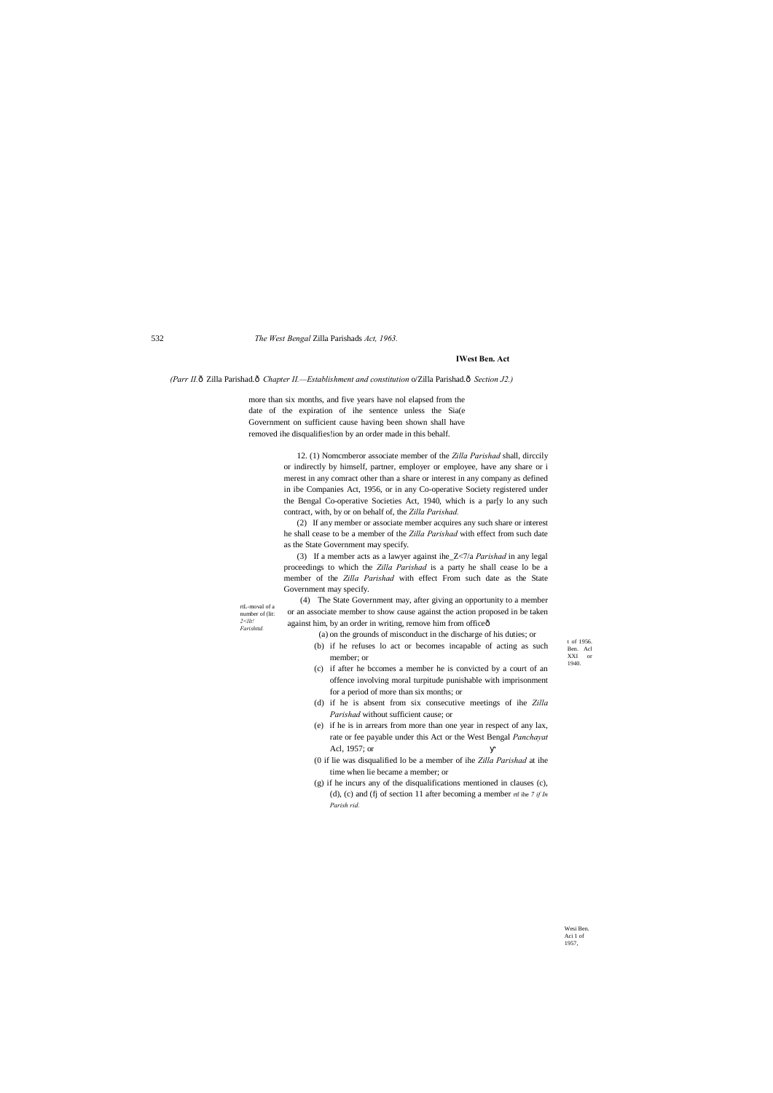rtL-moval of a number of (lit: *2<llt! Farishttd.*

> t of 1956. Ben. Acl XXI or 1940.

Wesi Ben. Aci 1 of 1957,

532 *The West Bengal* Zilla Parishads *Act, 1963.*

#### **IWest Ben. Act**

*(Parr II.*—Zilla Parishad.—*Chapter II.—Establishment and constitution* o/Zilla Parishad.—*Section J2.)*

more than six months, and five years have nol elapsed from the date of the expiration of ihe sentence unless the Sia(e Government on sufficient cause having been shown shall have removed ihe disqualifies!ion by an order made in this behalf.

> (4) The State Government may, after giving an opportunity to a member or an associate member to show cause against the action proposed in be taken against him, by an order in writing, remove him from officeô

12. (1) Nomcmberor associate member of the *Zilla Parishad* shall, dirccily or indirectly by himself, partner, employer or employee, have any share or i merest in any comract other than a share or interest in any company as defined in ibe Companies Act, 1956, or in any Co-operative Society registered under the Bengal Co-operative Societies Act, 1940, which is a par[y lo any such contract, with, by or on behalf of, the *Zilla Parishad.*

(2) If any member or associate member acquires any such share or interest he shall cease to be a member of the *Zilla Parishad* with effect from such date as the State Government may specify.

(3) If a member acts as a lawyer against ihe\_Z<7/a *Parishad* in any legal proceedings to which the *Zilla Parishad* is a party he shall cease lo be a member of the *Zilla Parishad* with effect From such date as the State Government may specify.

- (a) on the grounds of misconduct in the discharge of his duties; or
- (b) if he refuses lo act or becomes incapable of acting as such member; or
- (c) if after he bccomes a member he is convicted by a court of an offence involving moral turpitude punishable with imprisonment for a period of more than six months; or
- (d) if he is absent from six consecutive meetings of ihe *Zilla Parishad* without sufficient cause; or
- (e) if he is in arrears from more than one year in respect of any lax, rate or fee payable under this Act or the West Bengal *Panchayat* Acl, 1957; or
- (0 if lie was disqualified lo be a member of ihe *Zilla Parishad* at ihe time when lie became a member; or
- (g) if he incurs any of the disqualifications mentioned in clauses (c), (d), (c) and (fj of section 11 after becoming a member rtf ihe *7 if In Parish rid.*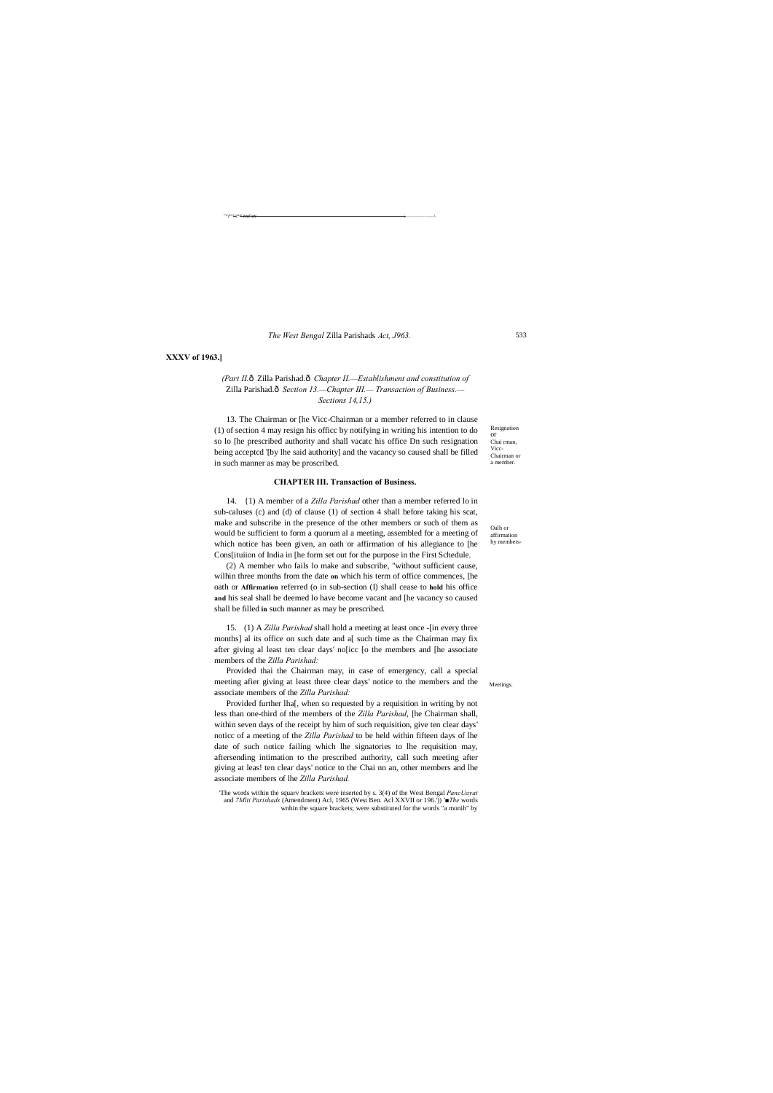533

Resignation or Chai rman, Vicc-Chairman or a member.

Oalh or affirmation by members-

""\*" "\*"\*." \*\*\*\*" ■■■""■■■ ....... ............................................................................ ...... . j. ................................................................J.,

# *(Part II.* $\hat{\text{o}}$  Zilla Parishad. $\hat{\text{o}}$  Chapter II.—*Establishment and constitution of* Zilla Parishad. $\hat{o}$  Section 13.<sup>*—Chapter III.— Transaction of Business.*</sup> *Sections 14,15.)*

*The West Bengal* Zilla Parishads *Act, J963.*

**XXXV of 1963.]**

13. The Chairman or [he Vicc-Chairman or a member referred to in clause (1) of section 4 may resign his officc by notifying in writing his intention to do so lo [he prescribed authority and shall vacatc his office Dn such resignation being acceptcd '[by lhe said authority] and the vacancy so caused shall be filled in such manner as may be proscribed.

#### **CHAPTER III. Transaction of Business.**

14. {1) A member of a *Zilla Parishad* other than a member referred lo in sub-caluses (c) and (d) of clause (1) of section 4 shall before taking his scat, make and subscribe in the presence of the other members or such of them as would be sufficient to form a quorum al a meeting, assembled for a meeting of which notice has been given, an oath or affirmation of his allegiance to [he Cons[ituiion of India in [he form set out for the purpose in the First Schedule.

Meetings. Provided thai the Chairman may, in case of emergency, call a special meeting afier giving at least three clear days' notice to the members and the associate members of the *Zilla Parishad:*

(2) A member who fails lo make and subscribe, "without sufficient cause, wilhin three months from the date **on** which his term of office commences, [he oath or **Affirmation** referred (o in sub-section (I) shall cease to **hold** his office **and** his seal shall be deemed lo have become vacant and [he vacancy so caused shall be filled **in** such manner as may be prescribed.

15. (1) A *Zilla Parishad* shall hold a meeting at least once -[in every three months] al its office on such date and a[ such time as the Chairman may fix after giving al least ten clear days' no[icc [o the members and [he associate members of the *Zilla Parishad:*

Provided further lha[, when so requested by a requisition in writing by not less than one-third of the members of the *Zilla Parishad*, [he Chairman shall, within seven days of the receipt by him of such requisition, give ten clear days' noticc of a meeting of the *Zilla Parishad* to be held within fifteen days of lhe date of such notice failing which lhe signatories to lhe requisition may, aftersending intimation to the prescribed authority, call such meeting after giving at leas! ten clear days' notice to the Chai nn an, other members and lhe associate members of lhe *Zilla Parishad.*

'The words within the squarv brackets were inserted by s. 3(4) of the West Bengal *PancUayat* and *7Mlti Parishads* (Amendment) Acl, 1965 (West Ben. Acl XXVII or 196.')) *'■The* words wnhin the square brackets; were substituted for the words "a monih" by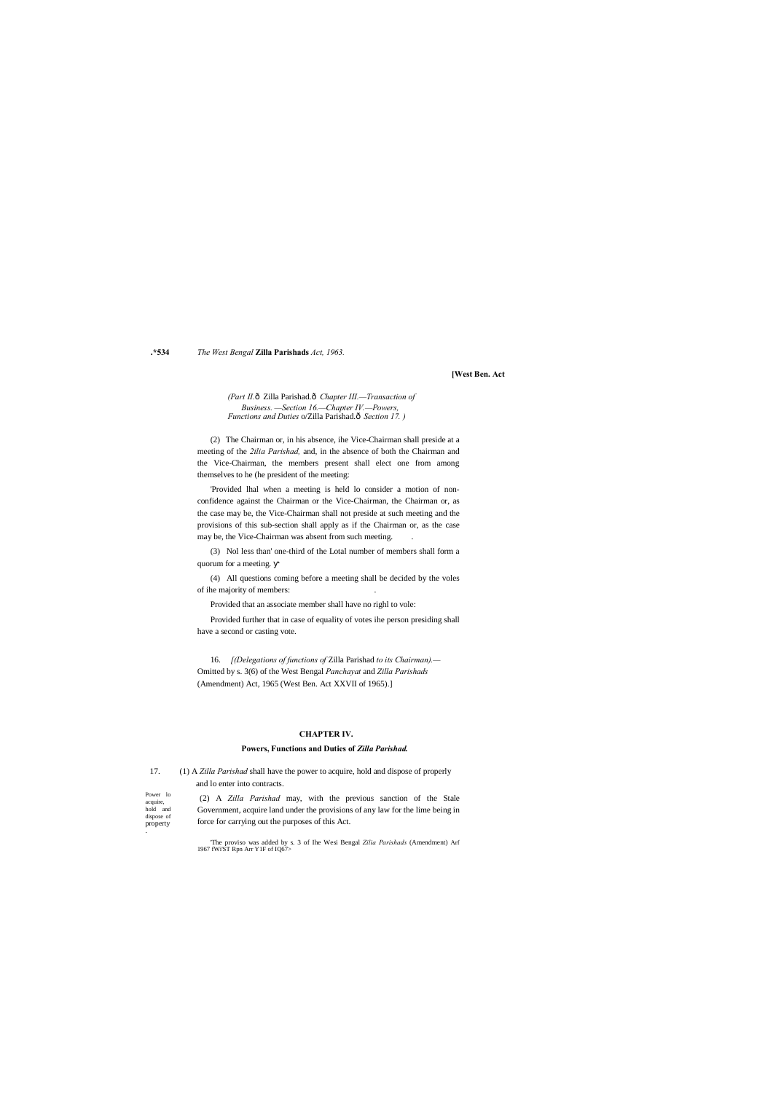*(Part II.*—Zilla Parishad.—*Chapter III.—Transaction of Business. —Section 16.—Chapter IV.—Powers, Functions and Duties* o/Zilla Parishad. $\hat{o}$  *Section 17.* )

**.\*534** *The West Bengal* **Zilla Parishads** *Act, 1963.*

# **[West Ben. Act**

(2) The Chairman or, in his absence, ihe Vice-Chairman shall preside at a meeting of the *2ilia Parishad,* and, in the absence of both the Chairman and the Vice-Chairman, the members present shall elect one from among themselves to he (he president of the meeting:

'Provided lhal when a meeting is held lo consider a motion of nonconfidence against the Chairman or the Vice-Chairman, the Chairman or, as the case may be, the Vice-Chairman shall not preside at such meeting and the provisions of this sub-section shall apply as if the Chairman or, as the case may be, the Vice-Chairman was absent from such meeting. .

| Power lo<br>acquire,   | (2) A <i>Zilla Parishad</i> may, with the previous sanction of the Stale       |
|------------------------|--------------------------------------------------------------------------------|
| hold and               | Government, acquire land under the provisions of any law for the lime being in |
| dispose of<br>property | force for carrying out the purposes of this Act.                               |
|                        |                                                                                |

(3) Nol less than' one-third of the Lotal number of members shall form a quorum for a meeting.

(4) All questions coming before a meeting shall be decided by the voles of ihe majority of members: .

Provided that an associate member shall have no righl to vole:

Provided further that in case of equality of votes ihe person presiding shall have a second or casting vote.

16. *[(Delegations of functions of* Zilla Parishad *to its Chairman).—* Omitted by s. 3(6) of the West Bengal *Panchayat* and *Zilla Parishads*  (Amendment) Act, 1965 (West Ben. Act XXVII of 1965).]

# **CHAPTER IV.**

# **Powers, Functions and Duties of** *Zilla Parishad.*

| (1) A Zilla Parishad shall have the power to acquire, hold and dispose of properly |
|------------------------------------------------------------------------------------|
| and to enter into contracts.                                                       |

'The proviso was added by s. 3 of Ihe Wesi Bengal *Zilia Parishads* (Amendment) Arf 1967 fWi'ST Rpn Arr Y1F of IQ67>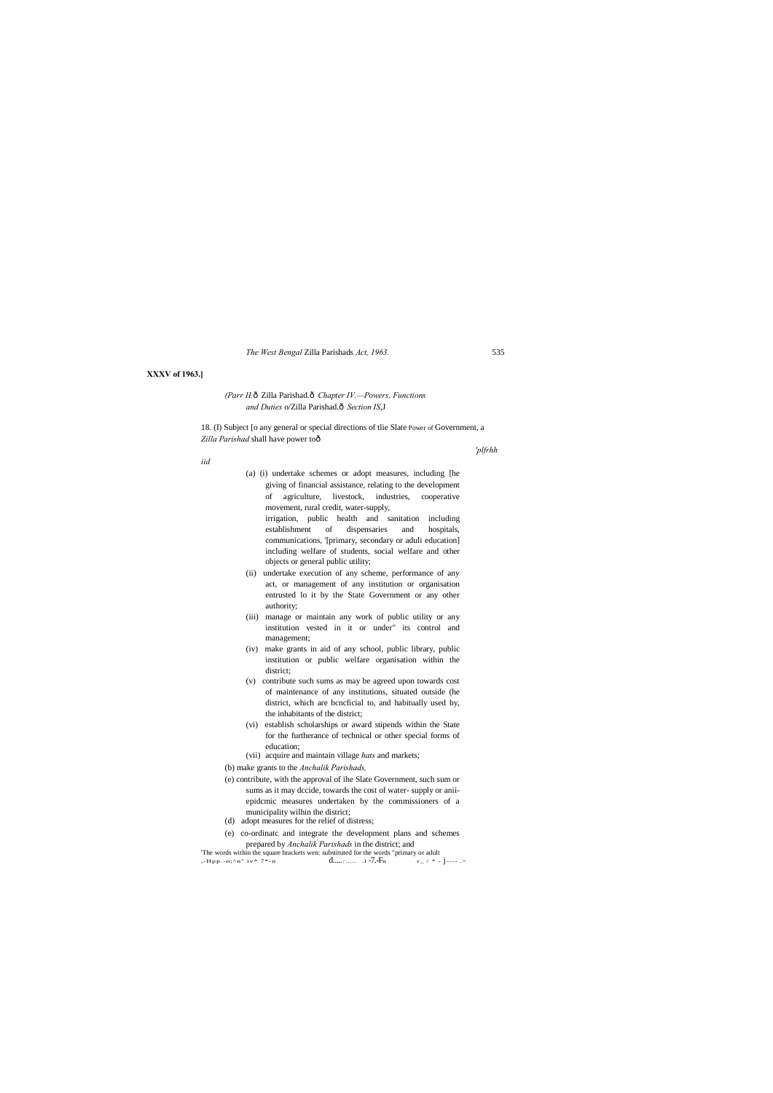# **XXXV of 1963.]**

*(Parr II.*ô Zilla Parishad.ô *Chapter IV.—Powers, Functions and Duties* o/Zilla Parishad.—*Section IS*,J

18. (I) Subject [o any general or special directions of tlie Slate Power of Government, a Zilla Parishad shall have power toô

*'plfrhh*

*iid*

(a) (i) undertake schemes or adopt measures, including [he giving of financial assistance, relating to the development of agriculture, livestock, industries, cooperative movement, rural credit, water-supply,

irrigation, public health and sanitation including establishment of dispensaries and hospitals, communications, '[primary, secondary or aduli education] including welfare of students, social welfare and other objects or general public utility;

- (ii) undertake execution of any scheme, performance of any act, or management of any institution or organisation entrusted lo it by the State Government or any other authority;
- (iii) manage or maintain any work of public utility or any institution vested in it or under" its control and management;
- (iv) make grants in aid of any school, public library, public institution or public welfare organisation within the district;
- (v) contribute such sums as may be agreed upon towards cost of maintenance of any institutions, situated outside (he district, which are bcncficial to, and habitually used by, the inhabitants of the district;
- (vi) establish scholarships or award stipends within the State for the furtherance of technical or other special forms of education;
- (vii) acquire and maintain village *hats* and markets;
- (b) make grants to the *Anchalik Parishads,*
- (e) contribute, with the approval of ihe Slate Government, such sum or sums as it may dccide, towards the cost of water- supply or aniiepidcmic measures undertaken by the commissioners of a municipality wilhin the district;
- (d) adopt measures for the relief of distress;

(e) co-ordinatc and integrate the development plans and schemes prepared by *Anchalik Parishads* in the district; and 'The words within the square hrackets wen: substituted for the words "primary or adult ,-Hpp.-n;^n" iv\* 7\*-n d..... *!* ..... .i -7.-Fn r\_ / \* - j---- .>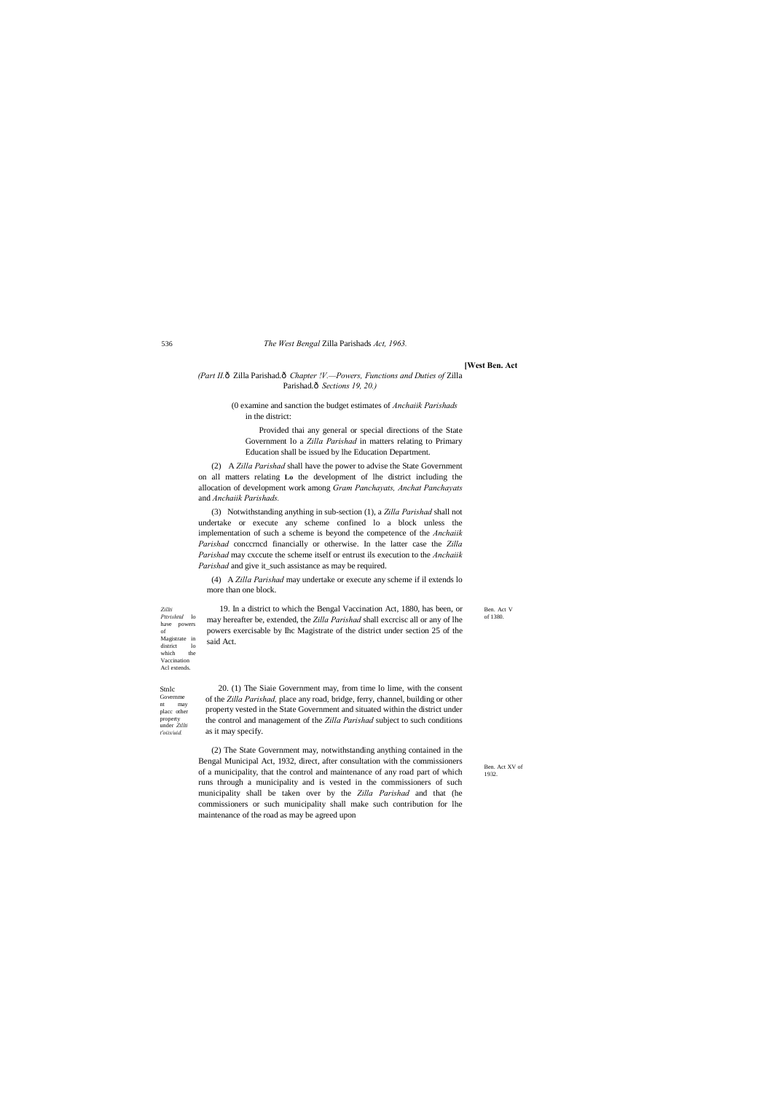536

of

*Zillti Pttrishttd* lo have powers Magistrate in<br>district lo<br>which the district which Vaccination

Acl extends.

Ben. Act V of 1380.

Stnlc Governme nt may placc other property under *Ztllti t'oiis/uid.*

> Ben. Act XV of 1932.

#### *The West Bengal* Zilla Parishads *Act, 1963.*

#### **[West Ben. Act**

### *(Part II.* ô Zilla Parishad. ô *Chapter !V.—Powers, Functions and Duties of* Zilla Parishad. $\hat{o}$  Sections 19, 20.)

(0 examine and sanction the budget estimates of *Anchaiik Parishads* in the district:

Provided thai any general or special directions of the State Government lo a *Zilla Parishad* in matters relating to Primary Education shall be issued by lhe Education Department.

(2) A *Zilla Parishad* shall have the power to advise the State Government on all matters relating **Lo** the development of lhe district including the allocation of development work among *Gram Panchayats, Anchat Panchayats* and *Anchaiik Parishads.*

(3) Notwithstanding anything in sub-section (1), a *Zilla Parishad* shall not undertake or execute any scheme confined lo a block unless the implementation of such a scheme is beyond the competence of the *Anchaiik Parishad* conccrncd financially or otherwise. In the latter case the *Zilla Parishad* may cxccute the scheme itself or entrust ils execution to the *Anchaiik Parishad* and give it\_such assistance as may be required.

(4) A *Zilla Parishad* may undertake or execute any scheme if il extends lo more than one block.

19. In a district to which the Bengal Vaccination Act, 1880, has been, or may hereafter be, extended, the *Zilla Parishad* shall excrcisc all or any of lhe powers exercisable by Ihc Magistrate of the district under section 25 of the said Act.

20. (1) The Siaie Government may, from time lo lime, with the consent of the *Zilla Parishad,* place any road, bridge, ferry, channel, building or other property vested in the State Government and situated within the district under the control and management of the *Zilla Parishad* subject to such conditions as it may specify.

(2) The State Government may, notwithstanding anything contained in the Bengal Municipal Act, 1932, direct, after consultation with the commissioners of a municipality, that the control and maintenance of any road part of which runs through a municipality and is vested in the commissioners of such municipality shall be taken over by the *Zilla Parishad* and that (he commissioners or such municipality shall make such contribution for lhe maintenance of the road as may be agreed upon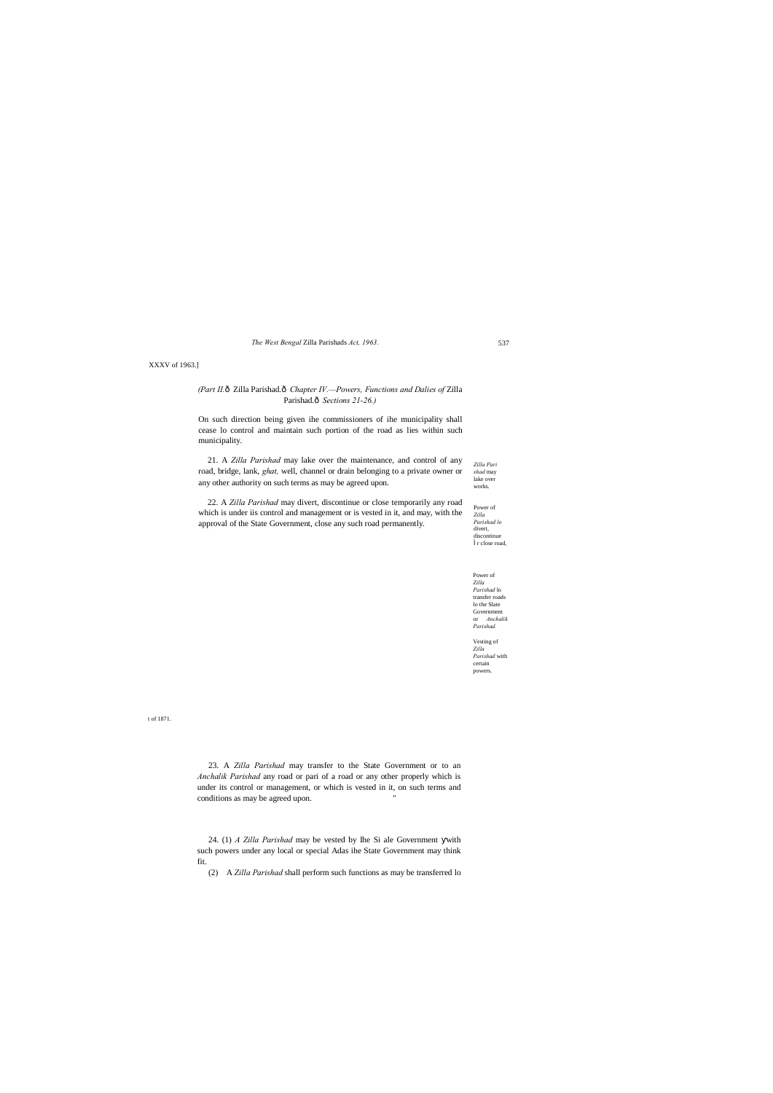Power of *Zilla Parishad lo*  divert, discontinue r close road,

*The West Bengal* Zilla Parishads *Act, 1963.* 537

XXXV of 1963.]

# *(Part II.*—Zilla Parishad.—*Chapter IV.—Powers, Functions and Dalies of* Zilla Parishad. $\hat{o}$  Sections 21-26.)

Power of *Zilla Parishad* lo transfer roads lo the Slate Government or *Anchalik Parishad.*

Vesting of *Zilla Parishad* with certain powers.

t of 1871.

*Zilla Pari shad* may<br>lake over works. 21. A *Zilla Parishad* may lake over the maintenance, and control of any road, bridge, lank, *ghat,* well, channel or drain belonging to a private owner or any other authority on such terms as may be agreed upon.

On such direction being given ihe commissioners of ihe municipality shall cease lo control and maintain such portion of the road as lies within such municipality.

22. A *Zilla Parishad* may divert, discontinue or close temporarily any road which is under iis control and management or is vested in it, and may, with the approval of the State Government, close any such road permanently.

23. A *Zilla Parishad* may transfer to the State Government or to an *Anchalik Parishad* any road or pari of a road or any other properly which is under its control or management, or which is vested in it, on such terms and conditions as may be agreed upon. "

24. (1) *A Zilla Parishad* may be vested by Ihe Si ale Government with such powers under any local or special Adas ihe State Government may think fit.

(2) A *Zilla Parishad* shall perform such functions as may be transferred lo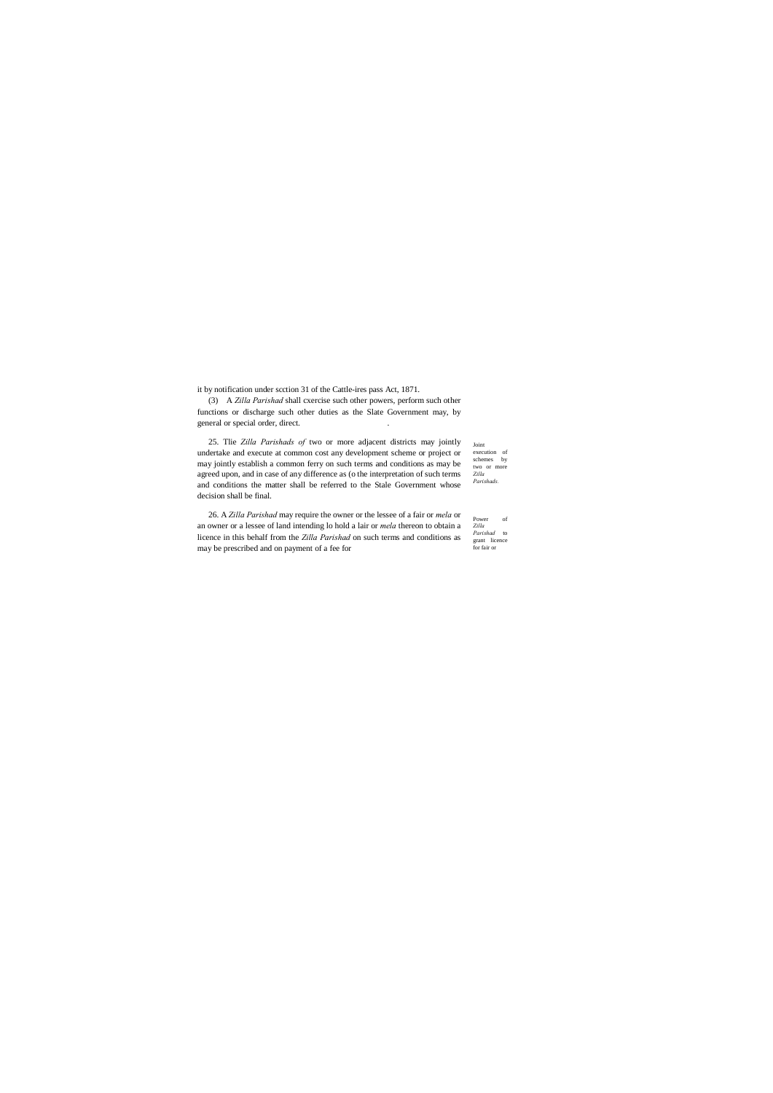Joint execution of schemes by two or more *Zilla Parishads.*

Power of *Zilla Parishad* to grant licence for fair or

(3) A *Zilla Parishad* shall cxercise such other powers, perform such other functions or discharge such other duties as the Slate Government may, by general or special order, direct.

it by notification under scction 31 of the Cattle-ires pass Act, 1871.

25. Tlie *Zilla Parishads of* two or more adjacent districts may jointly undertake and execute at common cost any development scheme or project or may jointly establish a common ferry on such terms and conditions as may be agreed upon, and in case of any difference as (o the interpretation of such terms and conditions the matter shall be referred to the Stale Government whose decision shall be final.

26. A *Zilla Parishad* may require the owner or the lessee of a fair or *mela* or an owner or a lessee of land intending lo hold a lair or *mela* thereon to obtain a licence in this behalf from the *Zilla Parishad* on such terms and conditions as may be prescribed and on payment of a fee for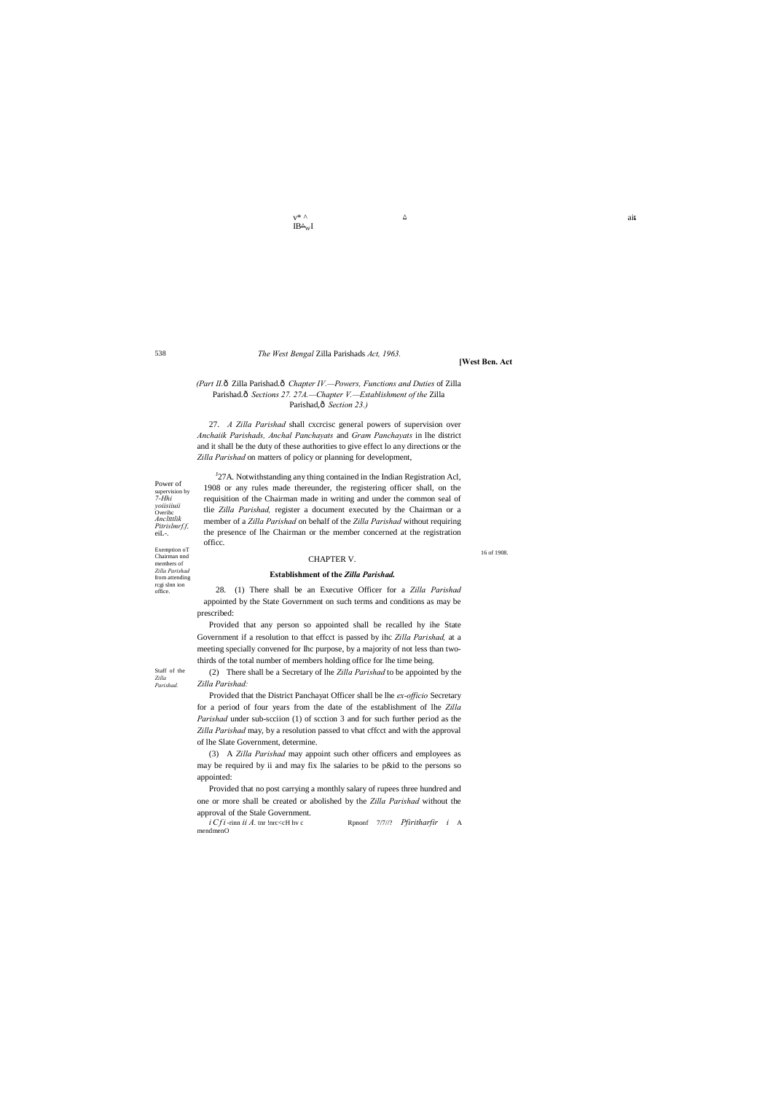#### $v^*$  ^ ait  $IB^{\Delta}$ wI

538

Power of supervision by *7-Hhi yoiisiiuii* Overihc *Ancltttlik Pitrislmrf.f,*  eiL-.

Exemption oT Chairman nnd members of *Zilla Parishad*  from attending rcgi slnn ion office.

# *(Part II.*—Zilla Parishad.—*Chapter IV.—Powers, Functions and Duties* of Zilla Parishad. $\hat{o}$  Sections 27. 27A.<sup>*-Chapter V.*<sup>*-Establishment of the Zilla*</sup></sup> Parishad, $\hat{o}$  Section 23.)

16 of 1908.

Staff of the *Zilla Parishad.*

#### *The West Bengal* Zilla Parishads *Act, 1963.*

#### **[West Ben. Act**

 $J<sup>J</sup>27A$ . Notwithstanding any thing contained in the Indian Registration Acl, 1908 or any rules made thereunder, the registering officer shall, on the requisition of the Chairman made in writing and under the common seal of tlie *Zilla Parishad,* register a document executed by the Chairman or a member of a *Zilla Parishad* on behalf of the *Zilla Parishad* without requiring the presence of lhe Chairman or the member concerned at the registration officc.

27. *A Zilla Parishad* shall cxcrcisc general powers of supervision over *Anchaiik Parishads, Anchal Panchayats* and *Gram Panchayats* in lhe district and it shall be the duty of these authorities to give effect lo any directions or the *Zilla Parishad* on matters of policy or planning for development,

#### CHAPTER V.

#### **Establishment of the** *Zilla Parishad.*

28. (1) There shall be an Executive Officer for a *Zilla Parishad*  appointed by the State Government on such terms and conditions as may be prescribed:

Provided that any person so appointed shall be recalled hy ihe State Government if a resolution to that effcct is passed by ihc *Zilla Parishad,* at a meeting specially convened for Ihc purpose, by a majority of not less than twothirds of the total number of members holding office for lhe time being.

(2) There shall be a Secretary of lhe *Zilla Parishad* to be appointed by the *Zilla Parishad:*

Provided that the District Panchayat Officer shall be lhe *ex-officio* Secretary for a period of four years from the date of the establishment of lhe *Zilla Parishad* under sub-scciion (1) of scction 3 and for such further period as the *Zilla Parishad* may, by a resolution passed to vhat cffcct and with the approval of lhe Slate Government, determine.

(3) A *Zilla Parishad* may appoint such other officers and employees as may be required by ii and may fix lhe salaries to be p&id to the persons so appointed:

Provided that no post carrying a monthly salary of rupees three hundred and one or more shall be created or abolished by the *Zilla Parishad* without the approval of the Stale Government.

*i Cf i* -rinn *ii A*. tnr !nrc<cH hv c Rpnonf 7/7//? *Pfiritharfir i* A

mendmenO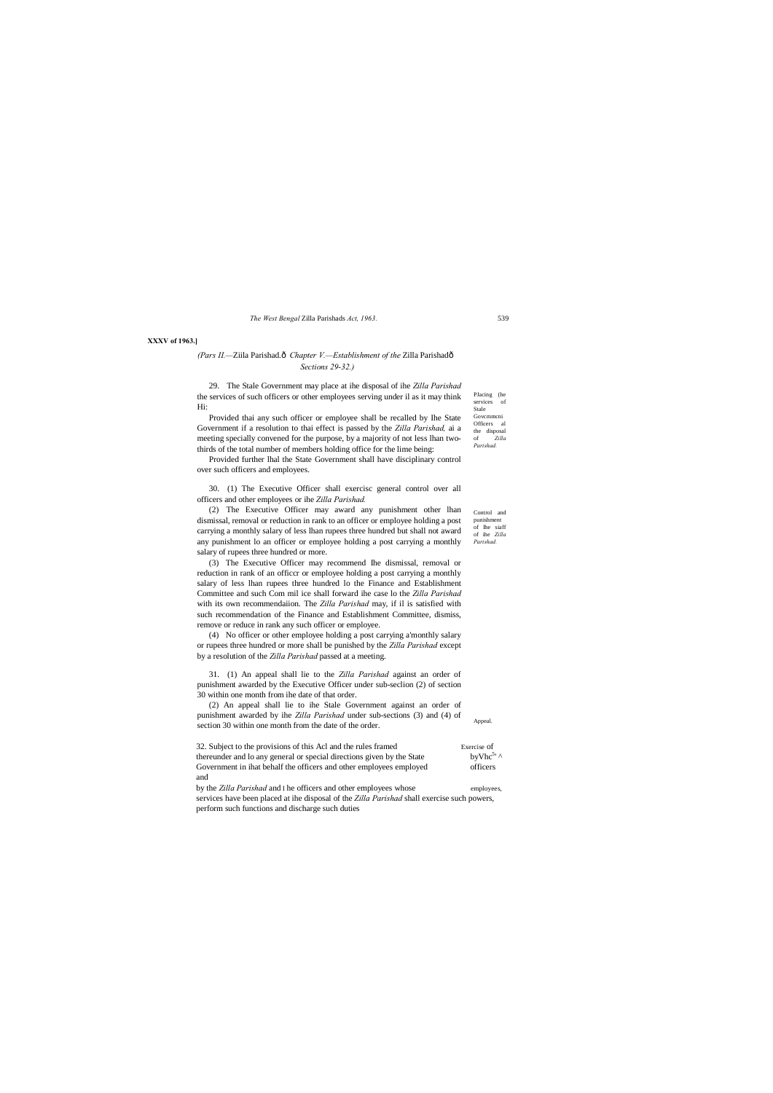$\operatorname{services}$ Stale Govcmmcni Officers al the disposal of *Zilla Parishad.*

Control and punishment of Ihe siaff of ihe *Zilla* 

*The West Bengal* Zilla Parishads *Act, 1963.* 539

#### **XXXV of 1963.]**

PJacing (he<br>services of 29. The Stale Government may place at ihe disposal of ihe *Zilla Parishad* the services of such officers or other employees serving under il as it may think Hi:

# *(Pars II.—*Ziila Parishad.—*Chapter V.—Establishment of the* Zilla Parishad— *Sections 29-32.)*

Provided thai any such officer or employee shall be recalled by Ihe State Government if a resolution to thai effect is passed by the *Zilla Parishad,* ai a meeting specially convened for the purpose, by a majority of not less lhan twothirds of the total number of members holding office for the lime being:

*Parishad.* (2) The Executive Officer may award any punishment other lhan dismissal, removal or reduction in rank to an officer or employee holding a post carrying a monthly salary of less lhan rupees three hundred but shall not award any punishment lo an officer or employee holding a post carrying a monthly salary of rupees three hundred or more.

Provided further lhal the State Government shall have disciplinary control over such officers and employees.

30. (1) The Executive Officer shall exercisc general control over all officers and other employees or ihe *Zilla Parishad.*

| (2) An appeal shall lie to ihe Stale Government against an order of               |         |
|-----------------------------------------------------------------------------------|---------|
| punishment awarded by ihe <i>Zilla Parishad</i> under sub-sections (3) and (4) of |         |
| section 30 within one month from the date of the order.                           | Appeal. |
|                                                                                   |         |

by the *Zilla Parishad* and I he officers and other employees whose employees, services have been placed at ihe disposal of the *Zilla Parishad* shall exercise such powers, perform such functions and discharge such duties

(3) The Executive Officer may recommend Ihe dismissal, removal or reduction in rank of an officcr or employee holding a post carrying a monthly salary of less lhan rupees three hundred lo the Finance and Establishment Committee and such Com mil ice shall forward ihe case lo the *Zilla Parishad* with its own recommendaiion. The *Zilla Parishad* may, if il is satisfied with such recommendation of the Finance and Establishment Committee, dismiss, remove or reduce in rank any such officer or employee.

(4) No officer or other employee holding a post carrying a'monthly salary or rupees three hundred or more shall be punished by the *Zilla Parishad* except by a resolution of the *Zilla Parishad* passed at a meeting.

31. (1) An appeal shall lie to the *Zilla Parishad* against an order of punishment awarded by the Executive Officer under sub-seclion (2) of section 30 within one month from ihe date of that order.

| 32. Subject to the provisions of this Acl and the rules framed         | Exercise of       |
|------------------------------------------------------------------------|-------------------|
| thereunder and lo any general or special directions given by the State | by V $he^{5}$ ' ^ |
| Government in ihat behalf the officers and other employees employed    | officers          |
| and                                                                    |                   |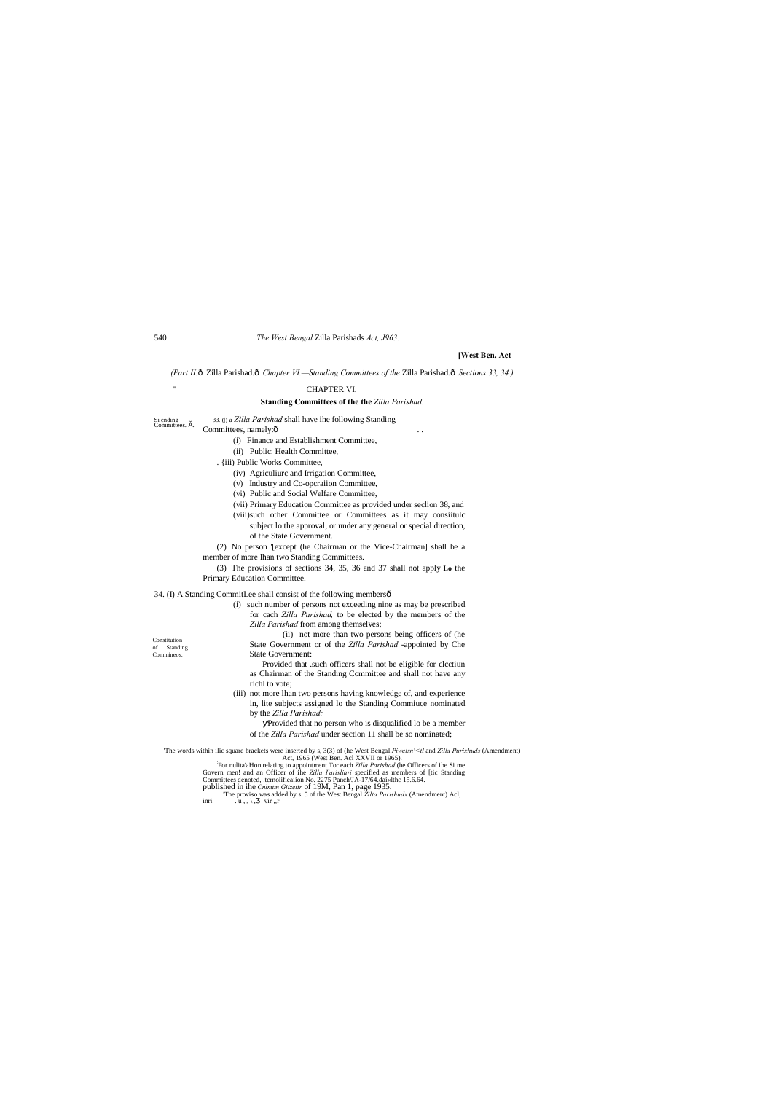#### **[West Ben. Act**

*(Part II.* ô Zilla Parishad. ô Chapter VI.—Standing Committees of the Zilla Parishad. ô Sections 33, 34.)

''

Constitution of Standing **Commineos** 

Si ending  $\frac{33. (I)}{2}$  a *Zilla Parishad* shall have ihe following Standing Committees.  $\frac{33. (I)}{2}$  **Committees**, namely: $\delta$ 

#### CHAPTER VI.

## **Standing Committees of the the** *Zilla Parishad.*

(i) Finance and Establishment Committee,

- Provided that .such officers shall not be eligible for clcctiun as Chairman of the Standing Committee and shall not have any richl to vote;
- (iii) not more lhan two persons having knowledge of, and experience in, lite subjects assigned lo the Standing Commiuce nominated by the *Zilla Parishad:*
	- Provided that no person who is disqualified lo be a member of the *Zilla Parishad* under section 11 shall be so nominated;
- The words within ilic square brackets were inserted by s, 3(3) of (he West Bengal *Piwclsn* $\lt$ tl and *Zilla Purixhuds* (Amendment)<br>Act, 1965 (West Ben. Acl XXVII or 1965). :<br>En pulticle Isn and the square to a papidment T For nulita'aHon relating to appointment Tor each *Zilla Parishad* (he Officers of ihe Si me Govern men! and an Officer of ihe *Zilla I'arisliari* specified as members of [tic Standing Committees denoted, .tcrnoiifieaiion No. 2275 Panch/JA-17/64.dai«lthc 15.6.64.
	- published in ihe *Cnlmtm Giizeiir* of 19M, Pan 1, page 1935.<br>
	"The proviso was added by s. 5 of the West Bengal *Zilta Parishudx* (Amendment) Acl,<br>
	inri . u ,,, \, vir ,,r

- (ii) Public: Health Committee,
- . {iii) Public Works Committee,
	- (iv) Agriculiurc and Irrigation Committee,
	- (v) Industry and Co-opcraiion Committee,
	- (vi) Public and Social Welfare Committee,
	- (vii) Primary Education Committee as provided under seclion 38, and
	- (viii)such other Committee or Committees as it may consiitulc subject lo the approval, or under any general or special direction, of the State Government.
- (2) No person '[except (he Chairman or the Vice-Chairman] shall be a member of more lhan two Standing Committees.
- (3) The provisions of sections 34, 35, 36 and 37 shall not apply **Lo** the Primary Education Committee.

#### 34. (I) A Standing CommitLee shall consist of the following members—

(i) such number of persons not exceeding nine as may be prescribed for cach *Zilla Parishad,* to be elected by the members of the *Zilla Parishad* from among themselves;

(ii) not more than two persons being officers of (he State Government or of the *Zilla Parishad* -appointed by Che State Government: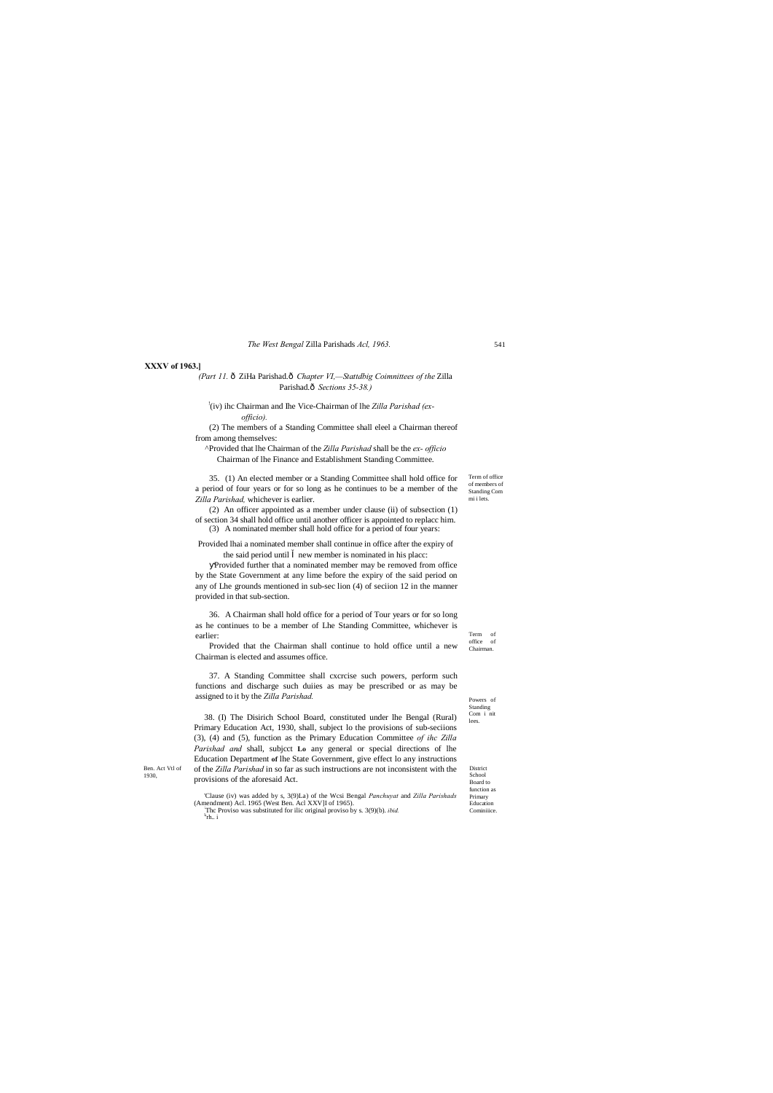541

Term of<br>office of  $% \left\vert \left( \mathcal{A},\mathcal{A}\right) \right\rangle$  of<br>fice Chairman.

District School Board to function as Primary Education Cominiice.

Powers of Standing Com i nit lees.

Ben. Act Vtl of 1930,

**XXXV of 1963.]**

#### *(Part 11. ô ZiHa Parishad.ô Chapter VI,*—*Stattdbig Coimnittees of the Zilla* Parishad. $\hat{o}$  Sections 35-38.)

! (iv) ihc Chairman and Ihe Vice-Chairman of lhe *Zilla Parishad (exofficio).*

Term of office of members of Standing Com mi i lets. 35. (1) An elected member or a Standing Committee shall hold office for a period of four years or for so long as he continues to be a member of the *Zilla Parishad,* whichever is earlier.

(2) The members of a Standing Committee shall eleel a Chairman thereof from among themselves:

^Provided that lhe Chairman of the *Zilla Parishad* shall be the *ex- officio* Chairman of lhe Finance and Establishment Standing Committee.

(2) An officer appointed as a member under clause (ii) of subsection (1) of section 34 shall hold office until another officer is appointed to replacc him. (3) A nominated member shall hold office for a period of four years:

Provided lhai a nominated member shall continue in office after the expiry of

'Clause (iv) was added by s, 3(9)La) of the Wcsi Bengal *Panchuyat* and *Zilla Parishads*  (Amendment) Acl. 1965 (West Ben. Acl XXV]I of 1965).

the said period until new member is nominated in his placc:

Provided further that a nominated member may be removed from office by the State Government at any lime before the expiry of the said period on any of Lhe grounds mentioned in sub-sec lion (4) of seciion 12 in the manner provided in that sub-section.

36. A Chairman shall hold office for a period of Tour years or for so long as he continues to be a member of Lhe Standing Committee, whichever is earlier:

Provided that the Chairman shall continue to hold office until a new Chairman is elected and assumes office.

37. A Standing Committee shall cxcrcise such powers, perform such functions and discharge such duiies as may be prescribed or as may be assigned to it by the *Zilla Parishad.*

38. (I) The Disirich School Board, constituted under lhe Bengal (Rural) Primary Education Act, 1930, shall, subject lo the provisions of sub-seciions (3), (4) and (5), function as the Primary Education Committee *of ihc Zilla Parishad and* shall, subjcct **Lo** any general or special directions of lhe Education Department **of** lhe State Government, give effect lo any instructions of the *Zilla Parishad* in so far as such instructions are not inconsistent with the provisions of the aforesaid Act.

Thc Proviso was substituted for ilic original proviso by s. 3(9)(b). *ibid.* <sup>l</sup> 'rh.. i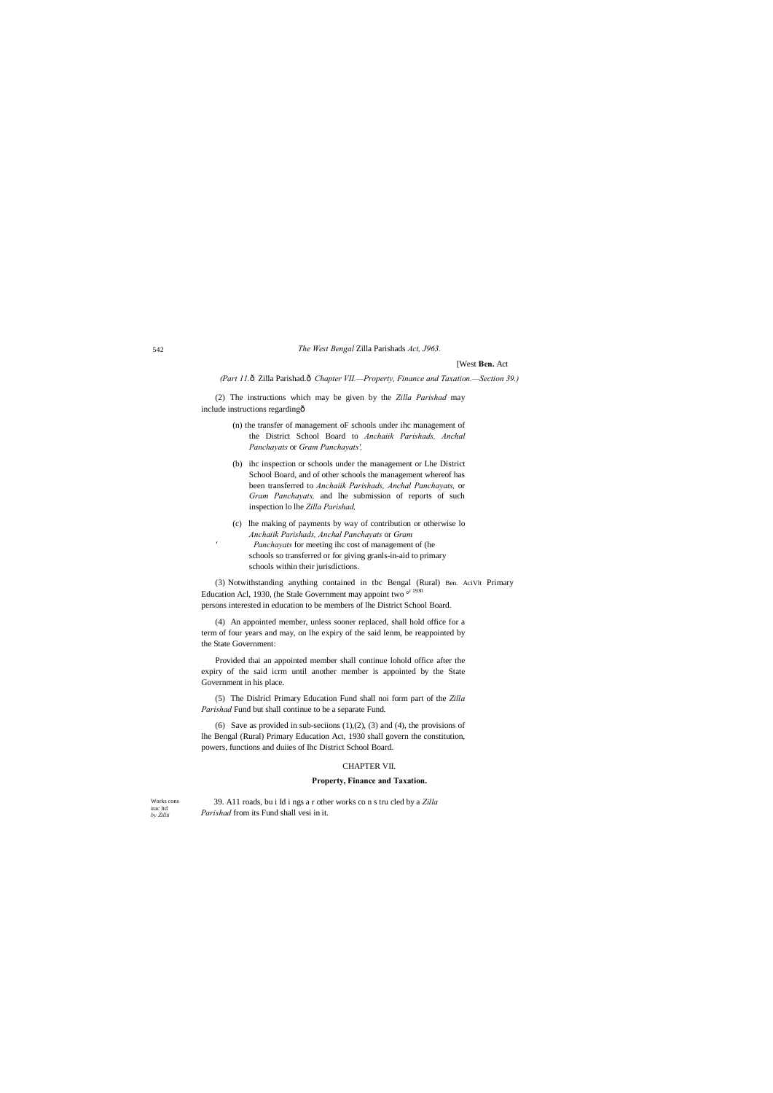542

Works cons irac ltd *by Zillti*

#### *The West Bengal* Zilla Parishads *Act, J963.*

#### [West **Ben.** Act

*(Part 11.* $\hat{o}$  Zilla Parishad. $\hat{o}$  Chapter VII.<sup>*—Property, Finance and Taxation.—Section 39.)*</sup>

(2) The instructions which may be given by the *Zilla Parishad* may include instructions regarding—

> (n) the transfer of management oF schools under ihc management of the District School Board to *Anchaiik Parishads, Anchal Panchayats* or *Gram Panchayats',*

- (b) ihc inspection or schools under the management or Lhe District School Board, and of other schools the management whereof has been transferred to *Anchaiik Parishads, Anchal Panchayats,* or *Gram Panchayats,* and lhe submission of reports of such inspection lo lhe *Zilla Parishad,*
- (c) lhe making of payments by way of contribution or otherwise lo *Anchaiik Parishads, Anchal Panchayats* or *Gram*
	- *Panchayats* for meeting ihc cost of management of (he schools so transferred or for giving granls-in-aid to primary schools within their jurisdictions.

*'*

(6) Save as provided in sub-seciions  $(1),(2),(3)$  and  $(4)$ , the provisions of lhe Bengal (Rural) Primary Education Act, 1930 shall govern the constitution, powers, functions and duiies of Ihc District School Board.

(3) Notwithstanding anything contained in tbc Bengal (Rural) Ben. AciVlt Primary Education Acl, 1930, (he Stale Government may appoint two  $\frac{60 \text{ T}}{1930}$ persons interested in education to be members of lhe District School Board.

(4) An appointed member, unless sooner replaced, shall hold office for a term of four years and may, on lhe expiry of the said lenm, be reappointed by the State Government:

Provided thai an appointed member shall continue lohold office after the expiry of the said icrm until another member is appointed by the State Government in his place.

(5) The Dislricl Primary Education Fund shall noi form part of the *Zilla Parishad* Fund but shall continue to be a separate Fund.

# CHAPTER VII.

#### **Property, Finance and Taxation.**

39. A11 roads, bu i Id i ngs a r other works co n s tru cled by a *Zilla Parishad* from its Fund shall vesi in it.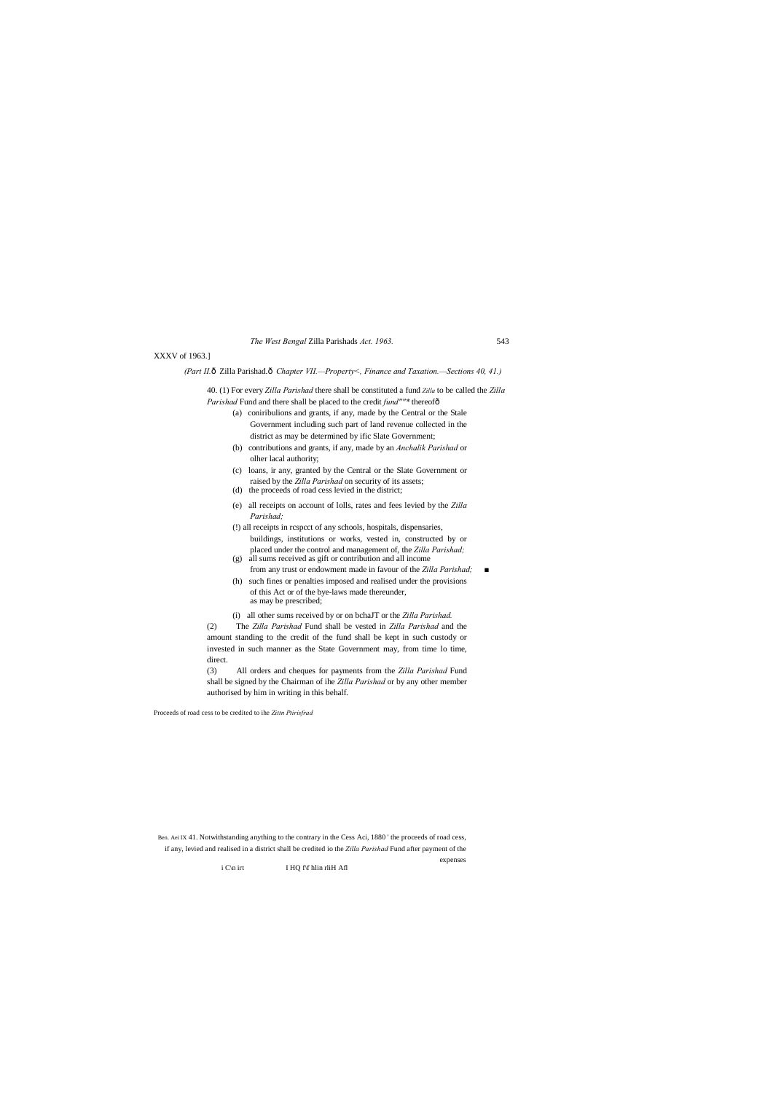Ben. Aei IX 41. Notwithstanding anything to the contrary in the Cess Aci, 1880 ' the proceeds of road cess, if any, levied and realised in a district shall be credited io the *Zilla Parishad* Fund after payment of the expenses

i C\n irt  $I$  HQ f\f hlin rliH Afl

| The West Bengal Zilla Parishads Act. 1963. | 543 |
|--------------------------------------------|-----|
|--------------------------------------------|-----|

XXXV of 1963.]

*(Part II.*—Zilla Parishad.—*Chapter VII.—Property<, Finance and Taxation.—Sections 40, 41.)*

40. (1) For every *Zilla Parishad* there shall be constituted a fund *Zilla* to be called the *Zilla* 

*Parishad* Fund and there shall be placed to the credit fund""\* thereofô

- (a) coniribulions and grants, if any, made by the Central or the Stale Government including such part of land revenue collected in the district as may be determined by ific Slate Government;
- (b) contributions and grants, if any, made by an *Anchalik Parishad* or olher lacal authority;
- (c) loans, ir any, granted by the Central or the Slate Government or raised by the *Zilla Parishad* on security of its assets;
- (d) the proceeds of road cess levied in the district;
- (e) all receipts on account of lolls, rates and fees levied by the *Zilla Parishad;*
- (!) all receipts in rcspcct of any schools, hospitals, dispensaries, buildings, institutions or works, vested in, constructed by or placed under the control and management of, the *Zilla Parishad;*
- (g) all sums received as gift or contribution and all income from any trust or endowment made in favour of the *Zilla Parishad; ■*
- (h) such fines or penalties imposed and realised under the provisions of this Act or of the bye-laws made thereunder, as may be prescribed;
- (i) all other sums received by or on bchaJT or the *Zilla Parishad.*

(2) The *Zilla Parishad* Fund shall be vested in *Zilla Parishad* and the amount standing to the credit of the fund shall be kept in such custody or invested in such manner as the State Government may, from time lo time, direct.

(3) All orders and cheques for payments from the *Zilla Parishad* Fund shall be signed by the Chairman of ihe *Zilla Parishad* or by any other member authorised by him in writing in this behalf.

Proceeds of road cess to be credited to ihe *Zittn Ptirisfrad*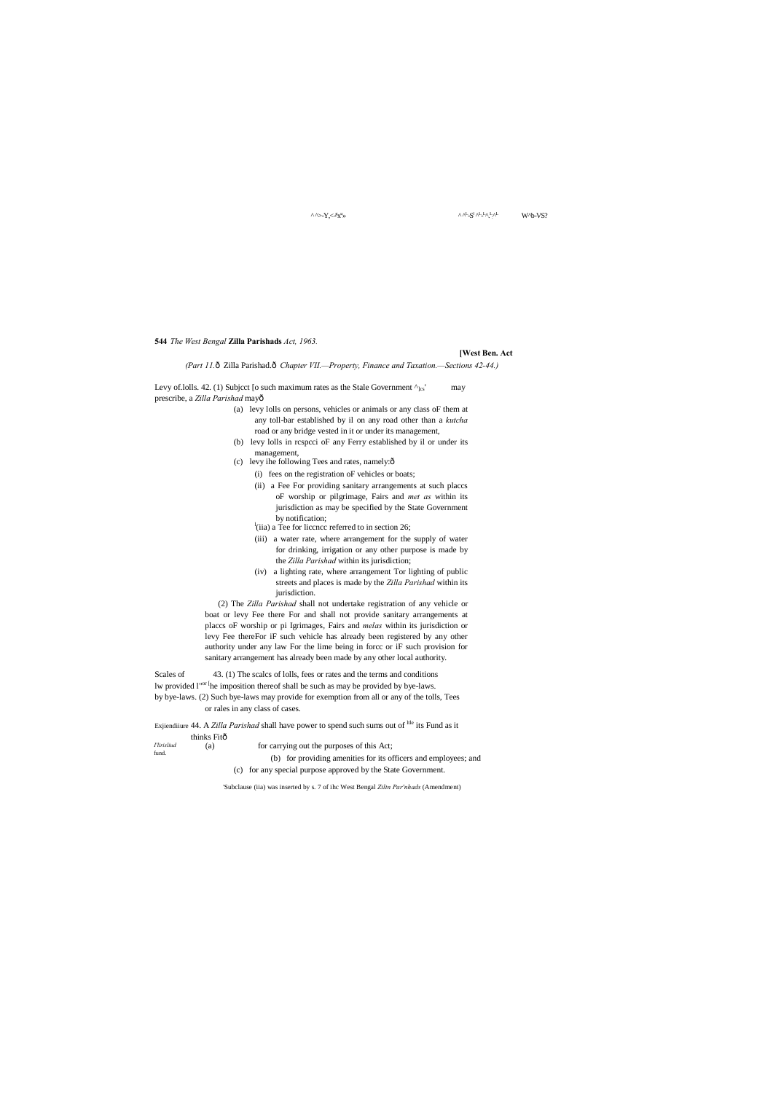$\wedge \wedge > Y \leq^g X^u$ 

 $\rightarrow$   $\sim$   $\sim$   $\sim$   $\sim$   $\sim$  $- S^{\text{L}} \wedge^{\text{L}} \wedge^{\text{L}} \wedge^{\text{L}} \wedge$  W^b-VS?

**544** *The West Bengal* **Zilla Parishads** *Act, 1963.*

# **[West Ben. Act**

Levy of. lolls. 42. (1) Subject [o such maximum rates as the Stale Government  $\gamma_{\rm lcs}'$  may prescribe, a *Zilla Parishad* may—

*(Part 11.*—Zilla Parishad.—*Chapter VII.—Property, Finance and Taxation.—Sections 42-44.)*

- (a) levy lolls on persons, vehicles or animals or any class oF them at any toll-bar established by il on any road other than a *kutcha* road or any bridge vested in it or under its management,
- (b) levy lolls in rcspcci oF any Ferry established by il or under its management,
- (c) levy ihe following Tees and rates, namely: $\hat{o}$ 
	- (i) fees on the registration oF vehicles or boats;
	- (ii) a Fee For providing sanitary arrangements at such placcs oF worship or pilgrimage, Fairs and *met as* within its jurisdiction as may be specified by the State Government
	- by notification;<br><sup>l</sup>(iia) a Tee for liccncc referred to in section 26;
	- (iii) a water rate, where arrangement for the supply of water for drinking, irrigation or any other purpose is made by the *Zilla Parishad* within its jurisdiction;
	- (iv) a lighting rate, where arrangement Tor lighting of public streets and places is made by the *Zilla Parishad* within its jurisdiction.

Scales of 43. (1) The scales of lolls, fees or rates and the terms and conditions lw provided l"<sup>or [</sup>he imposition thereof shall be such as may be provided by bye-laws. by bye-laws. (2) Such bye-laws may provide for exemption from all or any of the tolls, Tees or rales in any class of cases.

*I'lirisliud*  fund. Exjiendiiure 44. A *Zilla Parishad* shall have power to spend such sums out of <sup>ltle</sup> its Fund as it thinks Fitô (a) for carrying out the purposes of this Act; (b) for providing amenities for its officers and employees; and

(2) The *Zilla Parishad* shall not undertake registration of any vehicle or boat or levy Fee there For and shall not provide sanitary arrangements at placcs oF worship or pi Igrimages, Fairs and *melas* within its jurisdiction or levy Fee thereFor iF such vehicle has already been registered by any other authority under any law For the lime being in forcc or iF such provision for sanitary arrangement has already been made by any other local authority.

(c) for any special purpose approved by the State Government.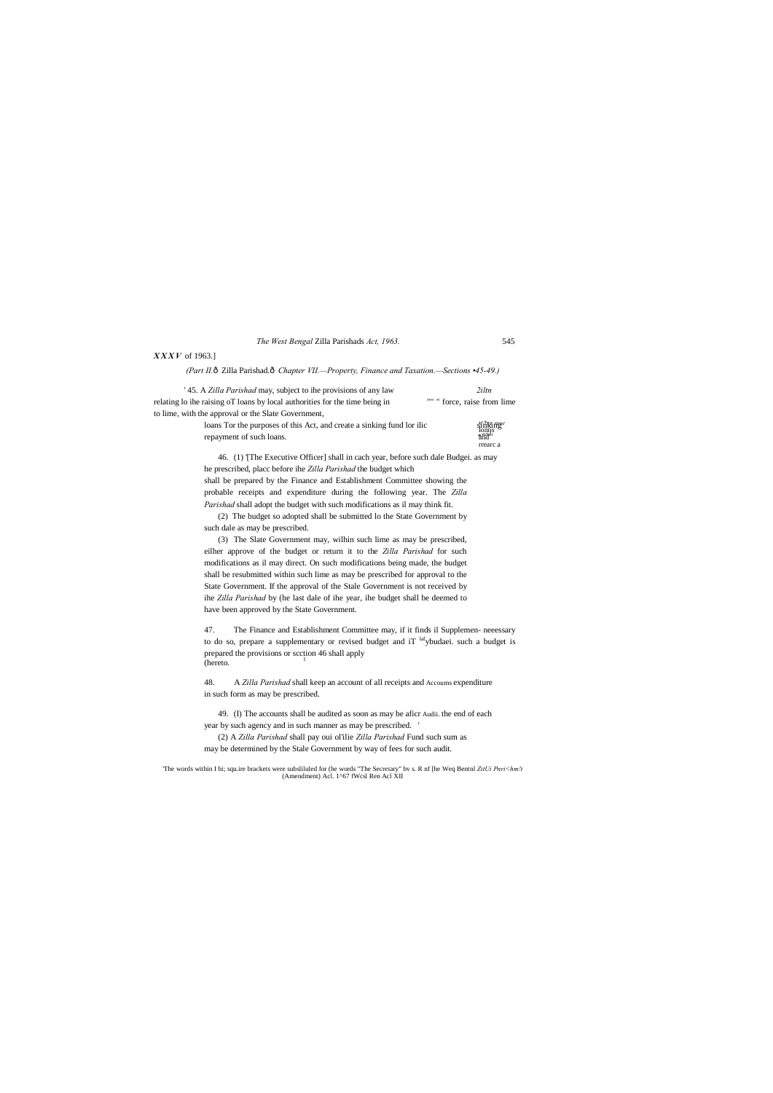#### *X X X V* of 1963.]

*(Part II.*—Zilla Parishad.—*Chapter VII.—Property, Finance and Taxation.—Sections •45-49.)*

| '45. A Zilla Parishad may, subject to ihe provisions of any law             | 2iltn                       |
|-----------------------------------------------------------------------------|-----------------------------|
| relating to the raising of loans by local authorities for the time being in | "" " force, raise from lime |
| to lime, with the approval or the Slate Government,                         |                             |

loans Tor the purposes of this Act, and create a sinking fund lor ilic repayment of such loans.

46. (1) '[The Executive Officer] shall in cach year, before such dale Budgei. as may he prescribed, placc before ihe *Zilla Parishad* the budget which shall be prepared by the Finance and Establishment Committee showing the

47. The Finance and Establishment Committee may, if it finds il Supplemen- neeessary to do so, prepare a supplementary or revised budget and iT <sup>laf</sup>ybudaei. such a budget is prepared the provisions or scction 46 shall apply  $(hereto.$ <sup>1</sup>

probable receipts and expenditure during the following year. The *Zilla Parishad* shall adopt the budget with such modifications as il may think fit.

(2) The budget so adopted shall be submitted lo the State Government by such dale as may be prescribed.

y\\*<del>ry</del> *ruse*<br>lonns<br>\*wnd'<br>ånd' rrearc a

(3) The Slate Government may, wilhin such lime as may be prescribed, eilher approve of the budget or return it to the *Zilla Parishad* for such modifications as il may direct. On such modifications being made, the budget shall be resubmitted within such lime as may be prescribed for approval to the State Government. If the approval of the Stale Government is not received by ihe *Zilla Parishad* by (he last dale of ihe year, ihe budget shall be deemed to have been approved by the State Government.

48. A *Zilla Parishad* shall keep an account of all receipts and Accoums expenditure in such form as may be prescribed.

49. (I) The accounts shall be audited as soon as may be aficr Audii. the end of each year by such agency and in such manner as may be prescribed. '

(2) A *Zilla Parishad* shall pay oui ol'ilie *Zilla Parishad* Fund such sum as may be determined by the Stale Government by way of fees for such audit.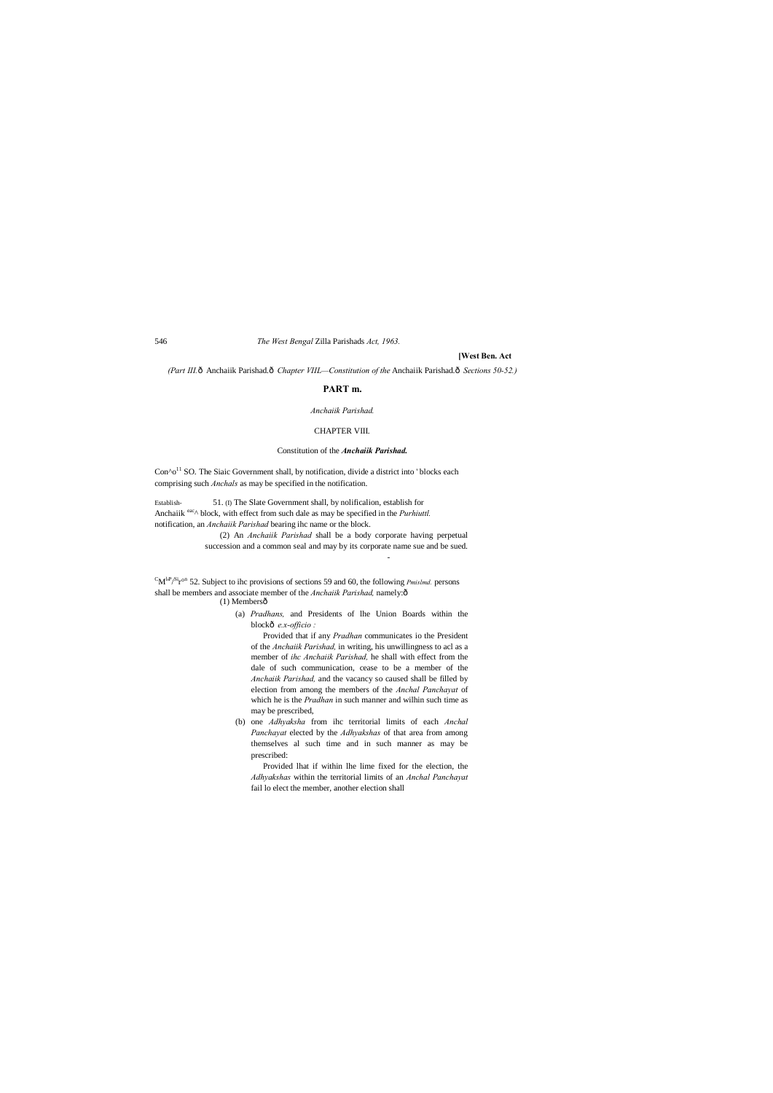#### **[West Ben. Act**

*(Part III.*—Anchaiik Parishad.—*Chapter VIIL—Constitution of the* Anchaiik Parishad.—*Sections 50-52.)*

# **PART m.**

## *Anchaiik Parishad.*

#### CHAPTER VIII.

 $Con^{\wedge}o^{11}$  SO. The Siaic Government shall, by notification, divide a district into ' blocks each comprising such *Anchals* as may be specified in the notification.

#### Constitution of the *Anchaiik Parishad.*

(a) *Pradhans,* and Presidents of lhe Union Boards within the blockô e.x-officio :

Establish- 51. (I) The Slate Government shall, by nolificalion, establish for Anchaiik <sup>eac</sup>^ block, with effect from such dale as may be specified in the *Purhiuttl*. notification, an *Anchaiik Parishad* bearing ihc name or the block.

> (2) An *Anchaiik Parishad* shall be a body corporate having perpetual succession and a common seal and may by its corporate name sue and be sued.

 ${}^{C}M^{LP/Sr}$ <sup>on</sup> 52. Subject to ihc provisions of sections 59 and 60, the following *Pmislmd*. persons shall be members and associate member of the *Anchaiik Parishad,* namely:— (1) Membersô

-

Provided that if any *Pradhan* communicates io the President of the *Anchaiik Parishad,* in writing, his unwillingness to acl as a member of *ihc Anchaiik Parishad,* he shall with effect from the dale of such communication, cease to be a member of the *Anchaiik Parishad,* and the vacancy so caused shall be filled by election from among the members of the *Anchal Panchayat* of which he is the *Pradhan* in such manner and wilhin such time as may be prescribed,

(b) one *Adhyaksha* from ihc territorial limits of each *Anchal Panchayat* elected by the *Adhyakshas* of that area from among themselves al such time and in such manner as may be prescribed:

Provided lhat if within lhe lime fixed for the election, the *Adhyakshas* within the territorial limits of an *Anchal Panchayat* fail lo elect the member, another election shall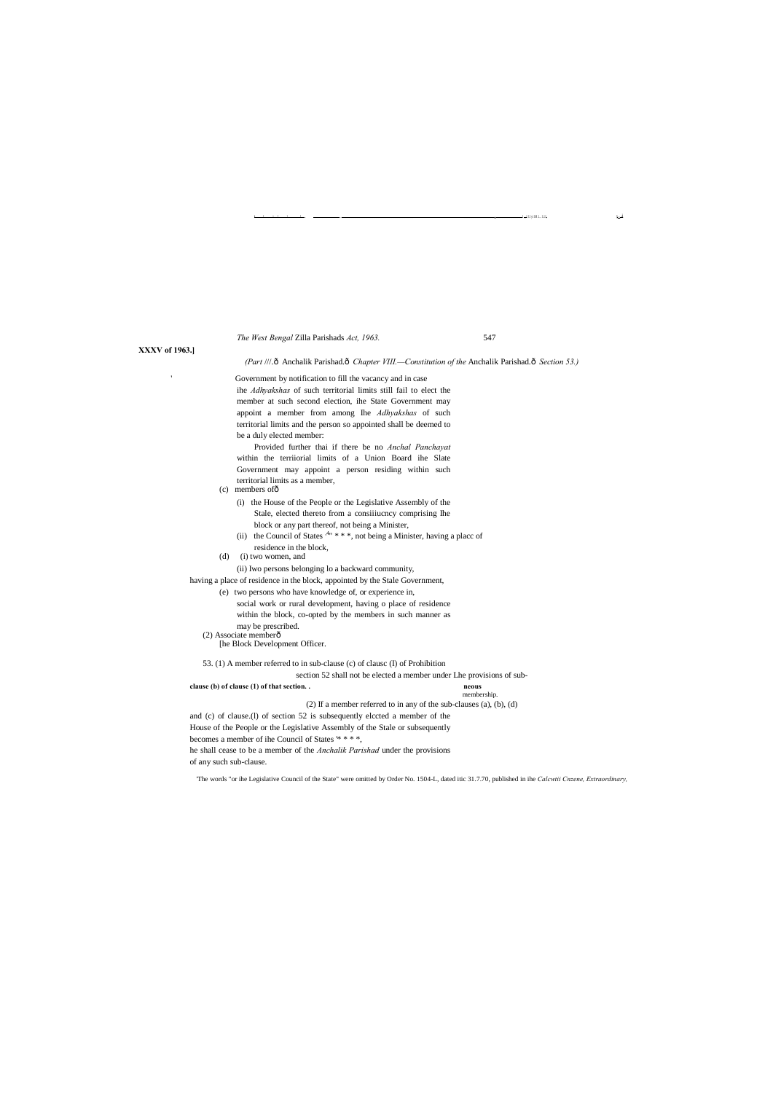#### k . L . ^ 1 . 1 . . I . . . . . . . ........... .................................................................................................................................................... ......................................................................L.............................................................I , .,I. I.I yi I M.1... I..I.J, |IUJ1 ,."

*The West Bengal* Zilla Parishads *Act, 1963.* 547

#### **XXXV of 1963.]**

*(Part* ///.—Anchalik Parishad.—*Chapter VIII.—Constitution of the* Anchalik Parishad.—*Section 53.)*

'

Government by notification to fill the vacancy and in case

- (c) members of ô
	- (i) the House of the People or the Legislative Assembly of the Stale, elected thereto from a consiiiucncy comprising Ihe block or any part thereof, not being a Minister,
	- (ii) the Council of States  $x^{4}$  \* \* \*, not being a Minister, having a place of
- residence in the block, (d) (i) two women, and

ihe *Adhyakshas* of such territorial limits still fail to elect the member at such second election, ihe State Government may appoint a member from among Ihe *Adhyakshas* of such territorial limits and the person so appointed shall be deemed to be a duly elected member:

Provided further thai if there be no *Anchal Panchayat*  within the terriiorial limits of a Union Board ihe Slate Government may appoint a person residing within such territorial limits as a member,

(ii) Iwo persons belonging lo a backward community,

having a place of residence in the block, appointed by the Stale Government,

(e) two persons who have knowledge of, or experience in,

- social work or rural development, having o place of residence
- within the block, co-opted by the members in such manner as
- may be prescribed.
- (2) Associate memberô [he Block Development Officer.

53. (1) A member referred to in sub-clause (c) of clausc (I) of Prohibition

section 52 shall not be elected a member under Lhe provisions of sub-

**clause (b) of clause (1) of that section. . neous**

membership.

(2) If a member referred to in any of the sub-clauses (a), (b), (d)

and (c) of clause.(l) of section 52 is subsequently elccted a member of the House of the People or the Legislative Assembly of the Stale or subsequently

becomes a member of ihe Council of States '\* \* \* \*,

he shall cease to be a member of the *Anchalik Parishad* under the provisions

of any such sub-clause.

'The words "or ihe Legislative Council of the State" were omitted by Order No. 1504-L, dated itic 31.7.70, published in ihe *Calcwtii Cnzene, Extraordinary,*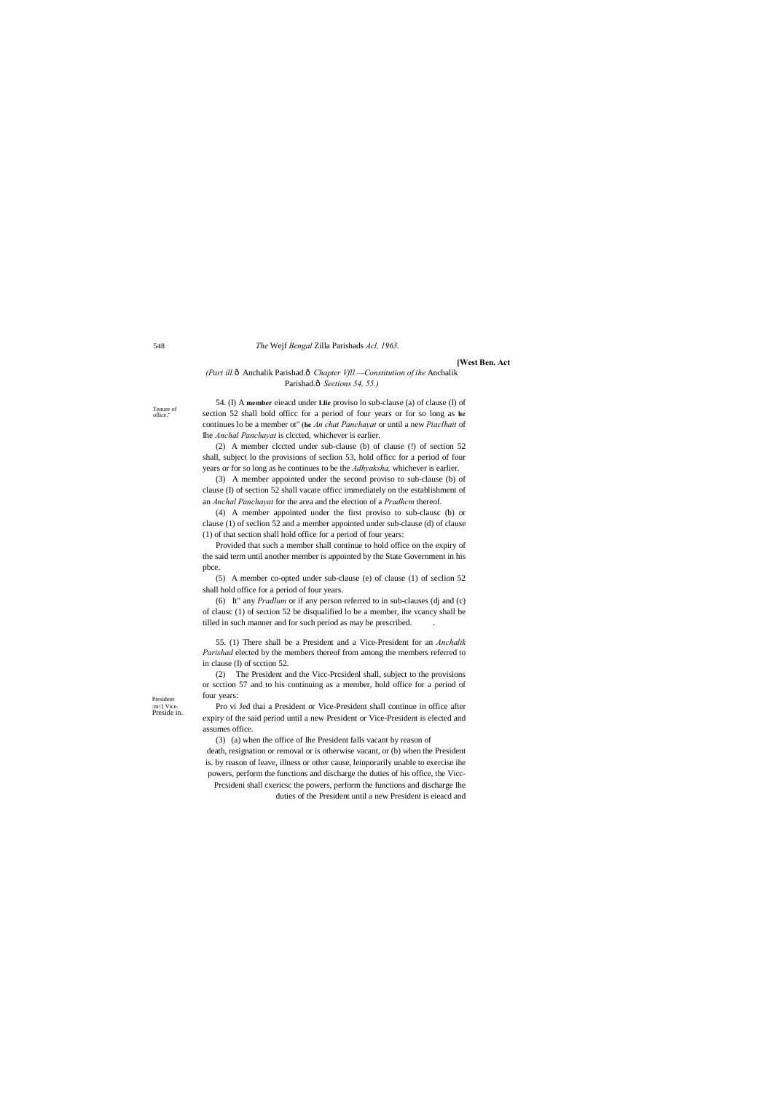548

Tenure of oflice."

President :m<] Vice-Preside in. *(Part ill.*—Anchalik Parishad.—*Chapter Vfll.—Constitution of ihe* Anchalik Parishad. $\hat{o}$  Sections 54, 55.)

#### *The* Wejf *Bengal* Zilla Parishads *Acl, 1963.*

#### **[West Ben. Act**

54. (I) A **member** eieacd under **Llie** proviso lo sub-clause (a) of clause (I) of section 52 shall bold officc for a period of four years or for so long as **he** continues lo be a member ot" **(he** *An chat Panchayat* or until a new *Piaclhait* of Ihe *Anchal Panchayat* is clccted, whichever is earlier.

(2) A member clccted under sub-clause (b) of clause (!) of section 52 shall, subject lo the provisions of seclion 53, hold officc for a period of four years or for so long as he continues to be the *Adhyaksha,* whichever is earlier.

(3) A member appointed under the second proviso to sub-clause (b) of clause (I) of section 52 shall vacate officc immediately on the establishment of an *Anchal Panchayat* for the area and the election of a *Pradhcm* thereof.

(4) A member appointed under the first proviso to sub-clausc (b) or clause (1) of seclion 52 and a member appointed under sub-clause (d) of clause (1) of that section shall hold office for a period of four years:

Provided that such a member shall continue to hold office on the expiry of the said term until another member is appointed by the State Government in his pbce.

(5) A member co-opted under sub-clause (e) of clause (1) of seclion 52 shall hold office for a period of four years.

(6) It" any *Pradlum* or if any person referred to in sub-clauses (dj and (c) of clausc (1) of section 52 be disqualified lo be a member, ihe vcancy shall be tilled in such manner and for such period as may be prescribed. .

55. (1) There shall be a President and a Vice-President for an *Anchalik Parishad* elected by the members thereof from among the members referred to in clause (I) of scction 52.

(2) The President and the Vicc-Prcsidenl shall, subject to the provisions or scction 57 and to his continuing as a member, hold office for a period of four years:

Pro vi Jed thai a President or Vice-President shall continue in office after expiry of the said period until a new President or Vice-President is elected and assumes office.

(3) (a) when the office of Ihe President falls vacant by reason of

death, resignation or removal or is otherwise vacant, or (b) when the President is. by reason of leave, illness or other cause, leinporarily unable to exercise ihe powers, perform the functions and discharge the duties of his office, the Vicc-Prcsideni shall cxericsc the powers, perform the functions and discharge Ihe

duties of the President until a new President is eieacd and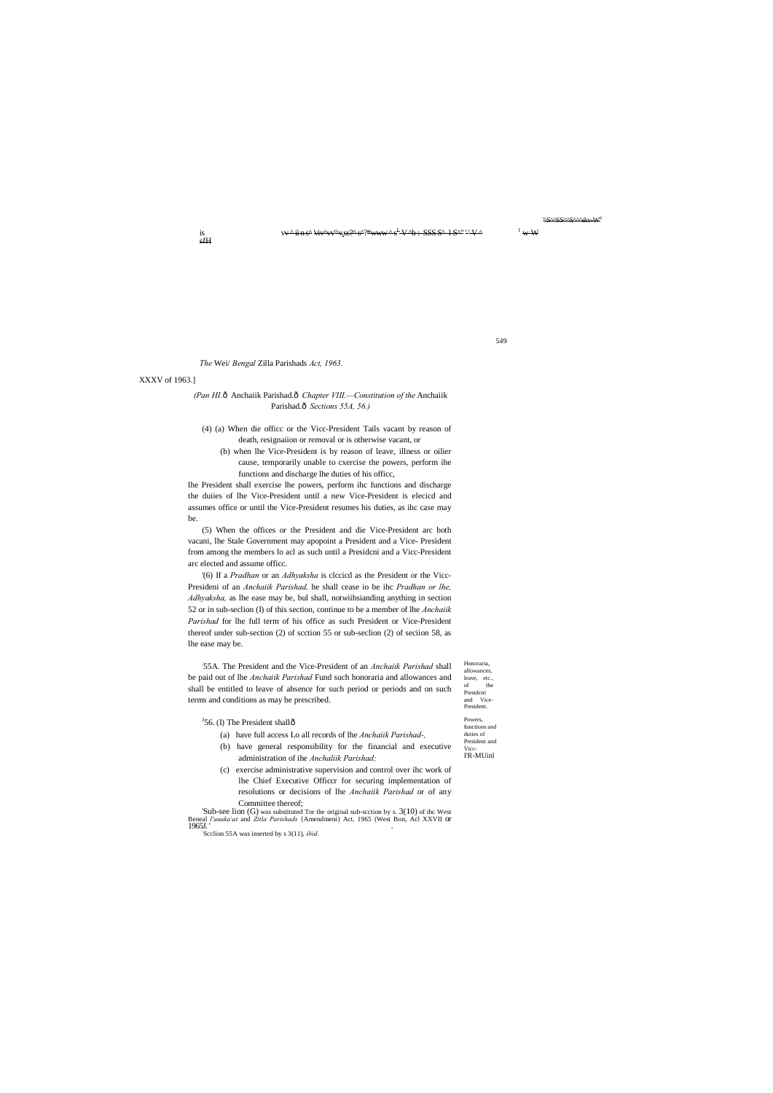is<br><del>sfH</del>

 $\frac{1}{2}$  iv  $\frac{1}{2}$  section is  $\frac{1}{2}$  w W

'^S^^SS^^S^^^skv-W'1

549

Honoraria, allowances, leave, etc. of the Presidcni and Vice-President. Powers, functions and duties of President and Vicc-I'R-MUinl

# *(Pan HI.*—Anchaiik Parishad.—*Chapter VIII.—Constitution of the* Anchaiik Parishad. $\hat{o}$  Sections 55A, 56.)

*The* Wei/ *Bengal* Zilla Parishads *Act, 1963.*

XXXV of 1963.]

# (4) (a) When die officc or the Vicc-President Tails vacant by reason of death, resignaiion or removal or is otherwise vacant, or

(b) when lhe Vice-President is by reason of leave, illness or oilier cause, temporarily unable to cxercise the powers, perform ihe functions and discharge lhe duties of his officc,

lhe President shall exercise lhe powers, perform ihc functions and discharge the duiies of lhe Vice-President until a new Vice-President is elecicd and assumes office or until the Vice-President resumes his duties, as ihc case may be.

(5) When the offices or the President and die Vice-President arc both vacani, lhe Stale Government may apopoint a President and a Vice- President from among the members lo acl as such until a Presidcni and a Vicc-President arc elected and assume officc.

'Sub-see lion (G) was substituted Tor the original sub-scction by s. 3(10) of ihc West Beneal *l'auuka\at* and *Zitla Parishads* {Amendmeni) Act, 1965 (West Bon, Acl XXVII or 1965J.

'(6) If a *Pradhan* or an *Adhyaksha* is clccicd as the President or the Vicc-Presideni of an *Anchaiik Parishad,* he shall cease io be ihc *Pradhan or lhe, Adhyaksha,* as lhe ease may be, bul shall, notwiihsianding anything in section 52 or in sub-seclion (I) of this section, continue to be a member of lhe *Anchaiik Parishad* for lhe full term of his office as such President or Vice-President thereof under sub-section (2) of scction 55 or sub-seclion (2) of seciion 58, as lhe ease may be.

: 55A. The President and the Vice-President of an *Anchaiik Parishad* shall be paid out of lhe *Anchaiik Parishad* Fund such honoraria and allowances and shall be entitled to leave of ahsence for such period or periods and on such terms and conditions as may be prescribed.

# <sup>J</sup>56. (I) The President shallô

- (a) have full access Lo all records of lhe *Anchaiik Parishad-,* (b) have general responsibility for the financial and executive
- administration of ihe *Anchaliik Parishad;*
- (c) exercise administrative supervision and control over ihc work of lhe Chief Executive Officcr for securing implementation of resolutions or decisions of lhe *Anchaiik Parishad* or of any Committee thereof;

Scclion 55A was inserted by s 3(11), *ibid.*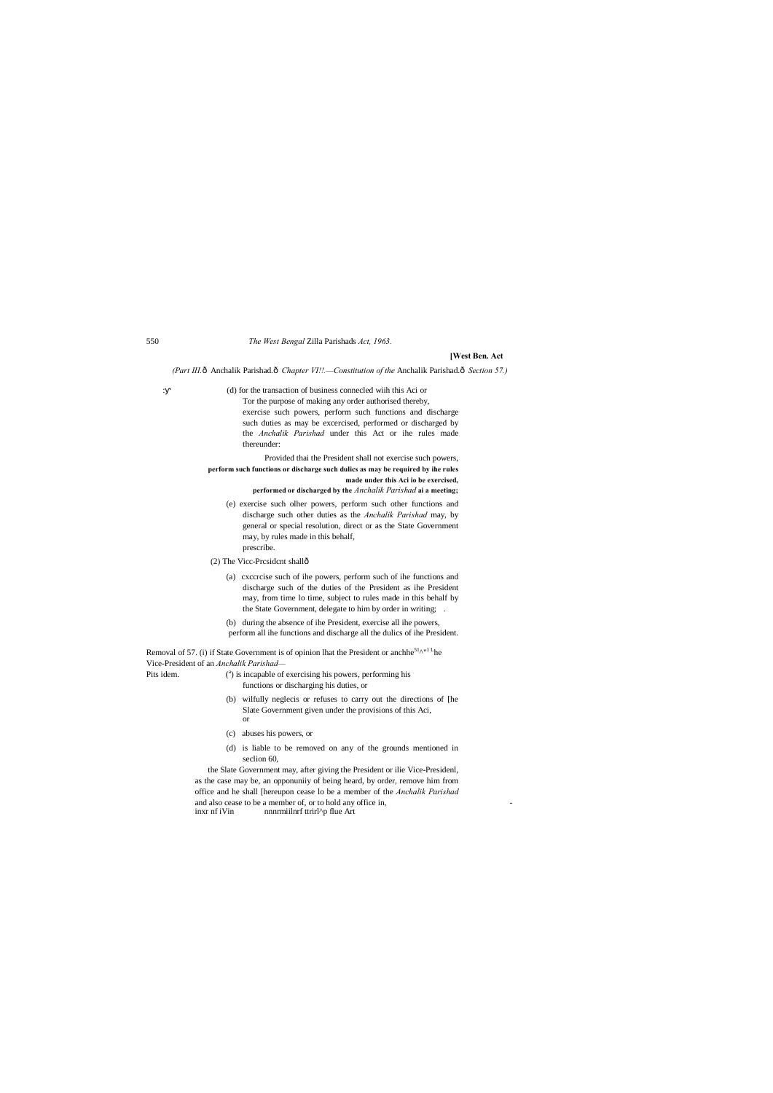#### **[West Ben. Act**

*(Part III.* ô Anchalik Parishad. ô Chapter VI!!.—Constitution of the Anchalik Parishad. ô Section 57.)

: (d) for the transaction of business connecled wiih this Aci or Tor the purpose of making any order authorised thereby, exercise such powers, perform such functions and discharge such duties as may be excercised, performed or discharged by the *Anchalik Parishad* under this Act or ihe rules made thereunder:

> Provided thai the President shall not exercise such powers, **perform such functions or discharge such dulics as may be required by ihe rules made under this Aci io be exercised,**

> > **performed or discharged by the** *Anchalik Parishad* **ai a meeting;**

Removal of 57. (i) if State Government is of opinion lhat the President or anchhe<sup>51</sup> $\wedge$ "<sup>1 L</sup>he Vice-President of an *Anchalik Parishad—*

Pits idem.

- <sup>a</sup>) is incapable of exercising his powers, performing his functions or discharging his duties, or
- (b) wilfully neglecis or refuses to carry out the directions of [he Slate Government given under the provisions of this Aci, or
- (c) abuses his powers, or
- (d) is liable to be removed on any of the grounds mentioned in seclion 60,

the Slate Government may, after giving the President or ilie Vice-Presidenl, as the case may be, an opponuniiy of being heard, by order, remove him from office and he shall [hereupon cease lo be a member of the *Anchalik Parishad* and also cease to be a member of, or to hold any office in,  $\frac{1}{N}$  inxr nf iVin nunrmillnrf ttrirl<sup> $\wedge$ </sup>p flue Art nnnrmiilnrf ttrirl^p flue Art

- (e) exercise such olher powers, perform such other functions and discharge such other duties as the *Anchalik Parishad* may, by general or special resolution, direct or as the State Government may, by rules made in this behalf, prescribe.
- (2) The Vicc-Prcsident shallô
	- (a) cxccrcise such of ihe powers, perform such of ihe functions and discharge such of the duties of the President as ihe President may, from time lo time, subject to rules made in this behalf by the State Government, delegate to him by order in writing; .
	- (b) during the absence of ihe President, exercise all ihe powers, perform all ihe functions and discharge all the dulics of ihe President.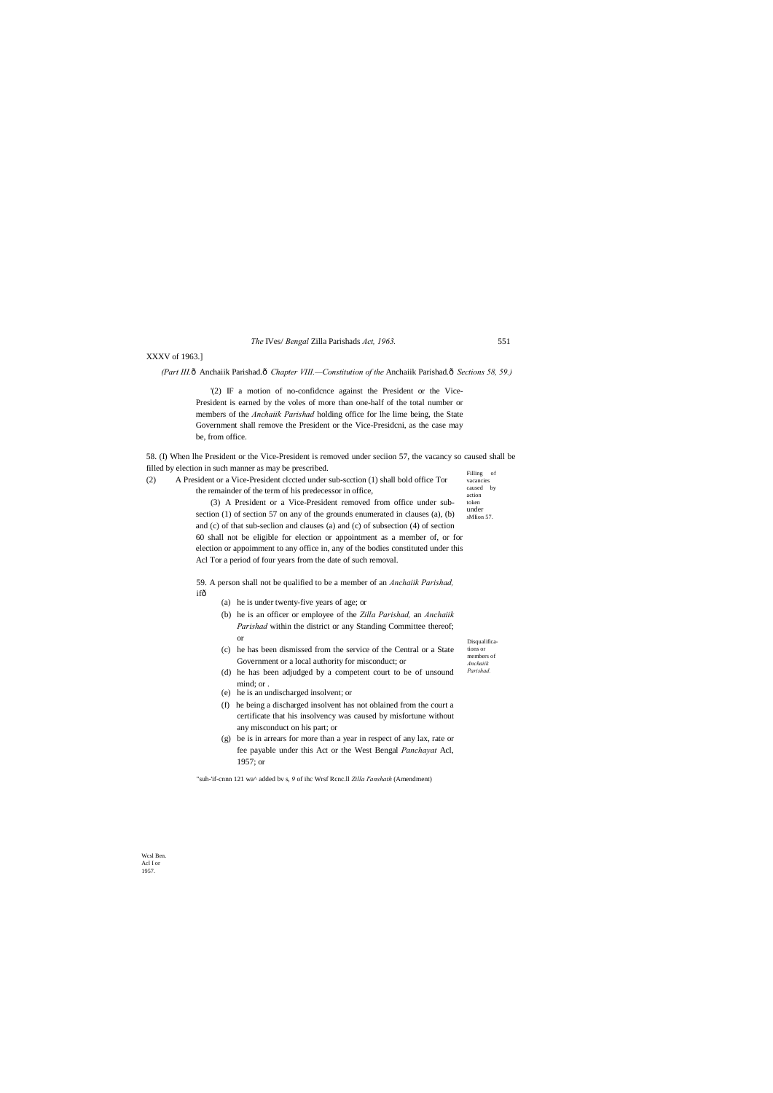vacancies caused by action

> Disqualifications or members of *Anchaiik Parishad.*

Wcsl Ben. Acl I or 1957.

*The* IVes/ *Bengal* Zilla Parishads *Act, 1963.* 551

XXXV of 1963.]

*(Part III.*—Anchaiik Parishad.—*Chapter VIII.—Constitution of the* Anchaiik Parishad.—*Sections 58, 59.)*

Filling of 58. (I) When lhe President or the Vice-President is removed under seciion 57, the vacancy so caused shall be filled by election in such manner as may be prescribed.

'(2) IF a motion of no-confidcnce against the President or the Vice-President is earned by the voles of more than one-half of the total number or members of the *Anchaiik Parishad* holding office for lhe lime being, the State Government shall remove the President or the Vice-Presidcni, as the case may be, from office.

59. A person shall not be qualified to be a member of an *Anchaiik Parishad,* ifô

token under sMIion 57. (3) A President or a Vice-President removed from office under subsection (1) of section 57 on any of the grounds enumerated in clauses (a), (b) and (c) of that sub-seclion and clauses (a) and (c) of subsection (4) of section 60 shall not be eligible for election or appointment as a member of, or for election or appoimment to any office in, any of the bodies constituted under this Acl Tor a period of four years from the date of such removal.

(2) A President or a Vice-President clccted under sub-scction (1) shall bold office Tor

the remainder of the term of his predecessor in office,

- (a) he is under twenty-five years of age; or
- (b) he is an officer or employee of the *Zilla Parishad,* an *Anchaiik Parishad* within the district or any Standing Committee thereof; or

(c) he has been dismissed from the service of the Central or a State Government or a local authority for misconduct; or

- (d) he has been adjudged by a competent court to be of unsound mind; or .
- (e) he is an undischarged insolvent; or
- (f) he being a discharged insolvent has not oblained from the court a certificate that his insolvency was caused by misfortune without any misconduct on his part; or
- (g) be is in arrears for more than a year in respect of any lax, rate or fee payable under this Act or the West Bengal *Panchayat* Acl, 1957; or

"suh-'if-cnnn 121 wa^ added bv s, *9* of ihc Wrsf Rcnc.ll *Zilla I'anshath* (Amendment)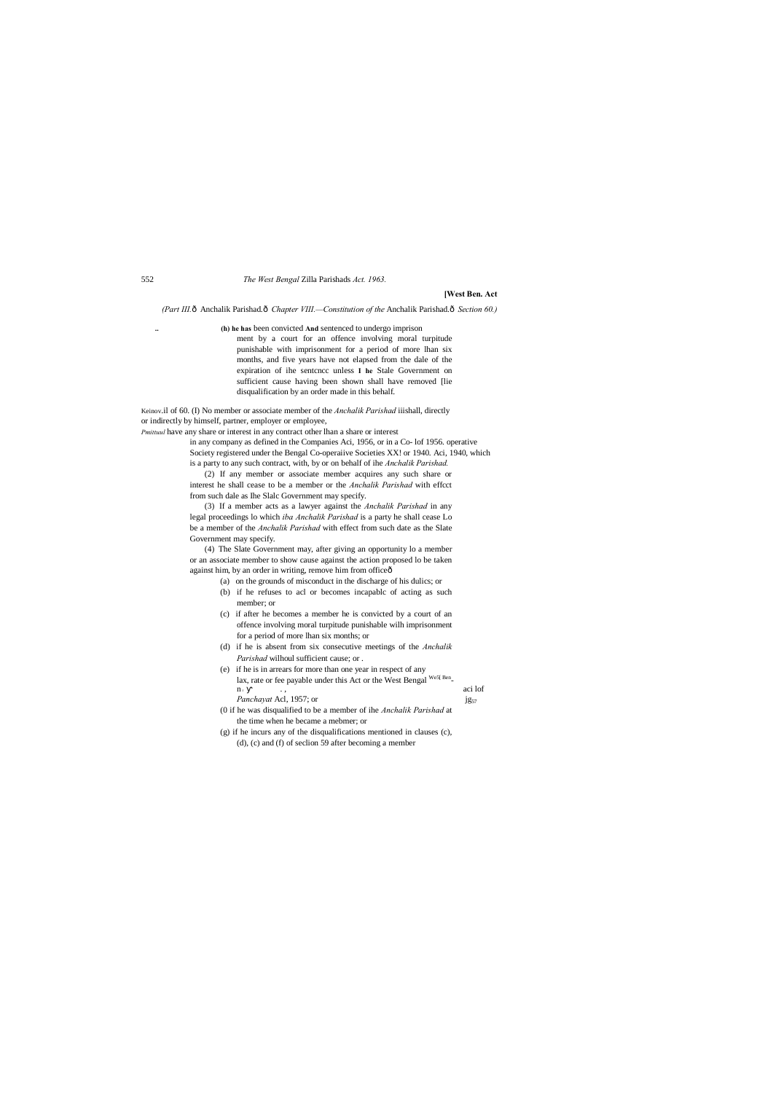#### **[West Ben. Act**

*(Part III.*—Anchalik Parishad.—*Chapter VIII.—Constitution of the* Anchalik Parishad.—*Section 60.)*

**.. (h) he has** been convicted **And** sentenced to undergo imprison

ment by a court for an offence involving moral turpitude punishable with imprisonment for a period of more lhan six months, and five years have not elapsed from the dale of the expiration of ihe sentcncc unless **I he** Stale Government on sufficient cause having been shown shall have removed [lie disqualification by an order made in this behalf.

Keinov.il of 60. (I) No member or associate member of the *Anchalik Parishad* iiishall, directly or indirectly by himself, partner, employer or employee,

> (4) The Slate Government may, after giving an opportunity lo a member or an associate member to show cause against the action proposed lo be taken against him, by an order in writing, remove him from officeô

*Pmittuul* have any share or interest in any contract other lhan a share or interest

in any company as defined in the Companies Aci, 1956, or in a Co- lof 1956. operative Society registered under the Bengal Co-operaiive Societies XX! or 1940. Aci, 1940, which is a party to any such contract, with, by or on behalf of ihe *Anchalik Parishad.*

(2) If any member or associate member acquires any such share or interest he shall cease to be a member or the *Anchalik Parishad* with effcct from such dale as Ihe Slalc Government may specify.

(3) If a member acts as a lawyer against the *Anchalik Parishad* in any legal proceedings lo which *iba Anchalik Parishad* is a party he shall cease Lo be a member of the *Anchalik Parishad* with effect from such date as the Slate Government may specify.

- (a) on the grounds of misconduct in the discharge of his dulics; or
- (b) if he refuses to acl or becomes incapablc of acting as such member; or
- (c) if after he becomes a member he is convicted by a court of an offence involving moral turpitude punishable wilh imprisonment for a period of more lhan six months; or
- (d) if he is absent from six consecutive meetings of the *Anchalik Parishad* wilhoul sufficient cause; or .
- (e) if he is in arrears for more than one year in respect of any lax, rate or fee payable under this Act or the West Bengal We5[ Ben $n_r$  aci lof *Panchayat* Acl, 1957; or jg<sub>57</sub> (0 if he was disqualified to be a member of ihe *Anchalik Parishad* at
- the time when he became a mebmer; or
- (g) if he incurs any of the disqualifications mentioned in clauses (c), (d), (c) and (f) of seclion 59 after becoming a member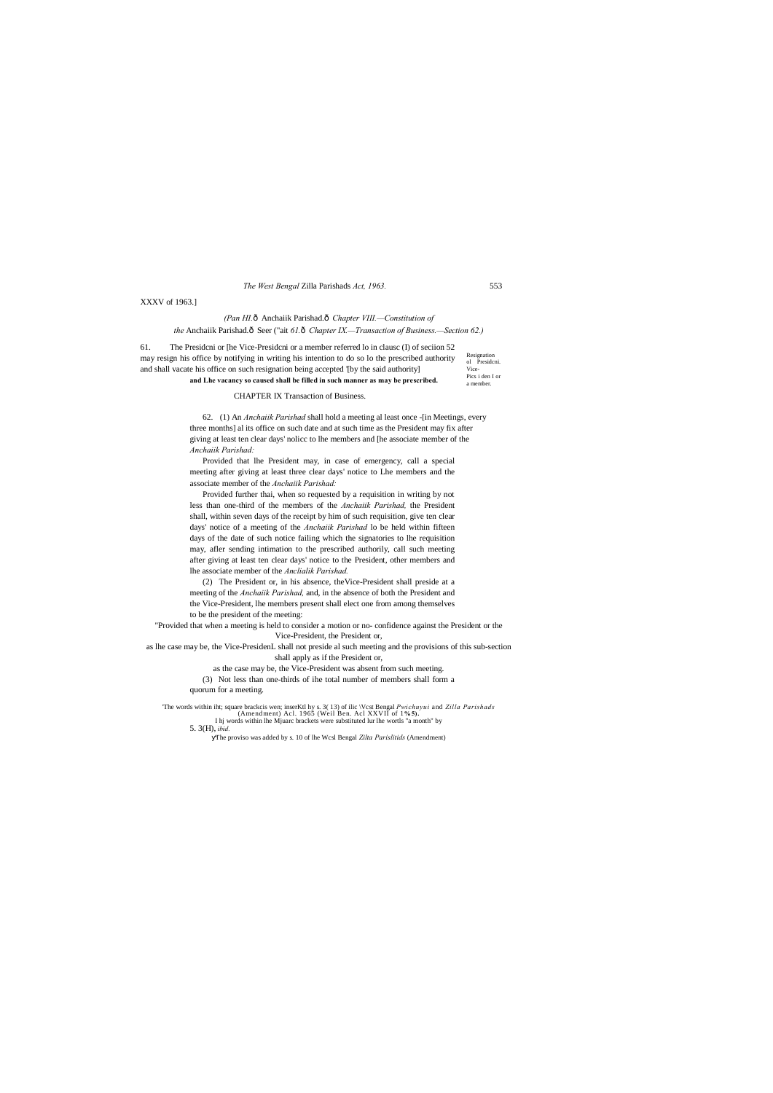# *(Pan HI.*—Anchaiik Parishad.—*Chapter VIII.—Constitution of the* Anchaiik Parishad. $\hat{o}$  Seer ("ait 61. $\hat{o}$  Chapter IX.—*Transaction of Business.—Section 62.)*

#### *The West Bengal* Zilla Parishads *Act, 1963.* 553

XXXV of 1963.]

Resignation ol Presidcni. Vice-Pics i den I or a member. 61. The Presidcni or [he Vice-Presidcni or a member referred lo in clausc (I) of seciion 52 may resign his office by notifying in writing his intention to do so lo the prescribed authority and shall vacate his office on such resignation being accepted '[by the said authority] **and Lhe vacancy so caused shall be filled in such manner as may be prescribed.**

CHAPTER IX Transaction of Business.

62. (1) An *Anchaiik Parishad* shall hold a meeting al least once -[in Meetings, every three months] al its office on such date and at such time as the President may fix after giving at least ten clear days' nolicc to lhe members and [he associate member of the *Anchaiik Parishad:*

Provided that lhe President may, in case of emergency, call a special meeting after giving at least three clear days' notice to Lhe members and the associate member of the *Anchaiik Parishad:*

Provided further thai, when so requested by a requisition in writing by not less than one-third of the members of the *Anchaiik Parishad,* the President shall, within seven days of the receipt by him of such requisition, give ten clear days' notice of a meeting of the *Anchaiik Parishad* lo be held within fifteen days of the date of such notice failing which the signatories to lhe requisition may, afler sending intimation to the prescribed authorily, call such meeting after giving at least ten clear days' notice to the President, other members and lhe associate member of the *Anclialik Parishad.*

(2) The President or, in his absence, theVice-President shall preside at a meeting of the *Anchaiik Parishad,* and, in the absence of both the President and the Vice-President, lhe members present shall elect one from among themselves to be the president of the meeting:

"Provided that when a meeting is held to consider a motion or no- confidence against the President or the Vice-President, the President or,

as lhe case may be, the Vice-PresidenL shall not preside al such meeting and the provisions of this sub-section shall apply as if the President or,

as the case may be, the Vice-President was absent from such meeting.

(3) Not less than one-thirds of ihe total number of members shall form a

quorum for a meeting.

The words within iht; square brackcis wen; inserKtl hy s.  $3(13)$  of ilic \Vcst Bengal *Pwichuyui* and *Zilla Parishads* (Amendment) Acl. 1965 (Weil Ben. Acl XXVII of 1%5).<br>I hi words within lhe Mjuarc brackets were subst

5. 3(H), *ibid.*

The proviso was added by s. 10 of lhe Wcsl Bengal *Zilta Parislitids* (Amendment)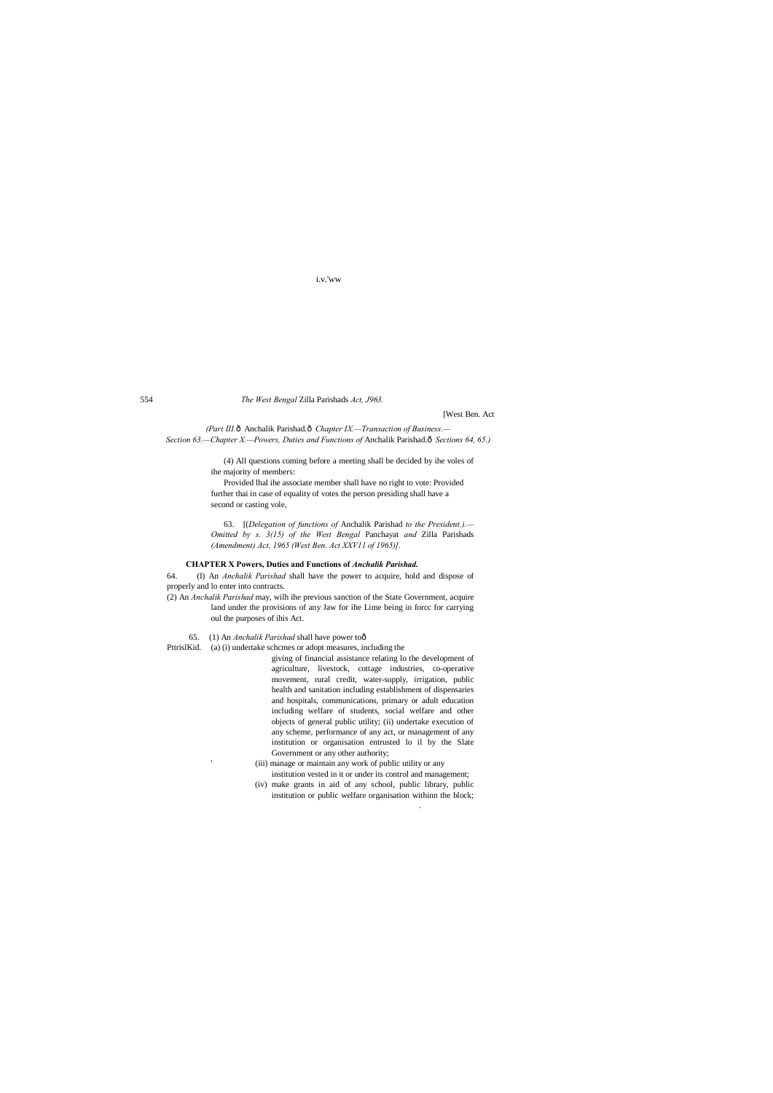# i.v.'ww

#### 554 *The West Bengal* Zilla Parishads *Act, J963.*

[West Ben. Act

*(Part III.* ô Anchalik Parishad. ô Chapter IX.—*Transaction of Business.*— *Section 63.*—*Chapter X.—Powers, Duties and Functions of Anchalik Parishad. 6 Sections 64, 65.*)

> (4) All questions coming before a meeting shall be decided by ihe voles of ihe majority of members:

Provided lhal ihe associate member shall have no right to vote: Provided further thai in case of equality of votes the person presiding shall have a second or casting vole,

63. [(*Delegation of functions of* Anchalik Parishad *to the President.).— Omitted by s. 3(15) of the West Bengal* Panchayat *and* Zilla Parishads *(Amendment) Act, 1965 (West Ben. Act XXV11 of 1965)].*

#### **CHAPTER X Powers, Duties and Functions of** *Anchalik Parishad.*

64. (I) An *Anchalik Parishad* shall have the power to acquire, hold and dispose of properly and lo enter into contracts.

(2) An *Anchalik Parishad* may, wilh ihe previous sanction of the State Government, acquire land under the provisions of any Jaw for ihe Lime being in forcc for carrying oul the purposes of ihis Act.

65. (1) An *Anchalik Parishad* shall have power toô

PttrislKid. (a) (i) undertake schcmes or adopt measures, including the

giving of financial assistance relating lo the development of agriculture, livestock, cottage industries, co-operative movement, rural credit, water-supply, irrigation, public health and sanitation including establishment of dispensaries and hospitals, communications, primary or adult education including welfare of students, social welfare and other objects of general public utility; (ii) undertake execution of any scheme, performance of any act, or management of any institution or organisation entrusted lo il by the Slate Government or any other authority;

'

 (iii) manage or maintain any work of public utility or any institution vested in it or under its control and management;

(iv) make grants in aid of any school, public library, public institution or public welfare organisation withinn the block;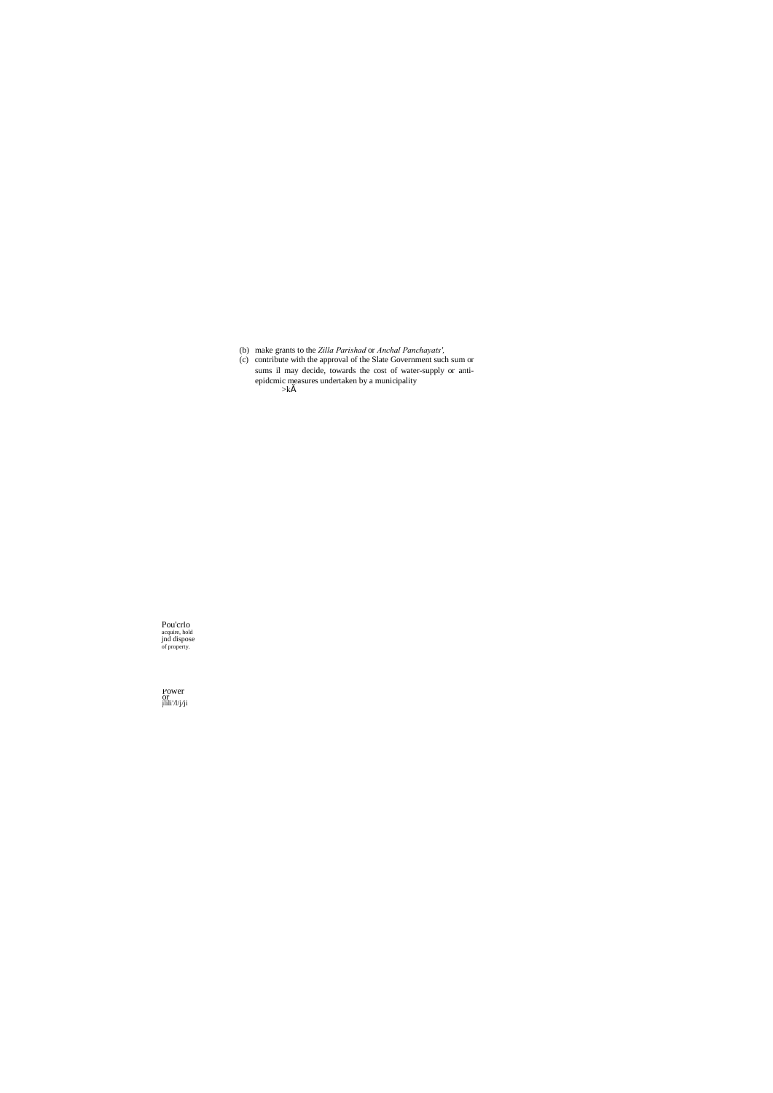Pou'crlo acquire, hold jnd dispose of property.

Power<br>or<br>i<sup>lili'/l/j/ji</sup>

(c) contribute with the approval of the Slate Government such sum or sums il may decide, towards the cost of water-supply or antiepidcmic measures undertaken by a municipality  $>\kappa$ š

(b) make grants to the *Zilla Parishad* or *Anchal Panchayats',*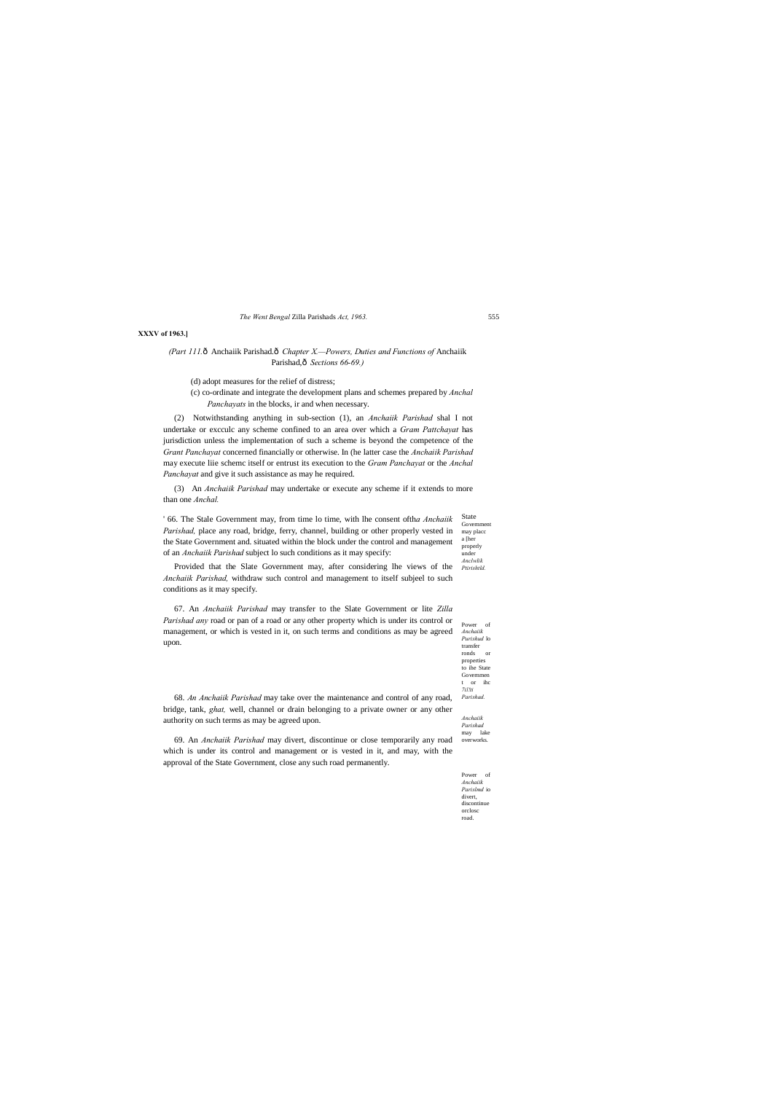properly *Anclwlik Ptirishtld.*

> Power of *Anchaiik Purishud* lo transfer ronds or properties to ihe State Governmen<br>t or iho t or ihc *7il!ti Parishad.*

# *(Part 111.*—Anchaiik Parishad.—*Chapter X.—Powers, Duties and Functions of* Anchaiik Parishad, $\hat{o}$  Sections 66-69.)

*Anchaiik Parishad*  may lake overworks.

Power of *Anchaiik Parislmd* io divert,  $discontinu$ orclosc road.

*The Went Bengal* Zilla Parishads *Act, 1963.* 555

#### **XXXV of 1963.]**

(d) adopt measures for the relief of distress;

(c) co-ordinate and integrate the development plans and schemes prepared by *Anchal Panchayats* in the blocks, ir and when necessary.

State Governmen may placc a [her under ' 66. The Stale Government may, from time lo time, with lhe consent ofth*a Anchaiik Parishad,* place any road, bridge, ferry, channel, building or other properly vested in the State Government and. situated within the block under the control and management of an *Anchaiik Parishad* subject lo such conditions as it may specify:

(2) Notwithstanding anything in sub-section (1), an *Anchaiik Parishad* shal I not undertake or excculc any scheme confined to an area over which a *Gram Pattchayat* has jurisdiction unless the implementation of such a scheme is beyond the competence of the *Grant Panchayat* concerned financially or otherwise. In (he latter case the *Anchaiik Parishad* may execute liie schemc itself or entrust its execution to the *Gram Panchayat* or the *Anchal Panchayat* and give it such assistance as may he required.

(3) An *Anchaiik Parishad* may undertake or execute any scheme if it extends to more than one *Anchal.*

Provided that the Slate Government may, after considering lhe views of the *Anchaiik Parishad,* withdraw such control and management to itself subjeel to such conditions as it may specify.

67. An *Anchaiik Parishad* may transfer to the Slate Government or lite *Zilla Parishad any* road or pan of a road or any other property which is under its control or management, or which is vested in it, on such terms and conditions as may be agreed upon.

68. *An Anchaiik Parishad* may take over the maintenance and control of any road, bridge, tank, *ghat,* well, channel or drain belonging to a private owner or any other authority on such terms as may be agreed upon.

69. An *Anchaiik Parishad* may divert, discontinue or close temporarily any road which is under its control and management or is vested in it, and may, with the approval of the State Government, close any such road permanently.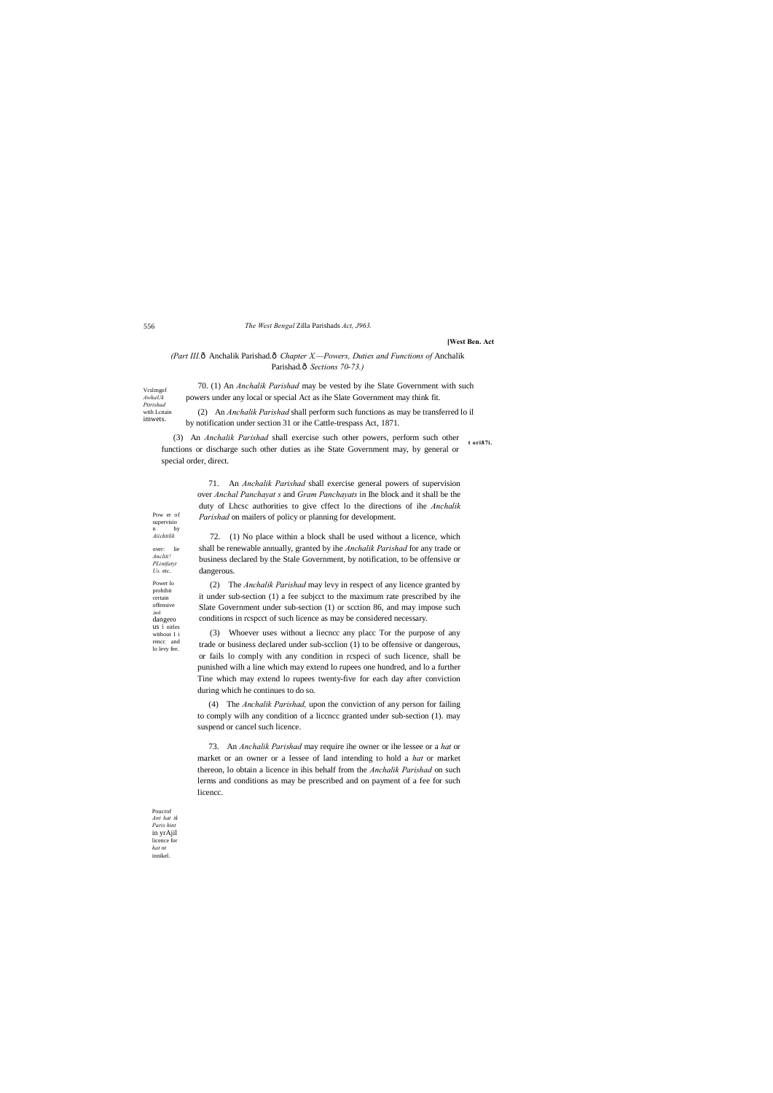#### **[West Ben. Act**

# *(Part III.* ô Anchalik Parishad. ô Chapter X.—*Powers, Duties and Functions of* Anchalik Parishad. $\hat{o}$  Sections 70-73.)

n by *Aiichtilik* over: lie *PLintfatyt* Power lo

Pow er of supervisio *Ancliti! Us.* etc. prohibit certain offensive ;ind dangero

us l nitles without I i rencc and lo levy fee.

*Paris hint* in yrAjil licence for *hat* or innikel.

Vcslmgof *AwhaUk Pttrishad*  with Lenair imwets. 70. (1) An *Anchalik Parishad* may be vested by ihe Slate Government with such powers under any local or special Act as ihe Slate Government may think fit. (2) An *Anchalik Parishad* shall perform such functions as may be transferred lo il by notification under section 31 or ihe Cattle-trespass Act, 1871.

**t ori87i.** (3) An *Anchalik Parishad* shall exercise such other powers, perform such other functions or discharge such other duties as ihe State Government may, by general or special order, direct.

> 71. An *Anchalik Parishad* shall exercise general powers of supervision over *Anchal Panchayat s* and *Gram Panchayats* in Ihe block and it shall be the duty of Lhcsc authorities to give cffect lo the directions of ihe *Anchalik Parishad* on mailers of policy or planning for development.

> 72. (1) No place within a block shall be used without a licence, which shall be renewable annually, granted by ihe *Anchalik Parishad* for any trade or business declared by the Stale Government, by notification, to be offensive or dangerous.

> (2) The *Anchalik Parishad* may levy in respect of any licence granted by it under sub-section (1) a fee subjcct to the maximum rate prescribed by ihe Slate Government under sub-section (1) or scction 86, and may impose such conditions in rcspcct of such licence as may be considered necessary.

> (3) Whoever uses without a liecncc any placc Tor the purpose of any trade or business declared under sub-scclion (1) to be offensive or dangerous, or fails lo comply with any condition in rcspeci of such licence, shall be punished wilh a line which may extend lo rupees one hundred, and lo a further Tine which may extend lo rupees twenty-five for each day after conviction during which he continues to do so.

> (4) The *Anchalik Parishad,* upon the conviction of any person for failing to comply wilh any condition of a liccncc granted under sub-section (1). may suspend or cancel such licence.

> 73. An *Anchalik Parishad* may require ihe owner or ihe lessee or a *hat* or market or an owner or a lessee of land intending to hold a *hat* or market thereon, lo obtain a licence in ihis behalf from the *Anchalik Parishad* on such lerms and conditions as may be prescribed and on payment of a fee for such licencc.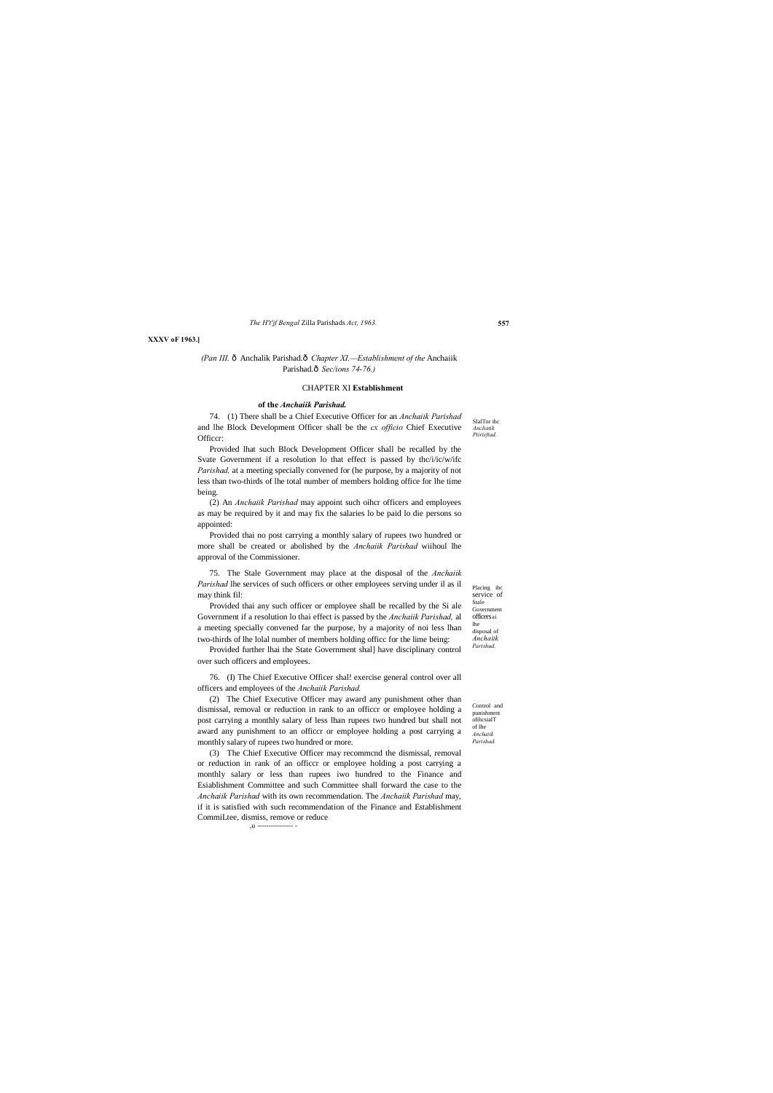Placing ihc service of Stale Government officers ai lhe disposal of *Anchaiik Parishud,*

Control and punishment ofihcsialT of lhe *Anchaiik Parishad.*

*The H't'jf Bengal* Zilla Parishads *Act, 1963.* **557**

**XXXV oF 1963.]**

# *(Pan III.* ô Anchalik Parishad.ô *Chapter XI.*—*Establishment of the* Anchaiik Parishad. $\hat{o}$  Sec/ions 74-76.)

SlalTor ihc *Ancliatik Ptirisftad.* 74. (1) There shall be a Chief Executive Officer for an *Anchaiik Parishad* and lhe Block Development Officer shall be the *cx officio* Chief Executive Officcr:

#### CHAPTER XI **Establishment**

#### **of the** *Anchaiik Parishad.*

Provided lhat such Block Development Officer shall be recalled by the Svate Government if a resolution lo that effect is passed by thc/i/ic/w/ifc *Parishad,* at a meeting specially convened for (he purpose, by a majority of not less than two-thirds of lhe total number of members holding office for lhe time being.

(2) An *Anchaiik Parishad* may appoint such oihcr officers and employees as may be required by it and may fix the salaries lo be paid lo die persons so appointed:

Provided thai no post carrying a monthly salary of rupees two hundred or more shall be created or abolished by the *Anchaiik Parishad* wiihoul lhe approval of the Commissioner.

75. The Stale Government may place at the disposal of the *Anchaiik Parishad* lhe services of such officers or other employees serving under il as il may think fil:

Provided thai any such officer or employee shall be recalled by the Si ale Government if a resolution lo thai effect is passed by the *Anchaiik Parishad,* al a meeting specially convened far the purpose, by a majority of noi less lhan two-thirds of lhe lolal number of members holding officc for the lime being:

Provided further lhai the State Government shal] have disciplinary control over such officers and employees.

76. (I) The Chief Executive Officer shal! exercise general control over all officers and employees of the *Anchaiik Parishad.*

(2) The Chief Executive Officer may award any punishment other than dismissal, removal or reduction in rank to an officcr or employee holding a post carrying a monthly salary of less lhan rupees two hundred but shall not award any punishment to an officcr or employee holding a post carrying a monthly salary of rupees two hundred or more.

(3) The Chief Executive Officer may recommcnd the dismissal, removal or reduction in rank of an officcr or employee holding a post carrying a monthly salary or less than rupees iwo hundred to the Finance and Esiablishment Committee and such Committee shall forward the case to the *Anchaiik Parishad* with its own recommendation. The *Anchaiik Parishad* may, if it is satisfied with such recommendation of the Finance and Establishment CommiLtee, dismiss, remove or reduce

,u ---------------- -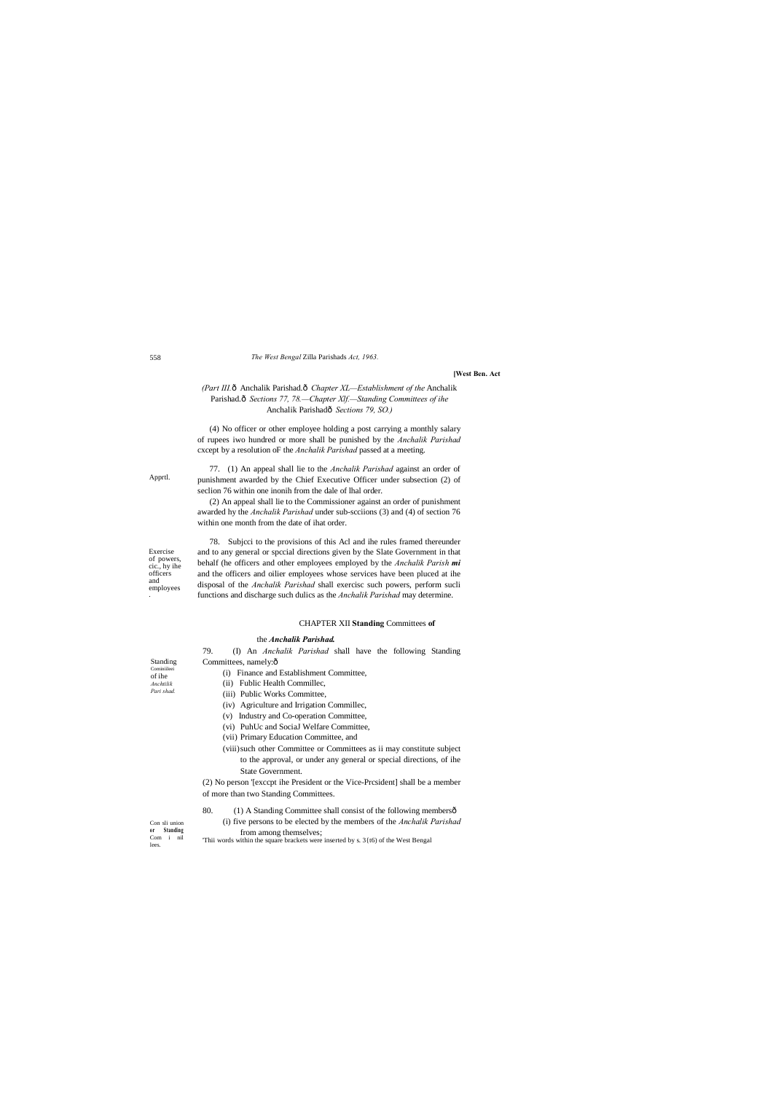Apprtl.

Exercise of powers, cic., hy ihe officers and employees .

#### 558 *The West Bengal* Zilla Parishads *Act, 1963.*

#### **[West Ben. Act**

Standing Comin of ihe

*Anchtilik Pari shad.*

# *(Part III.*—Anchalik Parishad.—*Chapter XL—Establishment of the* Anchalik Parishad. $\hat{o}$  Sections 77, 78.*—Chapter Xlf.—Standing Committees of ihe* Anchalik Parishad—*Sections 79, SO.)*

(4) No officer or other employee holding a post carrying a monthly salary of rupees iwo hundred or more shall be punished by the *Anchalik Parishad* cxcept by a resolution oF the *Anchalik Parishad* passed at a meeting.

77. (1) An appeal shall lie to the *Anchalik Parishad* against an order of punishment awarded by the Chief Executive Officer under subsection (2) of seclion 76 within one inonih from the dale of lhal order.

79. (I) An *Anchalik Parishad* shall have the following Standing Committees, namely: $\hat{o}$ 

(2) An appeal shall lie to the Commissioner against an order of punishment awarded hy the *Anchalik Parishad* under sub-scciions (3) and (4) of section 76 within one month from the date of ihat order.

- Con sli union
- 80. (1) A Standing Committee shall consist of the following membersô (i) five persons to be elected by the members of the *Anchalik Parishad*
- 
- 
- 

78. Subjcci to the provisions of this Acl and ihe rules framed thereunder and to any general or spccial directions given by the Slate Government in that behalf (he officers and other employees employed by the *Anchalik Parish mi* and the officers and oilier employees whose services have been pluced at ihe disposal of the *Anchalik Parishad* shall exercisc such powers, perform sucli functions and discharge such dulics as the *Anchalik Parishad* may determine.

**or Standing**  Com i nil lees. from among themselves; 'Thii words within the square brackets were inserted by s. 3{t6) of the West Bengal

#### CHAPTER XII **Standing** Committees **of**

#### the *Anchalik Parishad.*

- (i) Finance and Establishment Committee,
- (ii) Fublic Health Commillec,
- (iii) Public Works Committee,
- (iv) Agriculture and Irrigation Commillec,
- (v) Industry and Co-operation Committee,
- (vi) PuhUc and SociaJ Welfare Committee,
- (vii) Primary Education Committee, and
- (viii)such other Committee or Committees as ii may constitute subject to the approval, or under any general or special directions, of ihe

# State Government.

(2) No person '[exccpt ihe President or the Vice-Prcsident] shall be a member of more than two Standing Committees.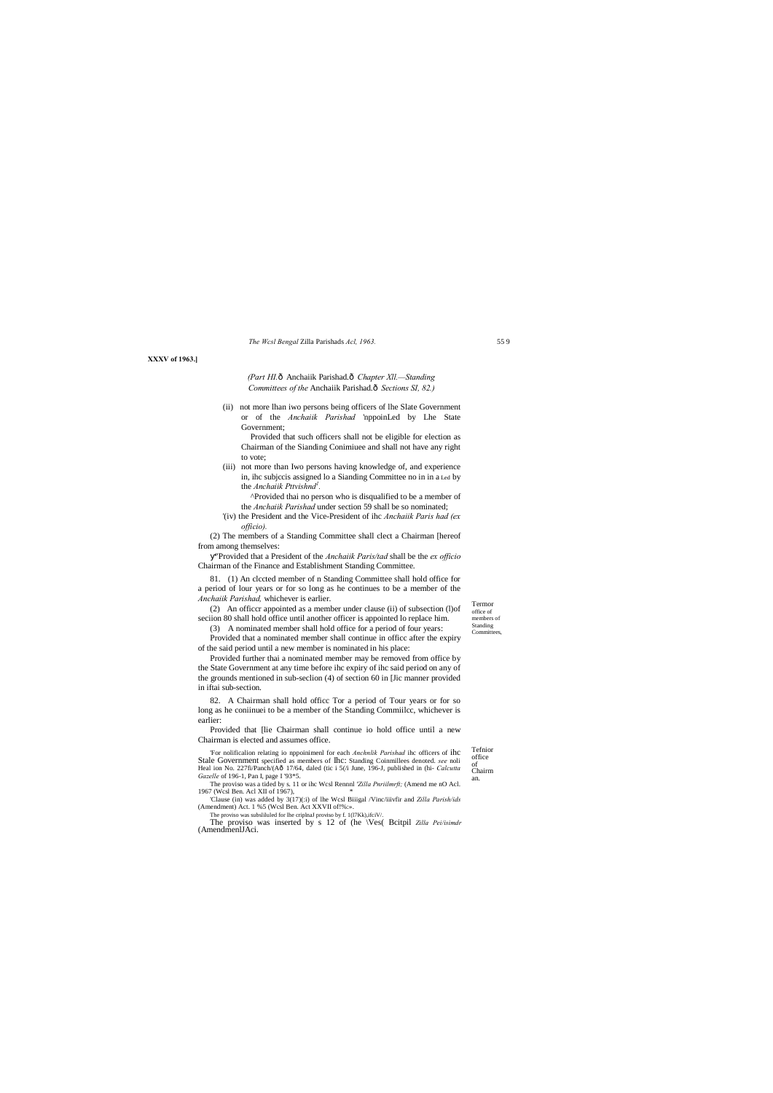Tefnior office of<br>Chairm an.

*The Wcsl Bengal* Zilla Parishads *Acl, 1963.* 55 9

*(Part HI.* $\hat{o}$  Anchaiik Parishad. $\hat{o}$  Chapter XII.—Standing *Committees of the* Anchaiik Parishad.—*Sections SI, 82.)*

# **XXXV of 1963.]**

(ii) not more lhan iwo persons being officers of lhe Slate Government or of the *Anchaiik Parishad* 'nppoinLed by Lhe State Government;

Provided that such officers shall not be eligible for election as Chairman of the Sianding Conimiuee and shall not have any right to vote;

- (iii) not more than Iwo persons having knowledge of, and experience in, ihc subjccis assigned lo a Sianding Committee no in in a Led by the *Anchaiik Pttvishnd<sup>1</sup> .*
	- ^Provided thai no person who is disqualified to be a member of the *Anchaiik Parishad* under section 59 shall be so nominated;
- '(iv) the President and the Vice-President of ihc *Anchaiik Paris had (ex officio).*

(2) The members of a Standing Committee shall clect a Chairman [hereof from among themselves:

"Provided that a President of the *Anchaiik Paris/tad* shall be the *ex officio* Chairman of the Finance and Establishment Standing Committee.

81. (1) An clccted member of n Standing Committee shall hold office for a period of lour years or for so long as he continues to be a member of the *Anchaiik Parishad,* whichever is earlier.

(2) An officcr appointed as a member under clause (ii) of subsection (l)of seciion 80 shall hold office until another officer is appointed lo replace him.

The proviso was inserted by s 12 of (he \Ves( Bcitpil *Zilla Pei/isimdr* (AmendmenlJAci.

Termor office of members of Standing Committee

(3) A nominated member shall hold office for a period of four years:

Provided that a nominated member shall continue in officc after the expiry of the said period until a new member is nominated in his place:

Provided further thai a nominated member may be removed from office by the State Government at any time before ihc expiry of ihc said period on any of the grounds mentioned in sub-seclion (4) of section 60 in [Jic manner provided in iftai sub-section.

82. A Chairman shall hold officc Tor a period of Tour years or for so long as he coniinuei to be a member of the Standing Commiilcc, whichever is earlier:

Provided that [lie Chairman shall continue io hold office until a new Chairman is elected and assumes office.

'For nolificalion relating io nppoinimenl for each *Anchnlik Parishad* ihc officers of ihc Stale Government specified as members of Ihc: Standing Coinmillees denoted. *see* noli Heal ion No. 227fi/Panch/(A—17/64, daled (tic i 5(/i June, 196-J, published in (hi- *Calcutta Gazelle* of 196-1, Pan I, page I '93\*5.

The proviso was a tided by s. 11 or ihc Wcsl Rennnl *'Zilla Pnriilmrft;* (Amend me nO Acl. 1967 (Wcsl Ben. Acl XII of 1967), \*

'Clause (in) was added by 3(17)(:i) of lhe Wcsl Biiigal /Vinc/iiivfir and *Zilla Parish/ids*  (Amendment) Act. 1 %5 (Wcsl Ben. Act XXVII of!%:».

The proviso was subsliluled for lhe criplnaJ proviso by f. 1(17Kk),ifciV/.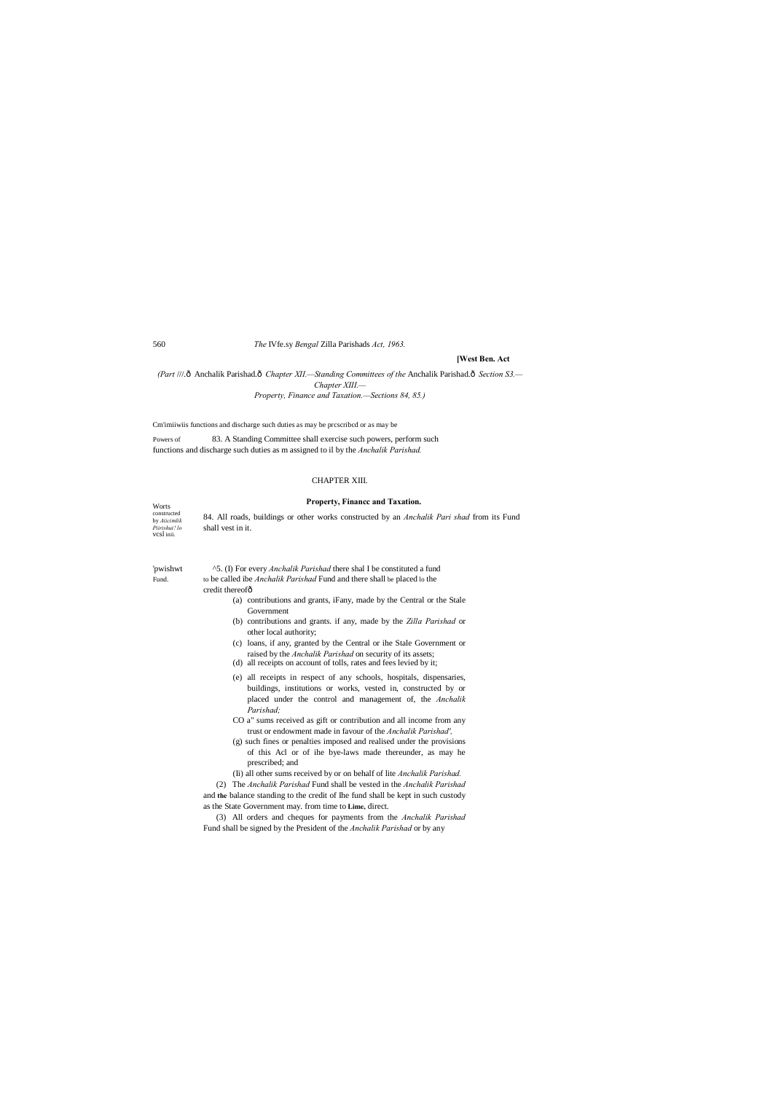# Cm'imiiwiis functions and discharge such duties as may be prcscribcd or as may be

Worts constructed by *Aiicimlik Piirishui! lo*  vcsl inii.

# 560 *The* IVfe.sy *Bengal* Zilla Parishads *Act, 1963.*

*(Part ///.* $\hat{o}$  Anchalik Parishad. $\hat{o}$  Chapter XII.—Standing Committees of the Anchalik Parishad. $\hat{o}$  Section S3.— *Chapter XIII.— Property, Finance and Taxation.—Sections 84, 85.)*

# **[West Ben. Act**

Powers of 83. A Standing Committee shall exercise such powers, perform such functions and discharge such duties as m assigned to il by the *Anchalik Parishad.*

## CHAPTER XIII.

**Property, Financc and Taxation.**

84. All roads, buildings or other works constructed by an *Anchalik Pari shad* from its Fund shall vest in it.

'pwishwt ^5. (I) For every *Anchalik Parishad* there shal I be constituted a fund Fund. to be called ibe *Anchalik Parishad* Fund and there shall be placed lo the credit thereofô

- (a) contributions and grants, iFany, made by the Central or the Stale Government
- (b) contributions and grants. if any, made by the *Zilla Parishad* or other local authority;
- (c) loans, if any, granted by the Central or ihe Stale Government or raised by the *Anchalik Parishad* on security of its assets;
- (d) all receipts on account of tolls, rates and fees levied by it;
- (e) all receipts in respect of any schools, hospitals, dispensaries, buildings, institutions or works, vested in, constructed by or placed under the control and management of, the *Anchalik Parishad;*
- CO a" sums received as gift or contribution and all income from any trust or endowment made in favour of the *Anchalik Parishad',*
- (g) such fines or penalties imposed and realised under the provisions of this Acl or of ihe bye-laws made thereunder, as may he prescribed; and
- (Ii) all other sums received by or on behalf of lite *Anchalik Parishad.*

(2) The *Anchalik Parishad* Fund shall be vested in the *Anchalik Parishad* and **the** balance standing to the credit of Ihe fund shall be kept in such custody as the State Government may. from time to **Lime,** direct.

(3) All orders and cheques for payments from the *Anchalik Parishad* 

Fund shall be signed by the President of the *Anchalik Parishad* or by any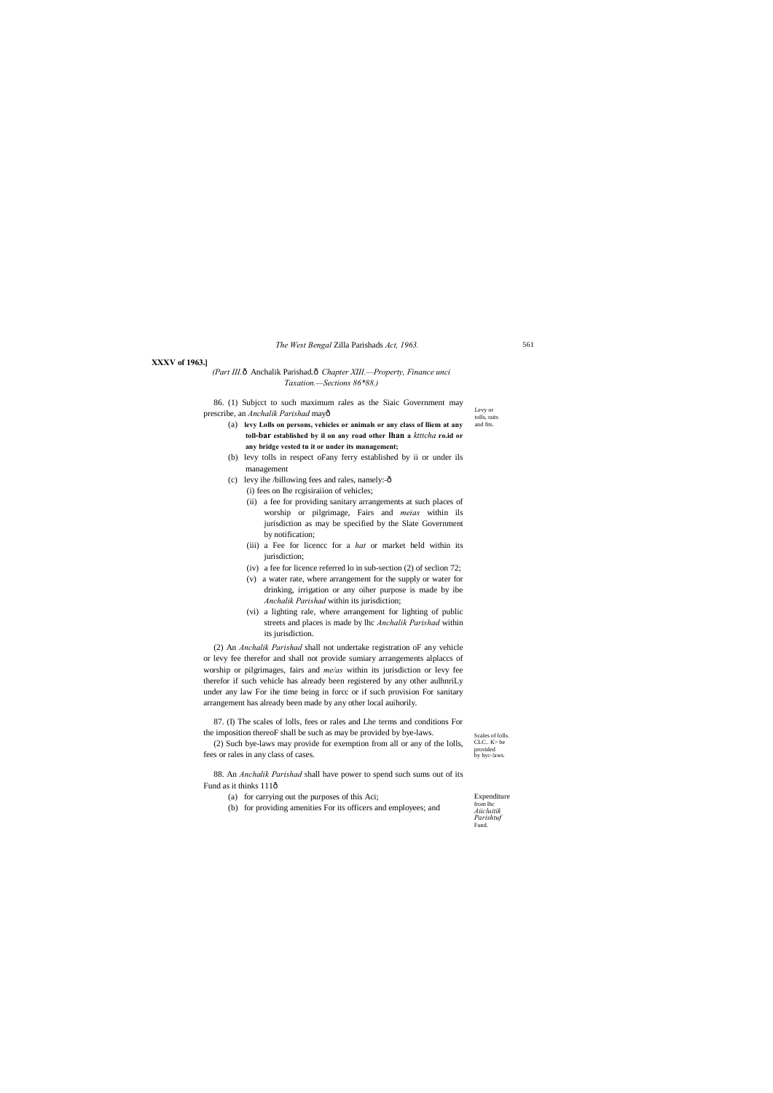561

Scales of lolls. CLC.. K> be provided by hyc-!aws.

Expenditure

| The West Bengal Zilla Parishads Act, 1963. |  |
|--------------------------------------------|--|
|--------------------------------------------|--|

#### **XXXV of 1963.]**

# *(Part III.*—Anchalik Parishad.—*Chapter XIII.—Property, Finance unci Taxation.—Sections 86\*88.)*

Levy or tolls, raits 86. (1) Subjcct to such maximum rales as the Siaic Government may prescribe, an *Anchalik Parishad* may—

- and fits. (a) **levy Lolls on persons, vehicles or animals or any class of lliem at any toll-bar established by il on any road other lhan a** *ktttcha* **ro.id or any bridge vested tn it or under its management;**
- (b) levy tolls in respect oFany ferry established by ii or under ils management
- (c) levy ihe /billowing fees and rales, namely: $-6$ (i) fees on Ihe rcgisiraiion of vehicles;
	- (ii) a fee for providing sanitary arrangements at such places of worship or pilgrimage, Fairs and *meias* within ils jurisdiction as may be specified by the Slate Government by notification;
	- (iii) a Fee for licencc for a *hat* or market held within its jurisdiction;
	- (iv) a fee for licence referred lo in sub-section (2) of seclion 72;
	- (v) a water rate, where arrangement for the supply or water for drinking, irrigation or any oiher purpose is made by ibe *Anchalik Parishad* within its jurisdiction;
	- (vi) a lighting rale, where arrangement for lighting of public streets and places is made by lhc *Anchalik Parishad* within its jurisdiction.

88. An *Anchalik Parishad* shall have power to spend such sums out of its Fund as it thinks 111ô

from lhc *Aiicluitik Parishtuf*  Fund. (b) for providing amenities For its officers and employees; and

(2) An *Anchalik Parishad* shall not undertake registration oF any vehicle or levy fee therefor and shall not provide sumiary arrangements alplaccs of worship or pilgrimages, fairs and *me/as* within its jurisdiction or levy fee therefor if such vehicle has already been registered by any other aulhnriLy under any law For ihe time being in forcc or if such provision For sanitary arrangement has already been made by any other local auihorily.

87. (I) The scales of lolls, fees or rales and Lhe terms and conditions For the imposition thereoF shall be such as may be provided by bye-laws.

(2) Such bye-laws may provide for exemption from all or any of the lolls, fees or rales in any class of cases.

- (a) for carrying out the purposes of this Aci;
-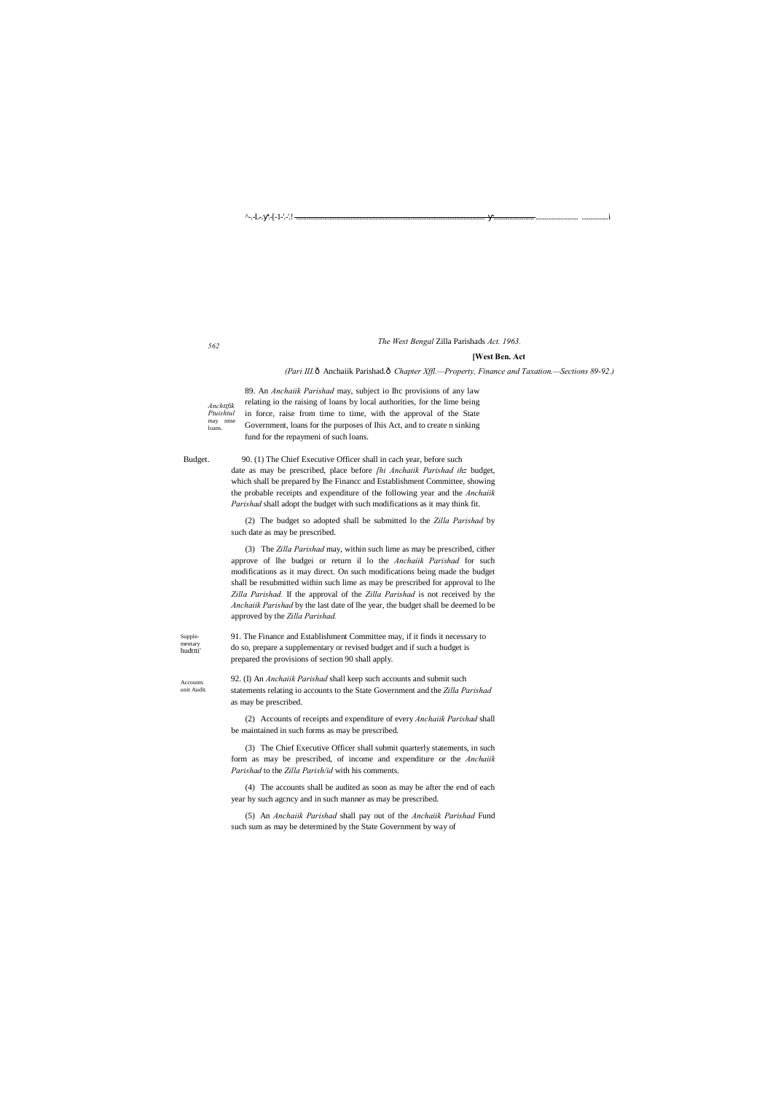*562*

loans.

Supplementary hudttti'  $\wedge$ -.-L-. '.-[-1-'.-'.! <del>....</del>

# *The West Bengal* Zilla Parishads *Act. 1963.*

#### **[West Ben. Act**

*Anchttfik Ptuishtul*  may mise 89. An *Anchaiik Parishad* may, subject io Ihc provisions of any law relating io the raising of loans by local authorities, for the lime being in force, raise from time to time, with the approval of the State Government, loans for the purposes of Ihis Act, and to create n sinking fund for the repaymeni of such loans.

*(Pari III.*—Anchaiik Parishad.—*Chapter Xffl.—Property, Finance and Taxation.—Sections 89-92.)*

Budget. 90. (1) The Chief Executive Officer shall in cach year, before such date as may be prescribed, place before *[hi Anchaiik Parishad ihz* budget, which shall be prepared by Ihe Financc and Establishment Committee, showing the probable receipts and expenditure of the following year and the *Anchaiik Parishad* shall adopt the budget with such modifications as it may think fit.

**Accounts** unit Audit. 92. (I) An *Anchaiik Parishad* shall keep such accounts and submit such statements relating io accounts to the State Government and the *Zilla Parishad* as may be prescribed.

(2) The budget so adopted shall be submitted lo the *Zilla Parishad* by such date as may be prescribed.

(3) The *Zilla Parishad* may, within such lime as may be prescribed, cither approve of lhe budgei or return il lo the *Anchaiik Parishad* for such modifications as it may direct. On such modifications being made the budget shall be resubmitted within such lime as may be prescribed for approval to lhe *Zilla Parishad.* If the approval of the *Zilla Parishad* is not received by the *Anchaiik Parishad* by the last date of lhe year, the budget shall be deemed lo be approved by the *Zilla Parishad.*

91. The Finance and Establishment Committee may, if it finds it necessary to do so, prepare a supplementary or revised budget and if such a budget is prepared the provisions of section 90 shall apply.

(2) Accounts of receipts and expenditure of every *Anchaiik Parishad* shall be maintained in such forms as may be prescribed.

(3) The Chief Executive Officer shall submit quarterly statements, in such form as may be prescribed, of income and expenditure or the *Anchaiik Parishad* to the *Zilla Parish/id* with his comments.

(4) The accounts shall be audited as soon as may be after the end of each year hy such agcncy and in such manner as may be prescribed.

(5) An *Anchaiik Parishad* shall pay out of the *Anchaiik Parishad* Fund such sum as may be determined by the State Government by way of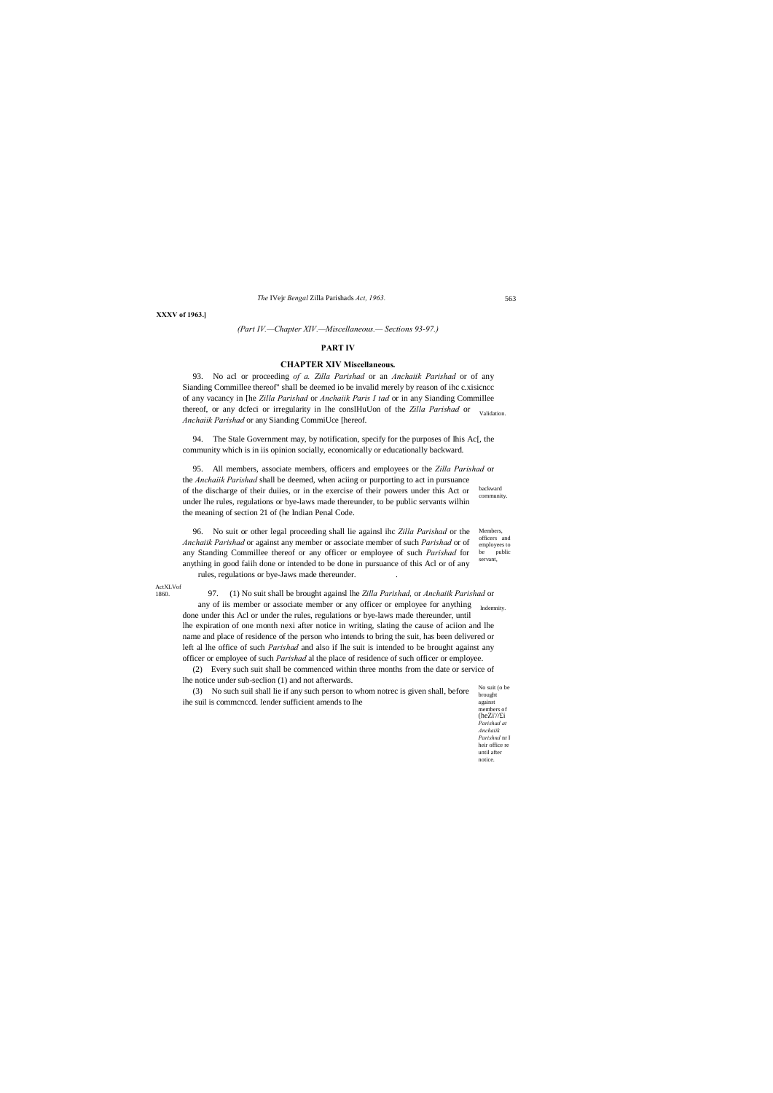ActXLVof 1860.

> against members of (heZi'//£i *Parishad at Anchaiik Parishnd* nr I heir office re until after notice.

*The* IVejr *Bengal* Zilla Parishads *Act, 1963.* 563

**XXXV of 1963.]**

*(Part IV.—Chapter XIV.—Miscellaneous.— Sections 93-97.)*

# **PART IV**

# **CHAPTER XIV Miscellaneous.**

thereof, or any dcfeci or irregularity in lhe conslHuUon of the *Zilla Parishad* or validation. 93. No acl or proceeding *of a. Zilla Parishad* or an *Anchaiik Parishad* or of any Sianding Commillee thereof" shall be deemed io be invalid merely by reason of ihc c.xisicncc of any vacancy in [he *Zilla Parishad* or *Anchaiik Paris I tad* or in any Sianding Commillee *Anchaiik Parishad* or any Sianding CommiUce [hereof.

backward community. 95. All members, associate members, officers and employees or the *Zilla Parishad* or the *Anchaiik Parishad* shall be deemed, when aciing or purporting to act in pursuance of the discharge of their duiies, or in the exercise of their powers under this Act or under lhe rules, regulations or bye-laws made thereunder, to be public servants wilhin the meaning of section 21 of (he Indian Penal Code.

96. No suit or other legal proceeding shall lie againsl ihc Zilla Parishad or the Members, officers and employees to be public servant, *Anchaiik Parishad* or against any member or associate member of such *Parishad* or of any Standing Commillee thereof or any officer or employee of such *Parishad* for anything in good faiih done or intended to be done in pursuance of this Acl or of any rules, regulations or bye-Jaws made thereunder. .

94. The Stale Government may, by notification, specify for the purposes of Ihis Ac[, the community which is in iis opinion socially, economically or educationally backward.

Indemnity. 97. (1) No suit shall be brought againsl lhe *Zilla Parishad,* or *Anchaiik Parishad* or any of iis member or associate member or any officer or employee for anything done under this Acl or under the rules, regulations or bye-laws made thereunder, until lhe expiration of one month nexi after notice in writing, slating the cause of aciion and lhe name and place of residence of the person who intends to bring the suit, has been delivered or left al lhe office of such *Parishad* and also if lhe suit is intended to be brought against any officer or employee of such *Parishad* al the place of residence of such officer or employee.

No suit (o be brought (3) No such suil shall lie if any such person to whom notrec is given shall, before ihe suil is commcnccd. lender sufficient amends to Ihe

(2) Every such suit shall be commenced within three months from the date or service of lhe notice under sub-seclion (1) and not afterwards.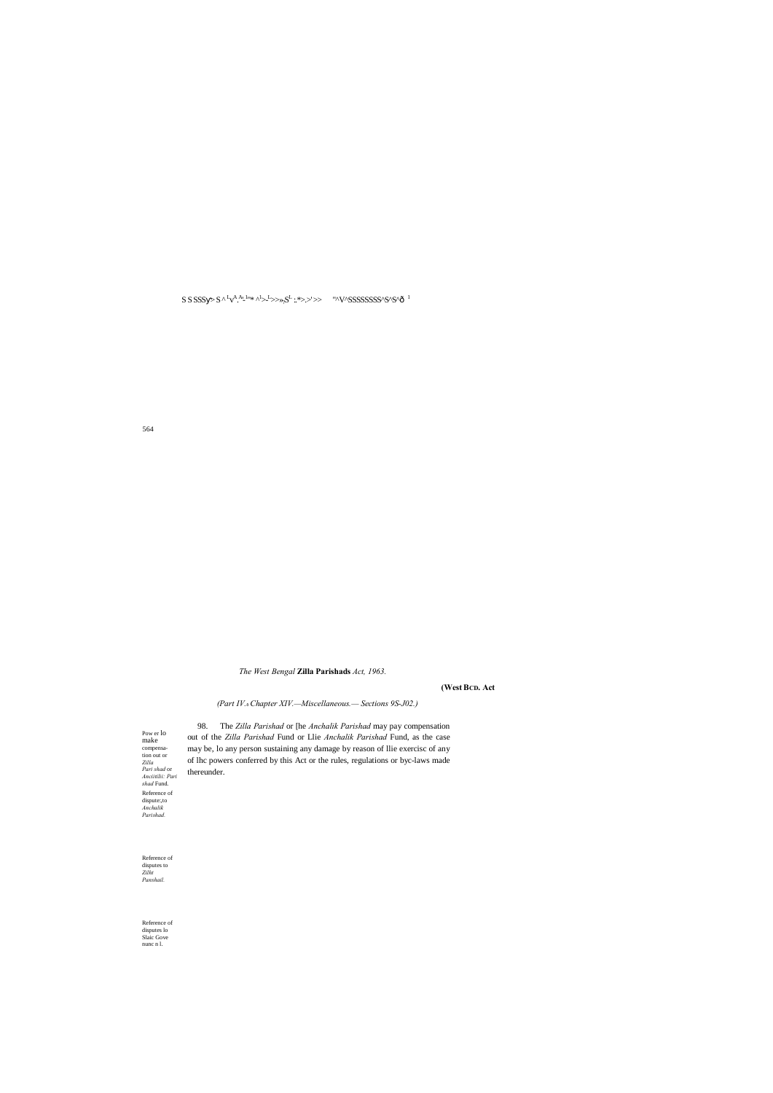$S \, S \, S$ SSS  $>$ S $^{\Lambda}$ L $^{\Lambda}$ A $^{\Lambda}$ \_I<sub>''\*</sub> $^{\Lambda}$ L $^{\Lambda}$  $>$ L $>$ » $^{\Lambda}$ S $^{\Lambda}$ ; \* $>>$  "^V^SSSSSSSSSS^S^S^S^6  $^1$ 

564

Pow er lo make compensa-tion out or *Zilla Pari shad* or *Anciitilii: Pari shad* Fund. Reference of dispute:,to *Anchalik Parishad.*

Reference of disputes to *Zilht Panshail.*

Reference of disputes lo Slaic Gove nunc n l.

*The West Bengal* **Zilla Parishads** *Act, 1963.*

# **(West BCD. Act**

*(Part IV.*—*Chapter XIV.—Miscellaneous.— Sections 9S-J02.)*

98. The *Zilla Parishad* or [he *Anchalik Parishad* may pay compensation out of the *Zilla Parishad* Fund or Llie *Anchalik Parishad* Fund, as the case may be, lo any person sustaining any damage by reason of llie exercisc of any of lhc powers conferred by this Act or the rules, regulations or byc-laws made thereunder.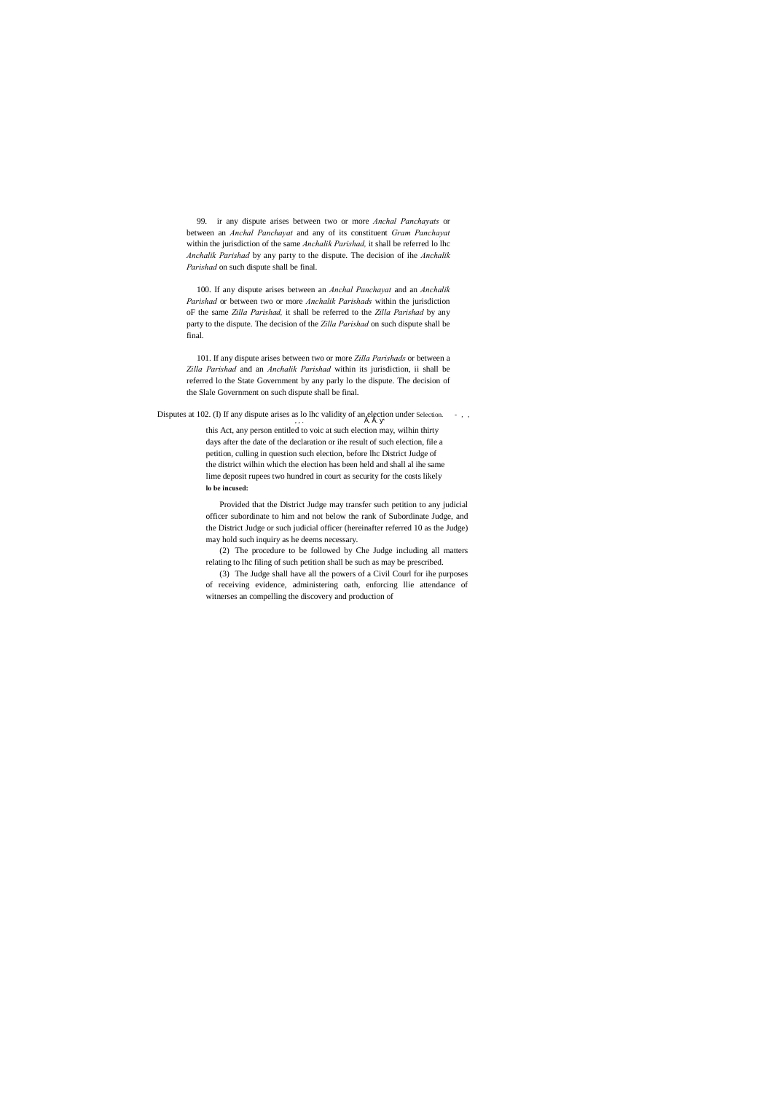99. ir any dispute arises between two or more *Anchal Panchayats* or between an *Anchal Panchayat* and any of its constituent *Gram Panchayat* within the jurisdiction of the same *Anchalik Parishad,* it shall be referred lo lhc *Anchalik Parishad* by any party to the dispute. The decision of ihe *Anchalik Parishad* on such dispute shall be final.

100. If any dispute arises between an *Anchal Panchayat* and an *Anchalik Parishad* or between two or more *Anchalik Parishads* within the jurisdiction oF the same *Zilla Parishad,* it shall be referred to the *Zilla Parishad* by any party to the dispute. The decision of the *Zilla Parishad* on such dispute shall be final.

101. If any dispute arises between two or more *Zilla Parishads* or between a *Zilla Parishad* and an *Anchalik Parishad* within its jurisdiction, ii shall be referred lo the State Government by any parly lo the dispute. The decision of the Slale Government on such dispute shall be final.

Disputes at 102. (I) If any dispute arises as lo lhc validity of an election under Selection.  $\cdot$ , ,

this Act, any person entitled to voic at such election may, wilhin thirty days after the date of the declaration or ihe result of such election, file a petition, culling in question such election, before lhc District Judge of the district wilhin which the election has been held and shall al ihe same lime deposit rupees two hundred in court as security for the costs likely **lo be incused:**

Provided that the District Judge may transfer such petition to any judicial officer subordinate to him and not below the rank of Subordinate Judge, and the District Judge or such judicial officer (hereinafter referred 10 as the Judge) may hold such inquiry as he deems necessary.

(2) The procedure to be followed by Che Judge including all matters relating to lhc filing of such petition shall be such as may be prescribed.

(3) The Judge shall have all the powers of a Civil Courl for ihe purposes of receiving evidence, administering oath, enforcing llie attendance of witnerses an compelling the discovery and production of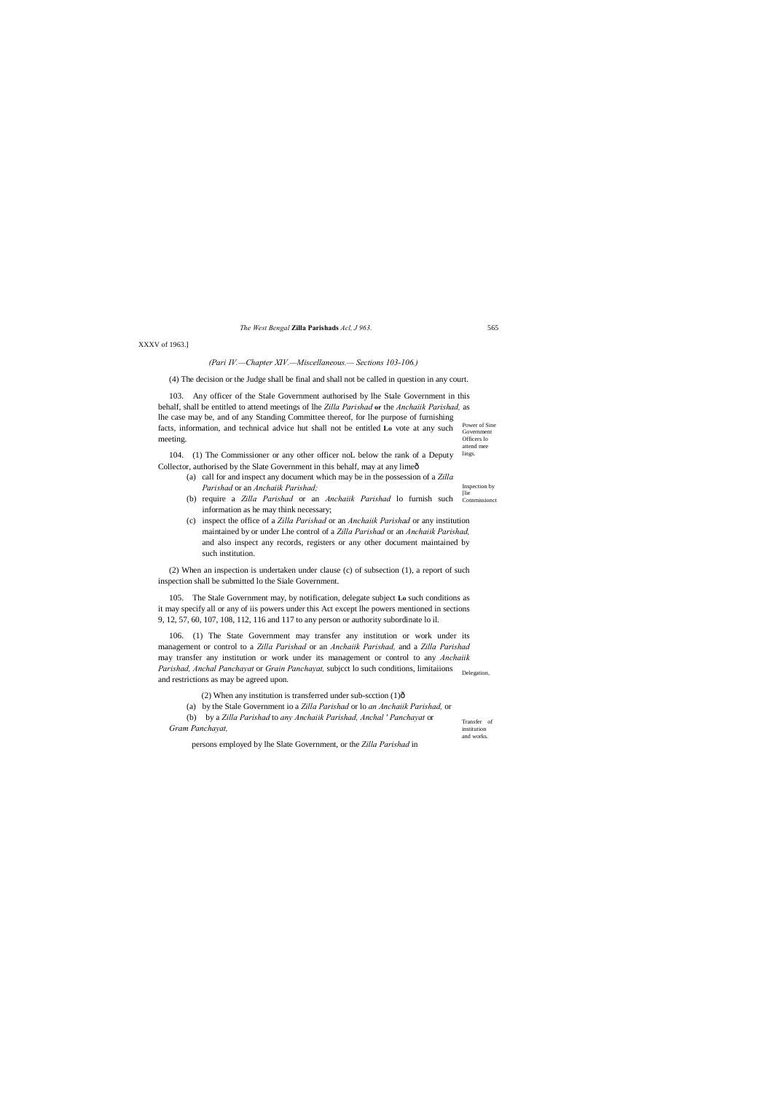Transfer of institution and works.

*The West Bengal* **Zilla Parishads** *Acl, J 963.* 565

XXXV of 1963.]

#### *(Pari IV.—Chapter XIV.—Miscellaneous.— Sections 103-106.)*

(4) The decision or the Judge shall be final and shall not be called in question in any court.

Power of Sine Government Officers lo attend mee 103. Any officer of the Stale Government authorised by lhe Stale Government in this behalf, shall be entitled to attend meetings of lhe *Zilla Parishad* **or** the *Anchaiik Parishad,* as lhe case may be, and of any Standing Committee thereof, for lhe purpose of furnishing facts, information, and technical advice hut shall not be entitled **Lo** vote at any such meeting.

104. (1) The Commissioner or any other officer noL below the rank of a Deputy lings. Collector, authorised by the Slate Government in this behalf, may at any limeô

- Inspection by (a) call for and inspect any document which may be in the possession of a *Zilla Parishad* or an *Anchaiik Parishad;*
- [lie Cotnmissionct (b) require a *Zilla Parishad* or an *Anchaiik Parishad* lo furnish such information as he may think necessary;
- (c) inspect the office of a *Zilla Parishad* or an *Anchaiik Parishad* or any institution maintained by or under Lhe control of a *Zilla Parishad* or an *Anchaiik Parishad,* and also inspect any records, registers or any other document maintained by such institution.

Parishad, Anchal Panchayat or *Grain Panchayat*, subject lo such conditions, limitaiions <sub>Delegation,</sub> 106. (1) The State Government may transfer any institution or work under its management or control to a *Zilla Parishad* or an *Anchaiik Parishad,* and a *Zilla Parishad* may transfer any institution or work under its management or control to any *Anchaiik*  and restrictions as may be agreed upon.

(2) When any institution is transferred under sub-scction  $(1)\hat{o}$ 

(2) When an inspection is undertaken under clause (c) of subsection (1), a report of such inspection shall be submitted lo the Siale Government.

105. The Stale Government may, by notification, delegate subject **Lo** such conditions as it may specify all or any of iis powers under this Act except lhe powers mentioned in sections 9, 12, 57, 60, 107, 108, 112, 116 and 117 to any person or authority subordinate lo il.

(a) by the Stale Government io a *Zilla Parishad* or lo *an Anchaiik Parishad,* or

(b) by a *Zilla Parishad* to *any Anchaiik Parishad, Anchal ' Panchayat* or

*Gram Panchayat,*

persons employed by lhe Slate Government, or the *Zilla Parishad* in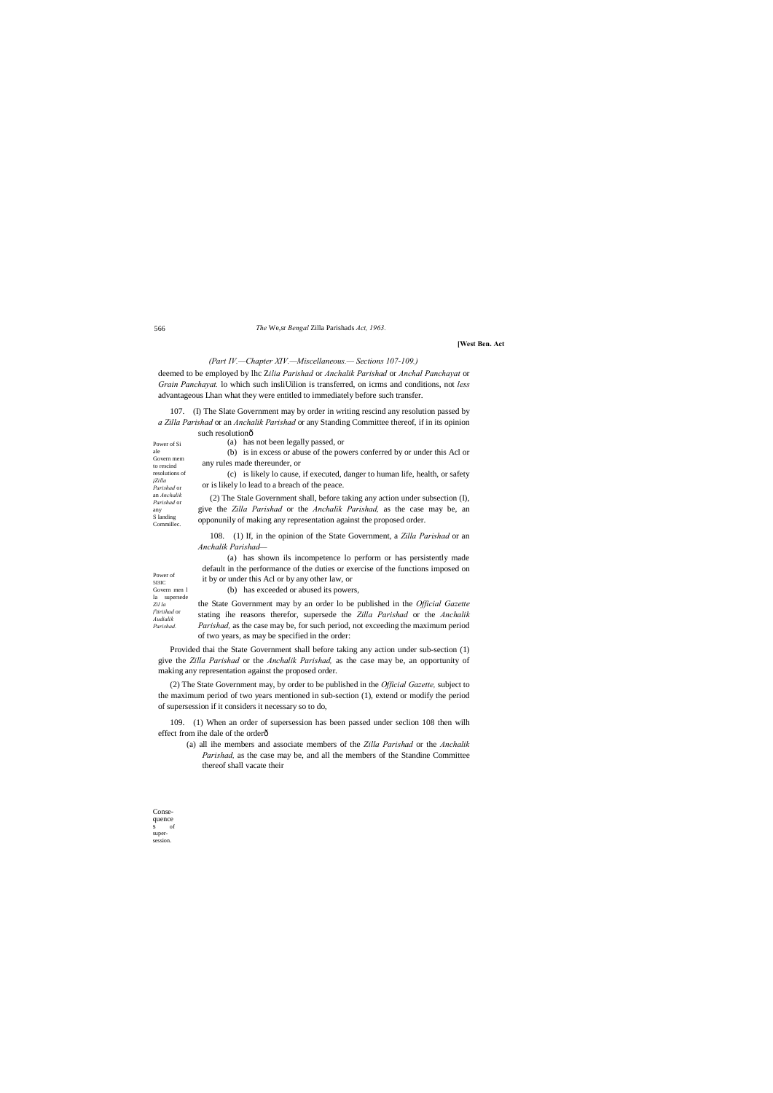*Parishad* or any S landing Commillec.

Power of 5I3IC Govern men l la supersede *Zil la f'tiriihad* or *Audialik Parishad.*

s of supersession.

#### 566 *The* We,sr *Bengal* Zilla Parishads *Act, 1963.*

#### **[West Ben. Act**

107. (I) The Slate Government may by order in writing rescind any resolution passed by *a Zilla Parishad* or an *Anchalik Parishad* or any Standing Committee thereof, if in its opinion such resolutionô

#### *(Part IV.—Chapter XIV.—Miscellaneous.— Sections 107-109.)*

deemed to be employed by lhc Z*ilia Parishad* or *Anchalik Parishad* or *Anchal Panchayat* or *Grain Panchayat.* lo which such insliUilion is transferred, on icrms and conditions, not *less* advantageous Lhan what they were entitled to immediately before such transfer.

| Power of Si        | (a) has not been legally passed, or                                              |
|--------------------|----------------------------------------------------------------------------------|
| ale                | (b) is in excess or abuse of the powers conferred by or under this Acl or        |
| Govern mem         | any rules made thereunder, or                                                    |
| to rescind         |                                                                                  |
| resolutions of     | (c) is likely lo cause, if executed, danger to human life, health, or safety     |
| jZilla             | or is likely lo lead to a breach of the peace.                                   |
| Parishad or        |                                                                                  |
| an <i>Anchalik</i> | $(2)$ The Stale Government shall before taking any action under subsection $(1)$ |

(a) has not been legally passed, or

109. (1) When an order of supersession has been passed under seclion 108 then wilh effect from ihe dale of the orderô

(2) The Stale Government shall, before taking any action under subsection (I), give the *Zilla Parishad* or the *Anchalik Parishad,* as the case may be, an opponunily of making any representation against the proposed order.

108. (1) If, in the opinion of the State Government, a *Zilla Parishad* or an *Anchalik Parishad—*

(a) has shown ils incompetence lo perform or has persistently made default in the performance of the duties or exercise of the functions imposed on it by or under this Acl or by any other law, or

(b) has exceeded or abused its powers,

the State Government may by an order lo be published in the *Official Gazette* stating ihe reasons therefor, supersede the *Zilla Parishad* or the *Anchalik Parishad,* as the case may be, for such period, not exceeding the maximum period of two years, as may be specified in the order:

Provided thai the State Government shall before taking any action under sub-section (1) give the *Zilla Parishad* or the *Anchalik Parishad,* as the case may be, an opportunity of making any representation against the proposed order.

(2) The State Government may, by order to be published in the *Official Gazette,* subject to the maximum period of two years mentioned in sub-section (1), extend or modify the period of supersession if it considers it necessary so to do,

(a) all ihe members and associate members of the *Zilla Parishad* or the *Anchalik Parishad,* as the case may be, and all the members of the Standine Committee thereof shall vacate their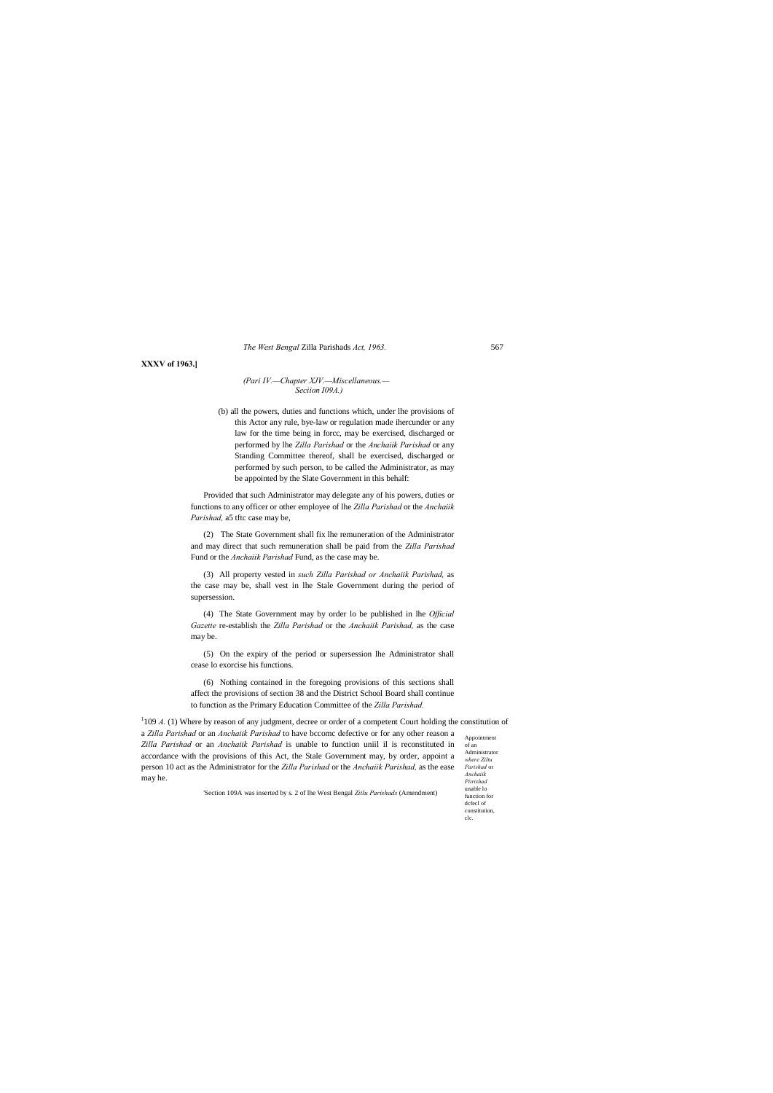Appointmen Administrator *where Ziltu Parishad* or *Anchaiik Piirishad*  unable lo function for dcfecl of constitution, clc.

# *The West Bengal* Zilla Parishads *Act, 1963.* 567

#### **XXXV of 1963.]**

# *(Pari IV.—Chapter XJV.—Miscellaneous.— Seciion I09A.)*

Provided that such Administrator may delegate any of his powers, duties or functions to any officer or other employee of lhe *Zilla Parishad* or the *Anchaiik Parishad, a5 tftc case may be,* 

(b) all the powers, duties and functions which, under lhe provisions of this Actor any rule, bye-law or regulation made ihercunder or any law for the time being in forcc, may be exercised, discharged or performed by lhe *Zilla Parishad* or the *Anchaiik Parishad* or any Standing Committee thereof, shall be exercised, discharged or performed by such person, to be called the Administrator, as may be appointed by the Slate Government in this behalf:

(2) The State Government shall fix lhe remuneration of the Administrator and may direct that such remuneration shall be paid from the *Zilla Parishad* Fund or the *Anchaiik Parishad* Fund, as the case may be.

of an <sup>1</sup>109 *A.* (1) Where by reason of any judgment, decree or order of a competent Court holding the constitution of a *Zilla Parishad* or an *Anchaiik Parishad* to have bccomc defective or for any other reason a *Zilla Parishad* or an *Anchaiik Parishad* is unable to function uniil il is reconstituted in accordance with the provisions of this Act, the Stale Government may, by order, appoint a person 10 act as the Administrator for the *Zilla Parishad* or the *Anchaiik Parishad,* as the ease may he.

(3) All property vested in *such Zilla Parishad or Anchaiik Parishad,* as the case may be, shall vest in lhe Stale Government during the period of supersession.

(4) The State Government may by order lo be published in lhe *Official Gazette* re-establish the *Zilla Parishad* or the *Anchaiik Parishad,* as the case may be.

(5) On the expiry of the period or supersession lhe Administrator shall cease lo exorcise his functions.

(6) Nothing contained in the foregoing provisions of this sections shall affect the provisions of section 38 and the District School Board shall continue to function as the Primary Education Committee of the *Zilla Parishad.*

'Section 109A was inserted by s. 2 of lhe West Bengal *Zitlu Parishads* (Amendment)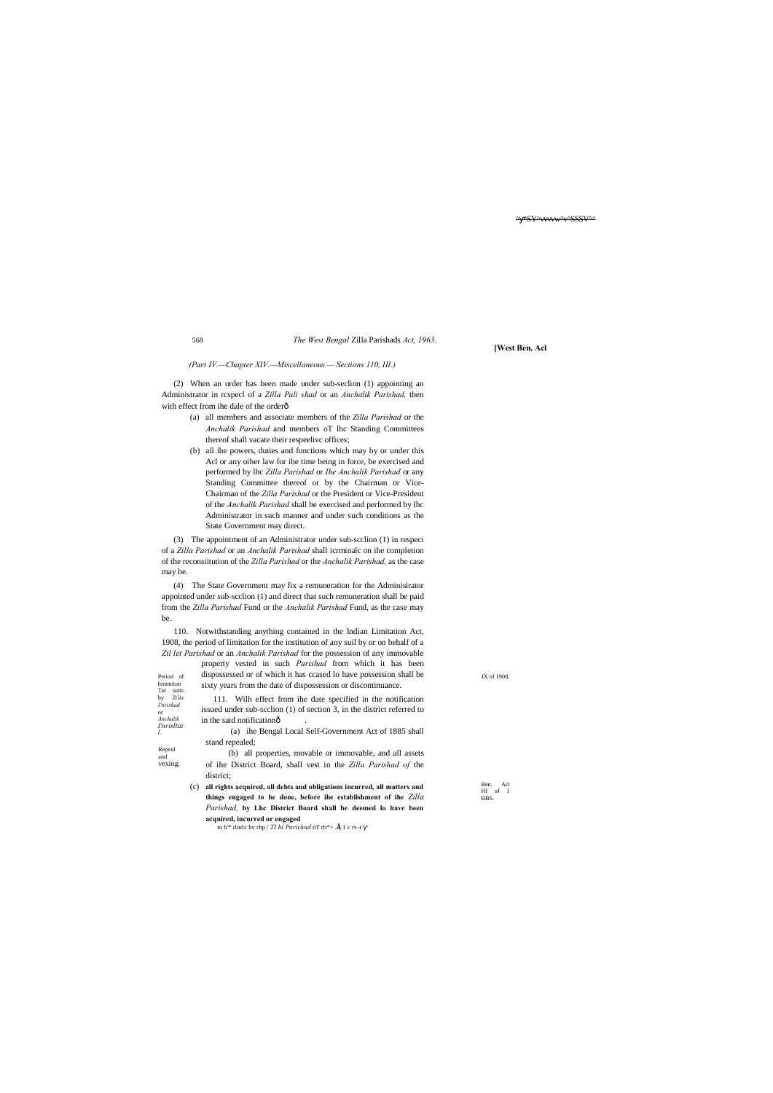568

IX of 1908.

to h<sup>\*</sup> rlnrlc hv rhp / *TI hi Pnrivhnd* nT rb<sup>\*</sup>> . $\hat{H}$  1 c rv-r

Ben. Acl HI of 1 BBS.

(2) When an order has been made under sub-seclion (1) appointing an Administrator in rcspecl of a *Zilla Pali shad* or an *Anchalik Parishad,* then with effect from ihe dale of the orderô

^ ^SY^vvvvw^v^SSSV^^

#### *The West Bengal* Zilla Parishads *Act, 1963.*

**[West Ben. Acl**

*(Part IV.—Chapter XIV.—Miscellaneous.— Sections 110, III.)*

- (a) all members and associate members of the *Zilla Parishad* or the *Anchalik Parishad* and members oT lhc Standing Committees thereof shall vacate their respeelivc offices;
- (b) all ihe powers, duties and functions which may by or under this Acl or any oiher law for ihe time being in force, be exercised and performed by lhc *Zilla Parishad* or *Ihe Anchalik Parishad* or any Standing Committee thereof or by the Chairman or Vice-Chairman of the *Zilla Parishad* or the President or Vice-President of the *Anchalik Parishad* shall be exercised and performed by lhc Administrator in such manner and under such conditions as the State Government may direct.

Period of hmimiiun Tar suits by *Zilla I'tirishad*  or *Anchalik I'nrisltiii l.* Repenl and<br>vexing. property vested in such *Parishad* from which it has been dispossessed or of which it has ccased lo have possession shall be sixty years from the date of dispossession or discontinuance. 111. Wilh effect from ihe date specified in the notification issued under sub-scclion (1) of section 3, in the district referred to in the said notificationô (a) ihe Bengal Local Self-Government Act of 1885 shall stand repealed; (b) all properties, movable or immovable, and all assets of ihe District Board, shall vest in the *Zilla Parishad of* the district; (c) **all rights acquired, all debts and obligations incurred, all matters and** 

(3) The appointment of an Administrator under sub-scclion (1) in respeci of a *Zilla Parishad* or an *Anchalik Parishad* shall icrminalc on ihe completion of the reconsiitution of the *Zilla Parishad* or the *Anchalik Parishad,* as the case may be.

(4) The State Government may fix a remuneration for the Adminisirator appointed under sub-scclion (1) and direct that such remuneration shall be paid from the *Zilla Parishad* Fund or the *Anchalik Parishad* Fund, as the case may be.

110. Notwithstanding anything contained in the Indian Limitation Act, 1908, the period of limitation for the institution of any suil by or on behalf of a *Zil let Parishad* or an *Anchalik Parishad* for the possession of any immovable

> **things engaged to be done, before ihe establishment of ihe** *Zilla Parishad,* **by Lhc District Board shall be deemed lo have been acquired, incurred or engaged**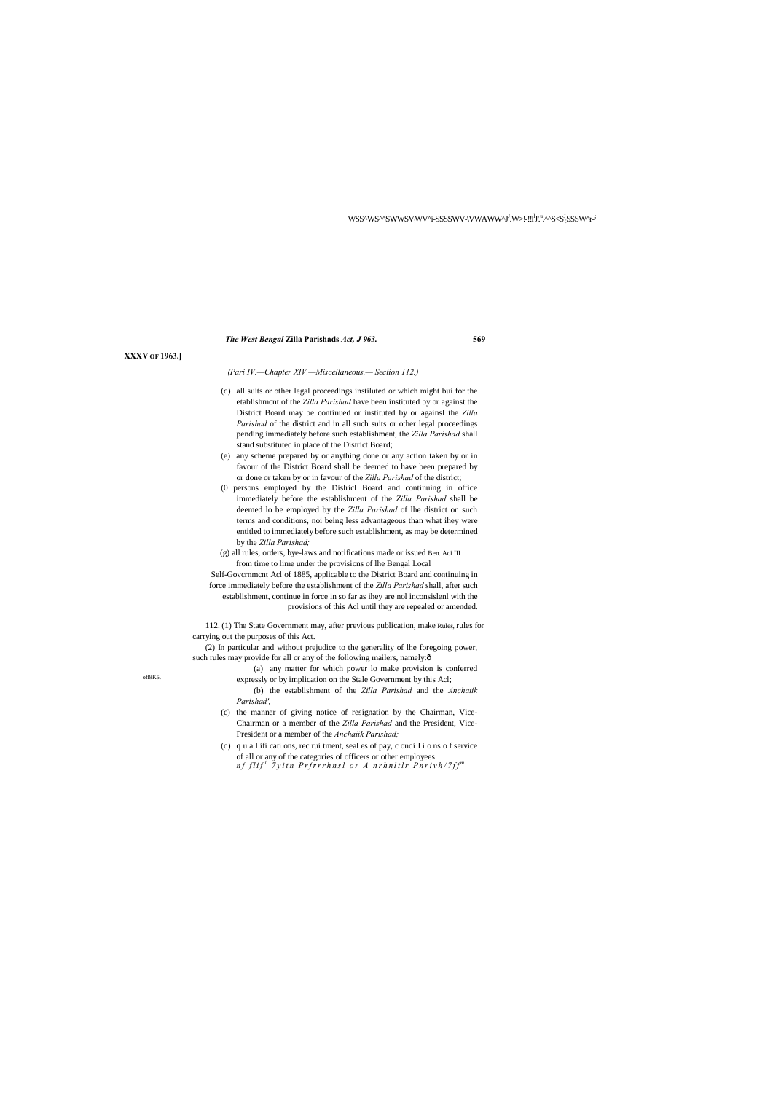ofl8K5.

# WSS^WS^^SWWSV<sub>.</sub>WV^i-SSSSWV-\VWAWW^J<sup>J</sup>.W>!-!!!<sup>l</sup>J'.<sup>u</sup>.^^S<S<sup>J</sup>SSSW^r-\*

# *The West Bengal* **Zilla Parishads** *Act, J 963.* **569**

**XXXV OF 1963.]**

*(Pari IV.—Chapter XIV.—Miscellaneous.— Section 112.)*

- (d) all suits or other legal proceedings instiluted or which might bui for the etablishmcnt of the *Zilla Parishad* have been instituted by or against the District Board may be continued or instituted by or againsl the *Zilla Parishad* of the district and in all such suits or other legal proceedings pending immediately before such establishment, the *Zilla Parishad* shall stand substituted in place of the District Board;
- (e) any scheme prepared by or anything done or any action taken by or in favour of the District Board shall be deemed to have been prepared by or done or taken by or in favour of the *Zilla Parishad* of the district;
- (0 persons employed by the Dislricl Board and continuing in office immediately before the establishment of the *Zilla Parishad* shall be deemed lo be employed by the *Zilla Parishad* of lhe district on such terms and conditions, noi being less advantageous than what ihey were entitled to immediately before such establishment, as may be determined by the *Zilla Parishad;*
- (g) all rules, orders, bye-laws and notifications made or issued Ben. Aci III from time to lime under the provisions of lhe Bengal Local

- (c) the manner of giving notice of resignation by the Chairman, Vice-Chairman or a member of the *Zilla Parishad* and the President, Vice-President or a member of the *Anchaiik Parishad;*
- (d) q u a I ifi cati ons, rec rui tment, seal es of pay, c ondi I i o ns o f service of all or any of the categories of officers or other employees *nf flif<sup>1</sup>* 7*yitn Prfrrrhnsl or A nrhnltlr Pnrivh/7ff<sup>m</sup>*

Self-Govcrnmcnt Acl of 1885, applicable to the District Board and continuing in force immediately before the establishment of the *Zilla Parishad* shall, after such establishment, continue in force in so far as ihey are nol inconsislenl with the provisions of this Acl until they are repealed or amended.

112. (1) The State Government may, after previous publication, make Rules, rules for carrying out the purposes of this Act.

- (2) In particular and without prejudice to the generality of lhe foregoing power, such rules may provide for all or any of the following mailers, namely: $\hat{o}$ 
	- (a) any matter for which power lo make provision is conferred expressly or by implication on the Stale Government by this Acl;

(b) the establishment of the *Zilla Parishad* and the *Anchaiik Parishad',*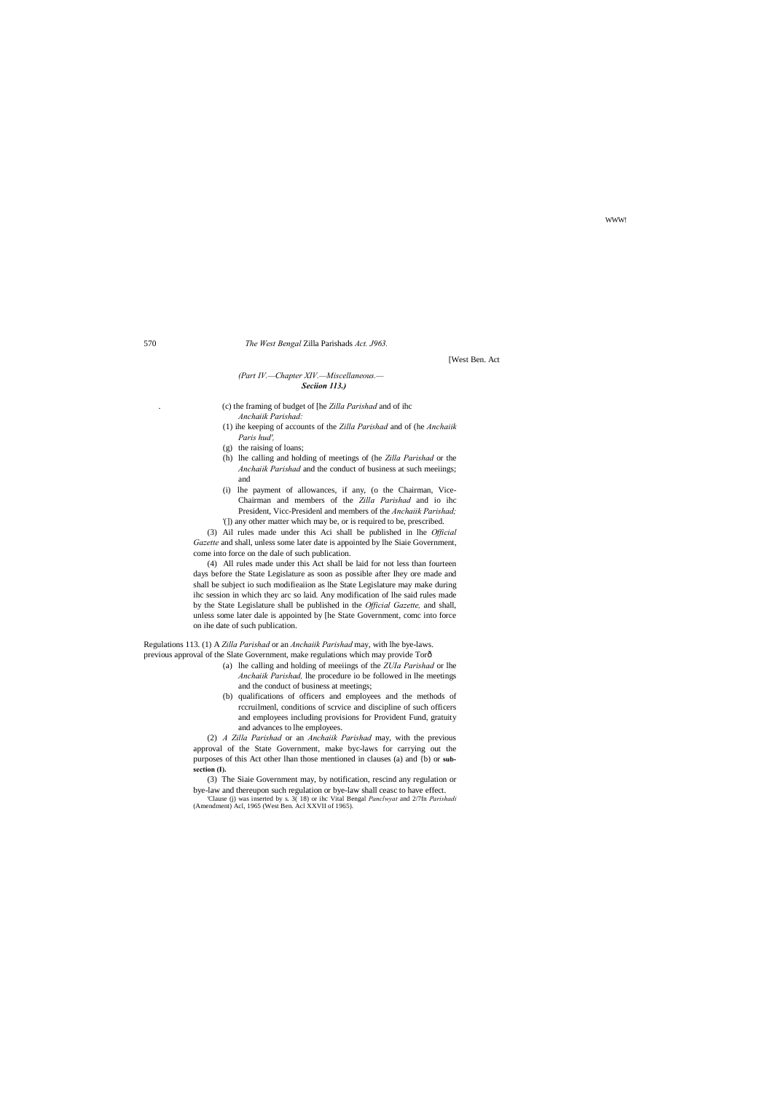# WWW!

#### 570 *The West Bengal* Zilla Parishads *Act. J963.*

#### [West Ben. Act

# *(Part IV.—Chapter XIV.—Miscellaneous.— Seciion 113.)*

- . (c) the framing of budget of [he *Zilla Parishad* and of ihc *Anchaiik Parishad:*
- (1) ihe keeping of accounts of the *Zilla Parishad* and of (he *Anchaiik Paris hud',*
- (g) the raising of loans;
- (h) lhe calling and holding of meetings of (he *Zilla Parishad* or the *Anchaiik Parishad* and the conduct of business at such meeiings; and
- (i) lhe payment of allowances, if any, (o the Chairman, Vice-Chairman and members of the *Zilla Parishad* and io ihc President, Vicc-Presidenl and members of the *Anchaiik Parishad;* '(]) any other matter which may be, or is required to be, prescribed.
- (3) Ail rules made under this Aci shall be published in lhe *Official*

Regulations 113. (1) A *Zilla Parishad* or an *Anchaiik Parishad* may, with lhe bye-laws. previous approval of the Slate Government, make regulations which may provide Torô

*Gazette* and shall, unless some later date is appointed by lhe Siaie Government, come into force on the dale of such publication.

(4) All rules made under this Act shall be laid for not less than fourteen days before the State Legislature as soon as possible after Ihey ore made and shall be subject io such modifieaiion as lhe State Legislature may make during ihc session in which they arc so laid. Any modification of lhe said rules made by the State Legislature shall be published in the *Official Gazette,* and shall, unless some later dale is appointed by [he State Government, comc into force on ihe date of such publication.

- (a) lhe calling and holding of meeiings of the *ZUIa Parishad* or lhe *Anchaiik Parishad,* lhe procedure io be followed in lhe meetings and the conduct of business at meetings;
- (b) qualifications of officers and employees and the methods of rccruilmenl, conditions of scrvice and discipline of such officers and employees including provisions for Provident Fund, gratuity and advances to lhe employees.

(2) *A Zilla Parishad* or an *Anchaiik Parishad* may, with the previous approval of the State Government, make byc-laws for carrying out the purposes of this Act other lhan those mentioned in clauses (a) and {b) or **subsection (I).**

(3) The Siaie Government may, by notification, rescind any regulation or bye-law and thereupon such regulation or bye-law shall ceasc to have effect.

'Clause (j) was inserted by s. 3( 18) or ihc Vital Bengal *Panclwyat* and 2/7fn *Parishadi*  (Amendment) Acl, 1965 (West Ben. Acl XXVII of 1965).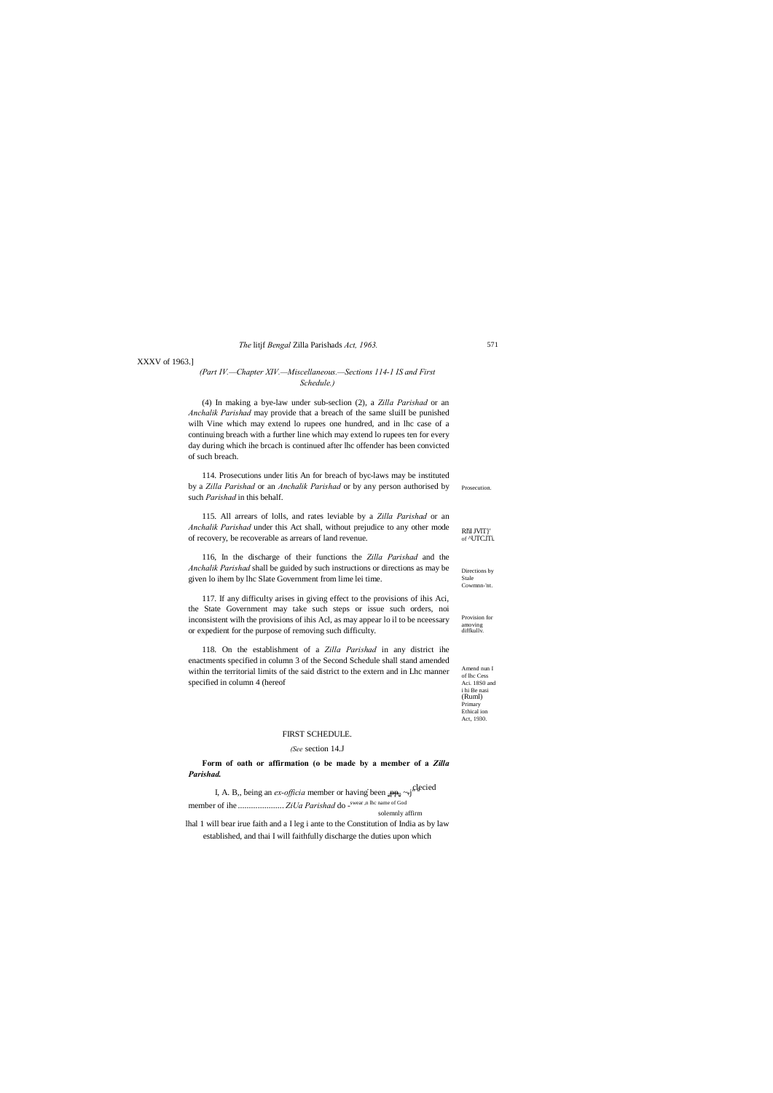#### 571

Rl'iI JVlT}' of <sup>^UTC.ITi.</sup>

Directions by Stale Cowmnn-'nt.

Provision for amoving diffkullv.

Amend nun I of lhc Cess Aci. 18S0 and i hi Be nasi (Ruml) Primary Ethical ion

Act, 1930.

#### *The* litjf *Bengal* Zilla Parishads *Act, 1963.*

#### XXXV of 1963.]

# *(Part IV.—Chapter XIV.—Miscellaneous.—Sections 114-1 IS and First Schedule.)*

Prosecution. 114. Prosecutions under litis An for breach of byc-laws may be instituted by a *Zilla Parishad* or an *Anchalik Parishad* or by any person authorised by such *Parishad* in this behalf.

(4) In making a bye-law under sub-seclion (2), a *Zilla Parishad* or an *Anchalik Parishad* may provide that a breach of the same sluilI be punished wilh Vine which may extend lo rupees one hundred, and in lhc case of a continuing breach with a further line which may extend lo rupees ten for every day during which ihe brcach is continued after lhc offender has been convicted of such breach.

115. All arrears of lolls, and rates leviable by a *Zilla Parishad* or an *Anchalik Parishad* under this Act shall, without prejudice to any other mode of recovery, be recoverable as arrears of land revenue.

I, A. B,, being an *ex-officia* member or having been  $_{a}P_{PQ} \sim j$  <sup>clecied</sup> member of ihe ....................... *ZiUa Parishad* do -<sup>swear ,n lhc name of God</sup> solemnly affirm lhal 1 will bear irue faith and a I leg i ante to the Constitution of India as by law

116, In the discharge of their functions the *Zilla Parishad* and the *Anchalik Parishad* shall be guided by such instructions or directions as may be given lo ihem by lhc Slate Government from lime lei time.

117. If any difficulty arises in giving effect to the provisions of ihis Aci, the State Government may take such steps or issue such orders, noi inconsistent wilh the provisions of ihis Acl, as may appear lo il to be nceessary or expedient for the purpose of removing such difficulty.

118. On the establishment of a *Zilla Parishad* in any district ihe enactments specified in column 3 of the Second Schedule shall stand amended within the territorial limits of the said district to the extern and in Lhc manner specified in column 4 (hereof

# FIRST SCHEDULE.

#### *(See* section 14.J

**Form of oath or affirmation (o be made by a member of a** *Zilla Parishad.*

established, and thai I will faithfully discharge the duties upon which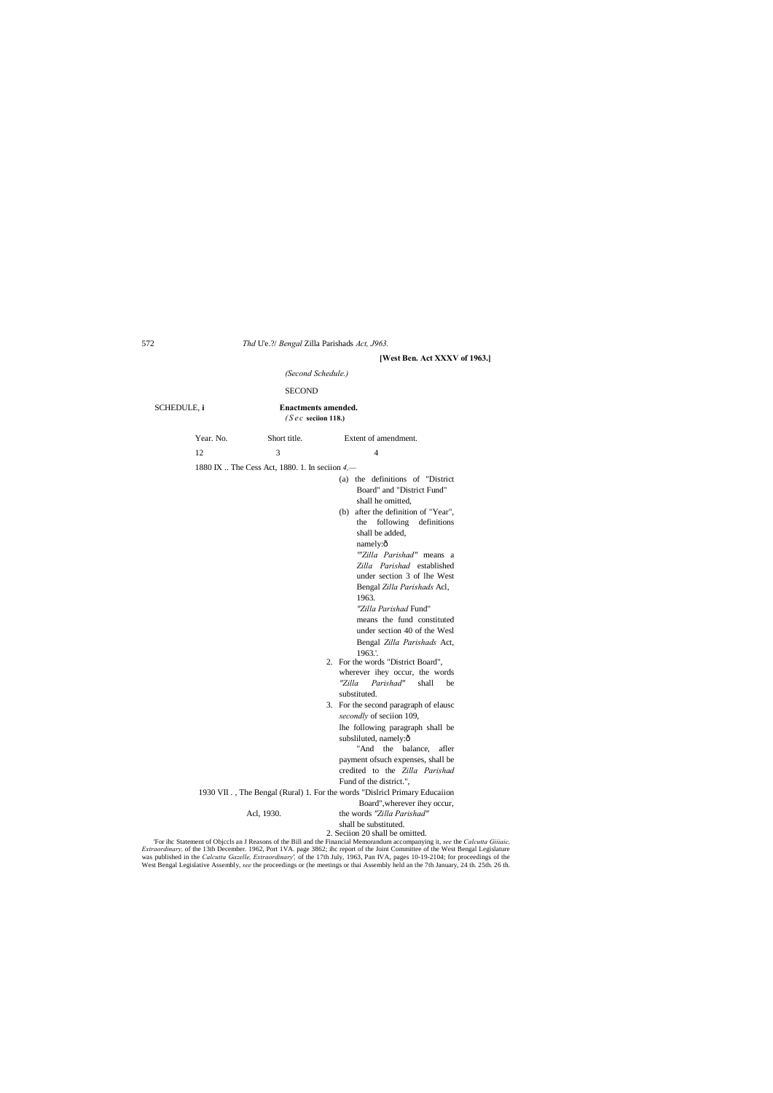# 572 *Thd* U'e.?/ *Bengal* Zilla Parishads *Act, J963.*

# **[West Ben. Act XXXV of 1963.]** *(Second Schedule.)*

# SECOND

# SCHEDULE, **i Enactments amended.** *( S e c* **seciion 118.)**

# Year. No. Short title. Extent of amendment.  $12 \t 3 \t 4$

1880 IX .. The Cess Act, 1880. 1. In seciion *4,—*

# (a) the definitions of "District Board" and "District Fund" shall he omitted,

3. For the second paragraph of elausc *secondly* of seciion 109, lhe following paragraph shall be subsliluted, namely: $\hat{o}$ 

# (b) after the definition of "Year", the following definitions shall be added, namely:ô *'"Zilla Parishad"* means a

*Zilla Parishad* established under section 3 of lhe West Bengal *Zilla Parishads* Acl, 1963.

*"Zilla Parishad* Fund" means the fund constituted

under section 40 of the Wesl Bengal *Zilla Parishads* Act,

1963.'.

2. For the words "District Board", wherever ihey occur, the words *"Zilla Parishad"* shall be substituted.

"And the balance, afler payment ofsuch expenses, shall be credited to the *Zilla Parishad* 

Fund of the district.", 1930 VII . , The Bengal (Rural) 1. For the words "Dislricl Primary Educaiion

> Board",wherever ihey occur, Acl, 1930. the words *"Zilla Parishad"*

#### shall be substituted.

#### 2. Seciion 20 shall be omitted.

'For ihc Statement of Objccls an J Reasons of the Bill and the Financial Memorandum accompanying it, *see* the *Calcutta Giiiaic, Extraordinary,* of the 13th December. 1962, Port 1VA. page 3862; ihc report of the Joint Committee of the West Bengal Legislature was published in the *Calcutta Gazelle, Extraordinary',* of the 17th July, 1963, Pan IVA, pages 10-19-2104; for proceedings of the West Bengal Legislative Assembly, *see* the proceedings or (he meetings or thai Assembly held an the 7th January, 24 th. 25th. 26 th.